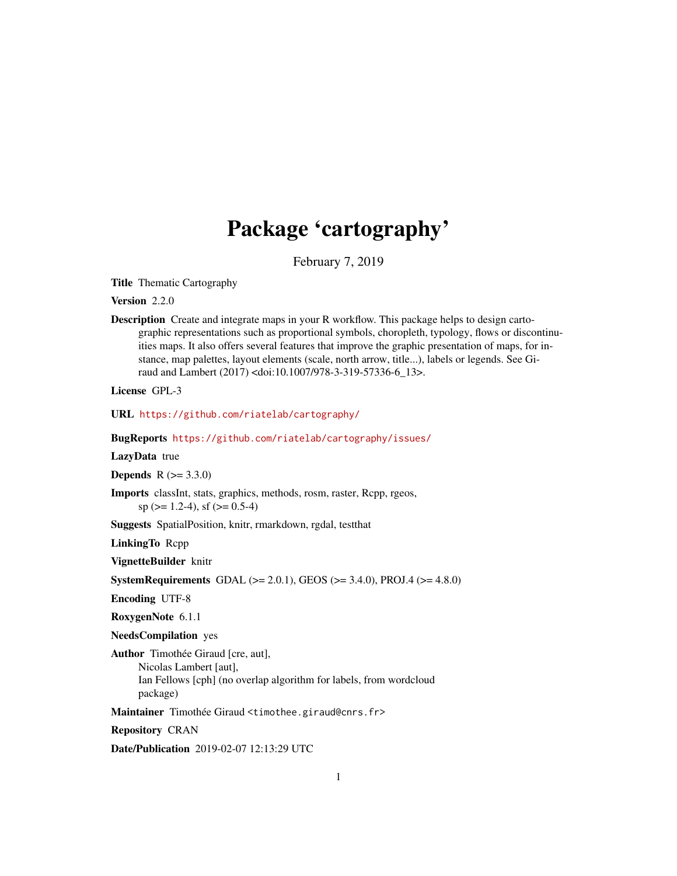# Package 'cartography'

February 7, 2019

<span id="page-0-0"></span>Title Thematic Cartography

Version 2.2.0

Description Create and integrate maps in your R workflow. This package helps to design cartographic representations such as proportional symbols, choropleth, typology, flows or discontinuities maps. It also offers several features that improve the graphic presentation of maps, for instance, map palettes, layout elements (scale, north arrow, title...), labels or legends. See Giraud and Lambert (2017) <doi:10.1007/978-3-319-57336-6\_13>.

License GPL-3

URL <https://github.com/riatelab/cartography/>

BugReports <https://github.com/riatelab/cartography/issues/>

LazyData true

**Depends**  $R (= 3.3.0)$ 

Imports classInt, stats, graphics, methods, rosm, raster, Rcpp, rgeos,  $sp (> = 1.2-4)$ , sf ( $>= 0.5-4$ )

Suggests SpatialPosition, knitr, rmarkdown, rgdal, testthat

LinkingTo Rcpp

VignetteBuilder knitr

**SystemRequirements** GDAL ( $>= 2.0.1$ ), GEOS ( $>= 3.4.0$ ), PROJ.4 ( $>= 4.8.0$ )

Encoding UTF-8

RoxygenNote 6.1.1

NeedsCompilation yes

Author Timothée Giraud [cre, aut], Nicolas Lambert [aut], Ian Fellows [cph] (no overlap algorithm for labels, from wordcloud package)

Maintainer Timothée Giraud <timothee.giraud@cnrs.fr>

Repository CRAN

Date/Publication 2019-02-07 12:13:29 UTC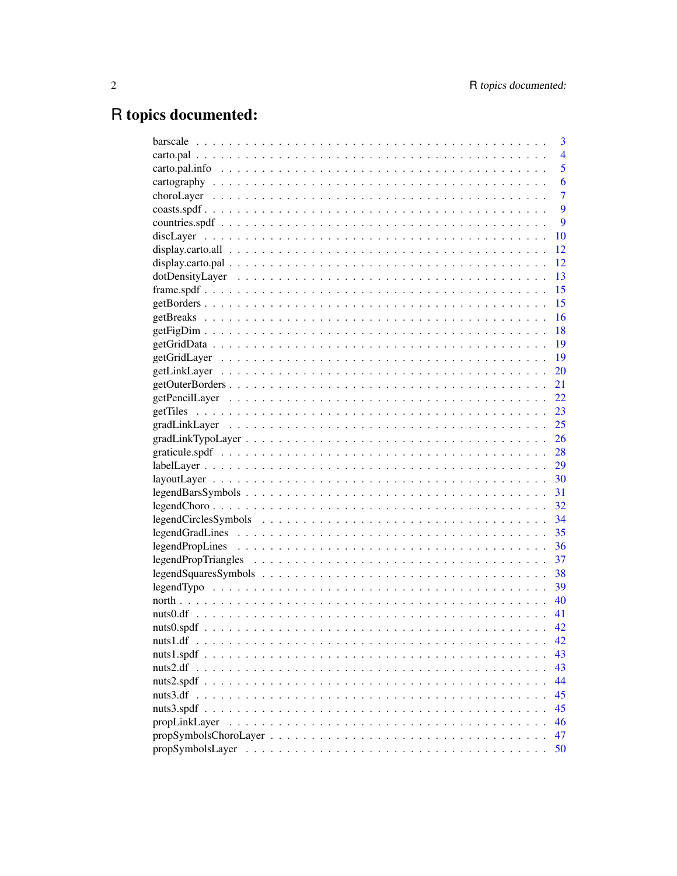# R topics documented:

|               | 3              |
|---------------|----------------|
|               | $\overline{4}$ |
|               | 5              |
|               | 6              |
|               | $\overline{7}$ |
|               | 9              |
|               | 9              |
|               | 10             |
|               | 12             |
|               | 12             |
|               | 13             |
|               | 15             |
|               | 15             |
|               | 16             |
|               | 18             |
|               | 19             |
|               | 19             |
|               | 20             |
|               | 21             |
|               | 22             |
|               | 23             |
|               | 25             |
|               | 26             |
|               | 28             |
|               | 29             |
|               | 30             |
|               | 31             |
|               | 32             |
|               | 34             |
|               |                |
|               |                |
|               | 37             |
|               |                |
|               | 39             |
|               |                |
|               | 41             |
|               | 42             |
| nuts1.df      | 42             |
|               | 43             |
| nuts2.df      | 43             |
|               | 44             |
| nuts3.df      | 45             |
|               | 45             |
| propLinkLayer | 46             |
|               | 47             |
|               | 50             |
|               |                |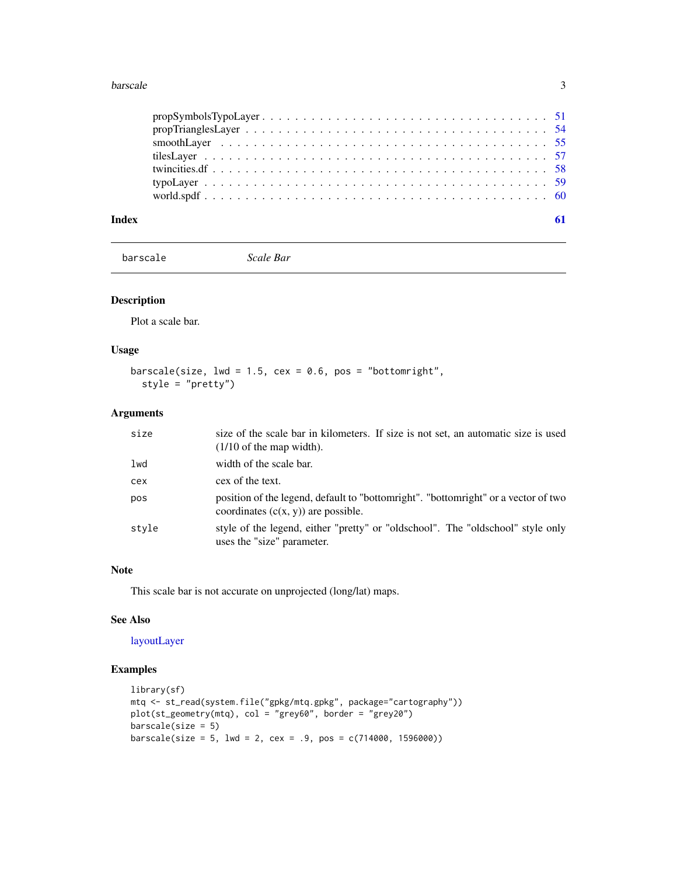#### <span id="page-2-0"></span>barscale 3

<span id="page-2-1"></span>barscale *Scale Bar*

## Description

Plot a scale bar.

## Usage

```
barscale(size, 1wd = 1.5, cex = 0.6, pos = "bottomright",
 style = "pretty")
```
## Arguments

| size  | size of the scale bar in kilometers. If size is not set, an automatic size is used<br>$(1/10)$ of the map width).           |
|-------|-----------------------------------------------------------------------------------------------------------------------------|
| lwd   | width of the scale bar.                                                                                                     |
| cex   | cex of the text.                                                                                                            |
| pos   | position of the legend, default to "bottomright". "bottomright" or a vector of two<br>coordinates $(c(x, y))$ are possible. |
| style | style of the legend, either "pretty" or "oldschool". The "oldschool" style only<br>uses the "size" parameter.               |

#### Note

This scale bar is not accurate on unprojected (long/lat) maps.

## See Also

#### [layoutLayer](#page-29-1)

## Examples

```
library(sf)
mtq <- st_read(system.file("gpkg/mtq.gpkg", package="cartography"))
plot(st_geometry(mtq), col = "grey60", border = "grey20")
barscale(size = 5)barscale(size = 5, lwd = 2, cex = .9, pos = c(714000, 1596000))
```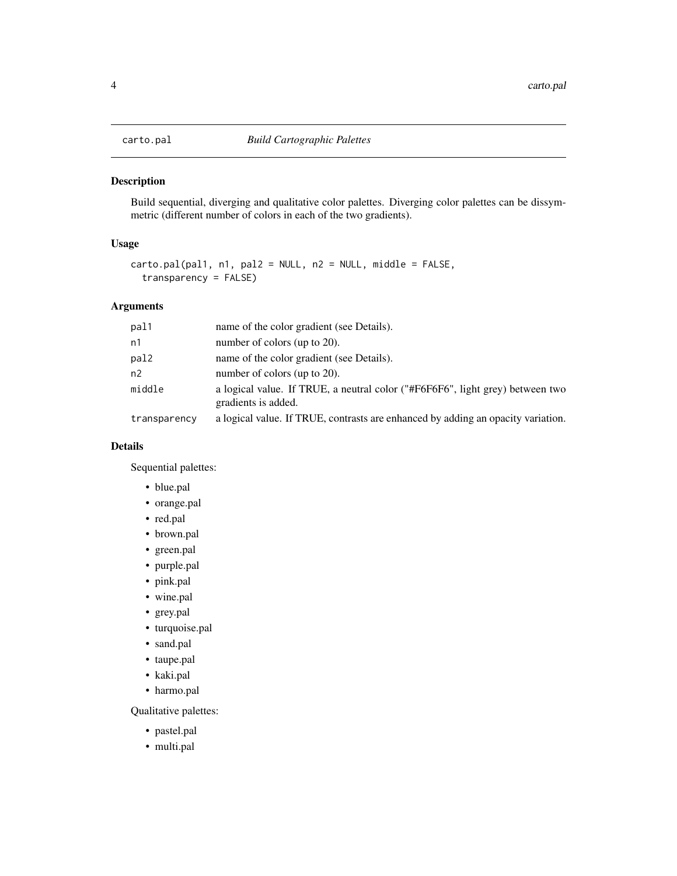<span id="page-3-1"></span><span id="page-3-0"></span>

## Description

Build sequential, diverging and qualitative color palettes. Diverging color palettes can be dissymmetric (different number of colors in each of the two gradients).

## Usage

```
carto.pal(pal1, n1, pal2 = NULL, n2 = NULL, middle = FALSE,
  transparency = FALSE)
```
#### Arguments

| pal1         | name of the color gradient (see Details).                                                            |
|--------------|------------------------------------------------------------------------------------------------------|
| n1           | number of colors (up to 20).                                                                         |
| pal2         | name of the color gradient (see Details).                                                            |
| n2           | number of colors (up to 20).                                                                         |
| middle       | a logical value. If TRUE, a neutral color ("#F6F6F6", light grey) between two<br>gradients is added. |
| transparency | a logical value. If TRUE, contrasts are enhanced by adding an opacity variation.                     |

#### Details

Sequential palettes:

- blue.pal
- orange.pal
- red.pal
- brown.pal
- green.pal
- purple.pal
- pink.pal
- wine.pal
- grey.pal
- turquoise.pal
- sand.pal
- taupe.pal
- kaki.pal
- harmo.pal

Qualitative palettes:

- pastel.pal
- multi.pal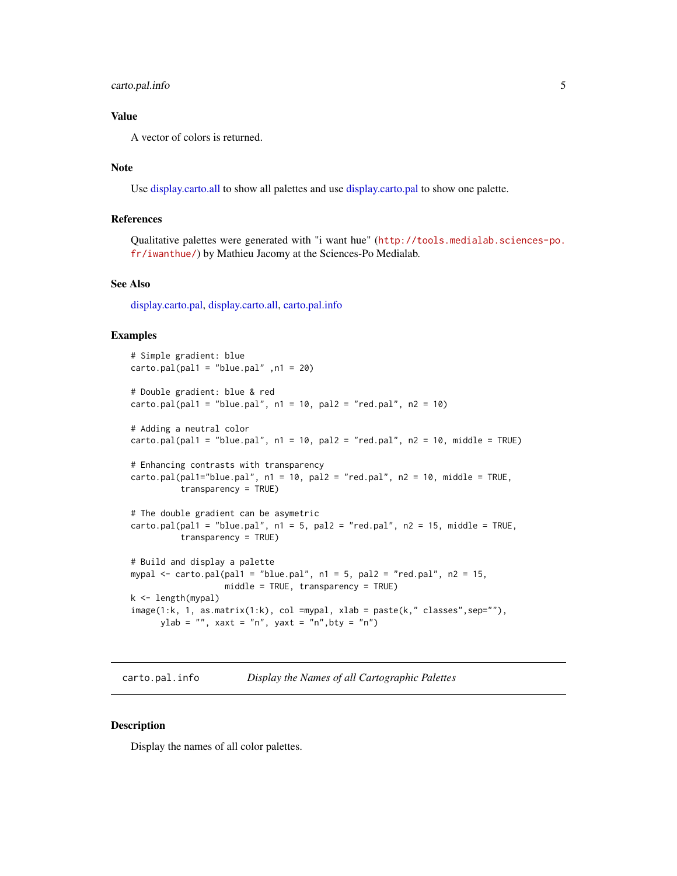## <span id="page-4-0"></span>carto.pal.info 5

## Value

A vector of colors is returned.

#### Note

Use [display.carto.all](#page-11-1) to show all palettes and use [display.carto.pal](#page-11-2) to show one palette.

## References

Qualitative palettes were generated with "i want hue" ([http://tools.medialab.sciences-po.](http://tools.medialab.sciences-po.fr/iwanthue/) [fr/iwanthue/](http://tools.medialab.sciences-po.fr/iwanthue/)) by Mathieu Jacomy at the Sciences-Po Medialab.

#### See Also

[display.carto.pal,](#page-11-2) [display.carto.all,](#page-11-1) [carto.pal.info](#page-4-1)

#### Examples

```
# Simple gradient: blue
carto.pal(pal1 = "blue.pal" , n1 = 20)# Double gradient: blue & red
carto.pal(pal1 = "blue.pal", n1 = 10, pal2 = "red.pal", n2 = 10)# Adding a neutral color
cardo.pal(pal1 = "blue.pal", n1 = 10, pal2 = "red.pal", n2 = 10, middle = TRUE)# Enhancing contrasts with transparency
cardo.pal(pal1="blue.pal", n1 = 10, pal2 = "red.pal", n2 = 10, middle = TRUE,transparency = TRUE)
# The double gradient can be asymetric
card(pal1 = "blue.pal", n1 = 5, pal2 = "red.pal", n2 = 15, middle = TRUE,transparency = TRUE)
# Build and display a palette
mypal \le carto.pal(pal1 = "blue.pal", n1 = 5, pal2 = "red.pal", n2 = 15,
                  middle = TRUE, transparency = TRUE)
k <- length(mypal)
image(1:k, 1, as.matrix(1:k), col =mypal, xlab = paste(k," classes",sep=""),
      ylab = "", xaxt = "n", yaxt = "n", bty = "n")
```
<span id="page-4-1"></span>carto.pal.info *Display the Names of all Cartographic Palettes*

#### **Description**

Display the names of all color palettes.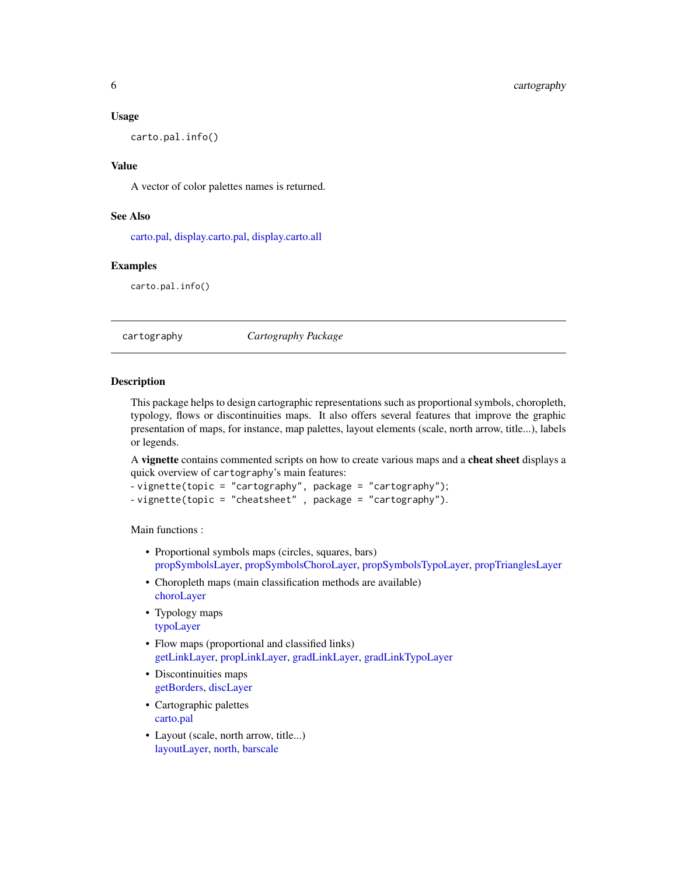#### <span id="page-5-0"></span>Usage

carto.pal.info()

#### Value

A vector of color palettes names is returned.

#### See Also

[carto.pal,](#page-3-1) [display.carto.pal,](#page-11-2) [display.carto.all](#page-11-1)

#### Examples

carto.pal.info()

cartography *Cartography Package*

#### Description

This package helps to design cartographic representations such as proportional symbols, choropleth, typology, flows or discontinuities maps. It also offers several features that improve the graphic presentation of maps, for instance, map palettes, layout elements (scale, north arrow, title...), labels or legends.

A vignette contains commented scripts on how to create various maps and a cheat sheet displays a quick overview of cartography's main features:

```
- vignette(topic = "cartography", package = "cartography");
- vignette(topic = "cheatsheet" , package = "cartography").
```
Main functions :

- Proportional symbols maps (circles, squares, bars) [propSymbolsLayer,](#page-49-1) [propSymbolsChoroLayer,](#page-46-1) [propSymbolsTypoLayer,](#page-50-1) [propTrianglesLayer](#page-53-1)
- Choropleth maps (main classification methods are available) [choroLayer](#page-6-1)
- Typology maps [typoLayer](#page-58-1)
- Flow maps (proportional and classified links) [getLinkLayer,](#page-19-1) [propLinkLayer,](#page-45-1) [gradLinkLayer,](#page-24-1) [gradLinkTypoLayer](#page-25-1)
- Discontinuities maps [getBorders,](#page-14-1) [discLayer](#page-9-1)
- Cartographic palettes [carto.pal](#page-3-1)
- Layout (scale, north arrow, title...) [layoutLayer,](#page-29-1) [north,](#page-39-1) [barscale](#page-2-1)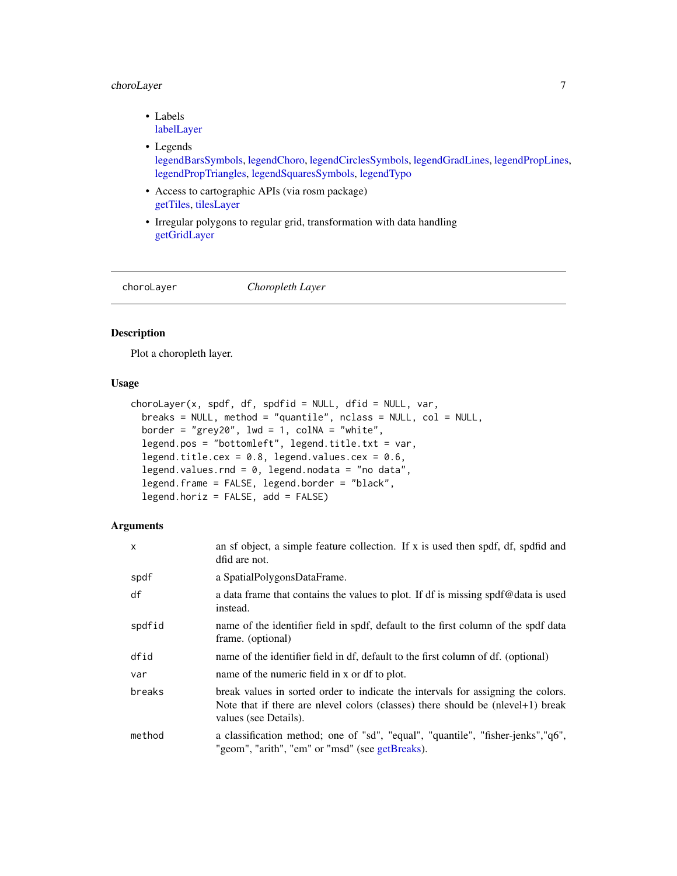## <span id="page-6-0"></span>choroLayer 7

- Labels [labelLayer](#page-28-1)
- Legends [legendBarsSymbols,](#page-30-1) [legendChoro,](#page-31-1) [legendCirclesSymbols,](#page-33-1) [legendGradLines,](#page-34-1) [legendPropLines,](#page-35-1) [legendPropTriangles,](#page-36-1) [legendSquaresSymbols,](#page-37-1) [legendTypo](#page-38-1)
- Access to cartographic APIs (via rosm package) [getTiles,](#page-22-1) [tilesLayer](#page-56-1)
- Irregular polygons to regular grid, transformation with data handling [getGridLayer](#page-18-1)

<span id="page-6-1"></span>

choroLayer *Choropleth Layer*

#### Description

Plot a choropleth layer.

## Usage

```
choroLayer(x, spdf, df, spdfid = NULL, dfid = NULL, var,
 breaks = NULL, method = "quantile", nclass = NULL, col = NULL,
 border = "grey20", lwd = 1, colNA = "white",
  legend.pos = "bottomleft", legend.title.txt = var,
  legend.title.cex = 0.8, legend.values.cex = 0.6,
  legend.values.rnd = 0, legend.nodata = "no data",
  legend.frame = FALSE, legend.border = "black",
  legend.horiz = FALSE, add = FALSE)
```

| X      | an sf object, a simple feature collection. If x is used then spdf, df, spdfid and<br>dfid are not.                                                                                                   |
|--------|------------------------------------------------------------------------------------------------------------------------------------------------------------------------------------------------------|
| spdf   | a SpatialPolygonsDataFrame.                                                                                                                                                                          |
| df     | a data frame that contains the values to plot. If df is missing spdf@data is used<br>instead.                                                                                                        |
| spdfid | name of the identifier field in spdf, default to the first column of the spdf data<br>frame. (optional)                                                                                              |
| dfid   | name of the identifier field in df, default to the first column of df. (optional)                                                                                                                    |
| var    | name of the numeric field in x or df to plot.                                                                                                                                                        |
| breaks | break values in sorted order to indicate the intervals for assigning the colors.<br>Note that if there are nevel colors (classes) there should be $(\text{nlevel+1})$ break<br>values (see Details). |
| method | a classification method; one of "sd", "equal", "quantile", "fisher-jenks","q6",<br>"geom", "arith", "em" or "msd" (see getBreaks).                                                                   |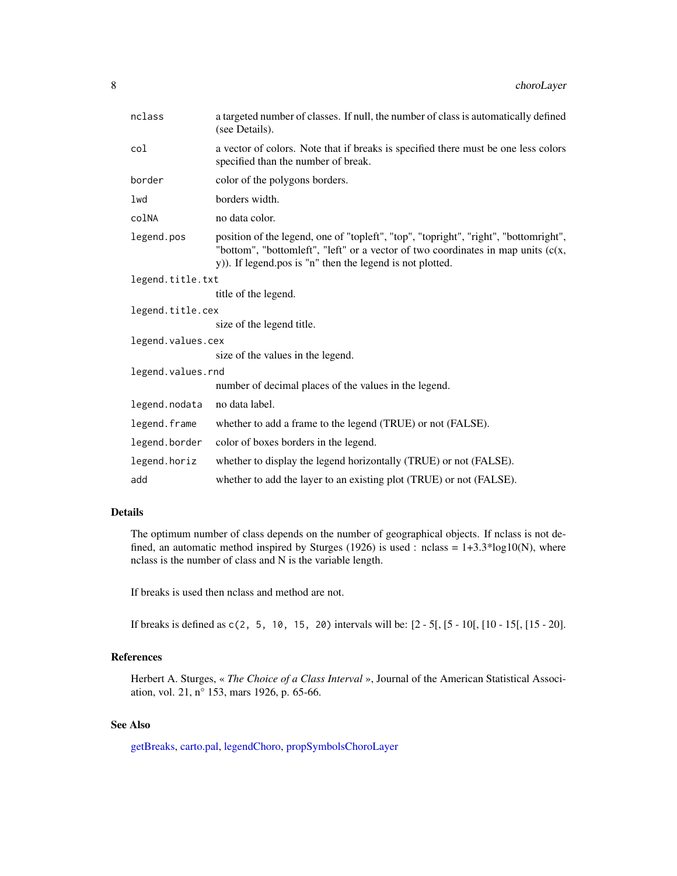<span id="page-7-0"></span>

| nclass            | a targeted number of classes. If null, the number of class is automatically defined<br>(see Details).                                                                                                                                   |
|-------------------|-----------------------------------------------------------------------------------------------------------------------------------------------------------------------------------------------------------------------------------------|
| col               | a vector of colors. Note that if breaks is specified there must be one less colors<br>specified than the number of break.                                                                                                               |
| border            | color of the polygons borders.                                                                                                                                                                                                          |
| lwd               | borders width.                                                                                                                                                                                                                          |
| colNA             | no data color.                                                                                                                                                                                                                          |
| legend.pos        | position of the legend, one of "topleft", "top", "topright", "right", "bottomright",<br>"bottom", "bottomleft", "left" or a vector of two coordinates in map units $(c(x,$<br>y)). If legend.pos is "n" then the legend is not plotted. |
| legend.title.txt  |                                                                                                                                                                                                                                         |
|                   | title of the legend.                                                                                                                                                                                                                    |
| legend.title.cex  |                                                                                                                                                                                                                                         |
|                   | size of the legend title.                                                                                                                                                                                                               |
| legend.values.cex |                                                                                                                                                                                                                                         |
|                   | size of the values in the legend.                                                                                                                                                                                                       |
| legend.values.rnd |                                                                                                                                                                                                                                         |
|                   | number of decimal places of the values in the legend.                                                                                                                                                                                   |
| legend.nodata     | no data label.                                                                                                                                                                                                                          |
| legend.frame      | whether to add a frame to the legend (TRUE) or not (FALSE).                                                                                                                                                                             |
| legend.border     | color of boxes borders in the legend.                                                                                                                                                                                                   |
| legend.horiz      | whether to display the legend horizontally (TRUE) or not (FALSE).                                                                                                                                                                       |
| add               | whether to add the layer to an existing plot (TRUE) or not (FALSE).                                                                                                                                                                     |

## Details

The optimum number of class depends on the number of geographical objects. If nclass is not defined, an automatic method inspired by Sturges (1926) is used : nclass =  $1+3.3*log10(N)$ , where nclass is the number of class and N is the variable length.

If breaks is used then nclass and method are not.

If breaks is defined as c(2, 5, 10, 15, 20) intervals will be: [2 - 5[, [5 - 10[, [10 - 15[, [15 - 20].

## References

Herbert A. Sturges, « *The Choice of a Class Interval* », Journal of the American Statistical Association, vol. 21, n° 153, mars 1926, p. 65-66.

## See Also

[getBreaks,](#page-15-1) [carto.pal,](#page-3-1) [legendChoro,](#page-31-1) [propSymbolsChoroLayer](#page-46-1)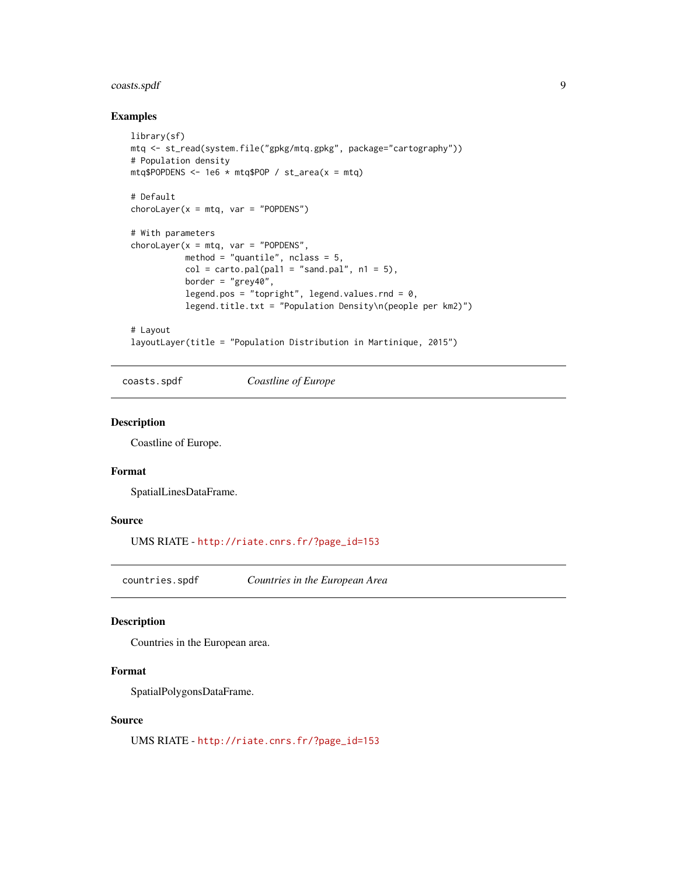## <span id="page-8-0"></span>coasts.spdf 9

## Examples

```
library(sf)
mtq <- st_read(system.file("gpkg/mtq.gpkg", package="cartography"))
# Population density
mtq$POPDENS <- 1e6 * mtq$POP / st_area(x = mtq)
# Default
chorolayer(x = mtq, var = "POPDENS")# With parameters
chorolayer(x = mtq, var = "POPDENS",method = "quantile", nclass = 5,
           col = carto.pal(pal1 = "sand.pal", n1 = 5),border = "grey40",
          legend.pos = "topright", legend.values.rnd = 0,
           legend.title.txt = "Population Density\n(people per km2)")
# Layout
```
layoutLayer(title = "Population Distribution in Martinique, 2015")

coasts.spdf *Coastline of Europe*

#### Description

Coastline of Europe.

## Format

SpatialLinesDataFrame.

## Source

UMS RIATE - [http://riate.cnrs.fr/?page\\_id=153](http://riate.cnrs.fr/?page_id=153)

countries.spdf *Countries in the European Area*

#### Description

Countries in the European area.

#### Format

SpatialPolygonsDataFrame.

## Source

UMS RIATE - [http://riate.cnrs.fr/?page\\_id=153](http://riate.cnrs.fr/?page_id=153)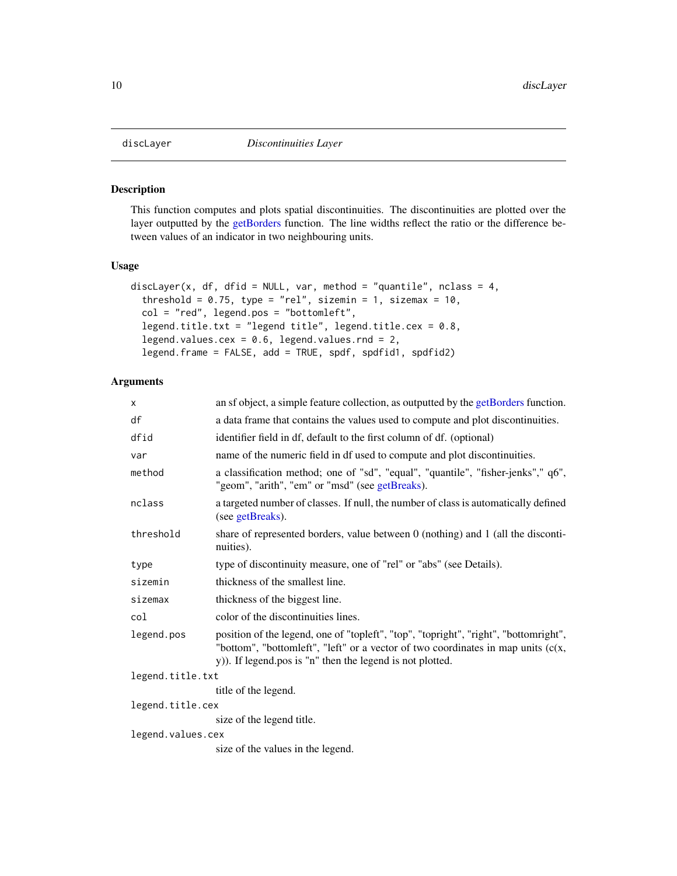<span id="page-9-1"></span><span id="page-9-0"></span>

#### Description

This function computes and plots spatial discontinuities. The discontinuities are plotted over the layer outputted by the [getBorders](#page-14-1) function. The line widths reflect the ratio or the difference between values of an indicator in two neighbouring units.

#### Usage

```
discLayer(x, df, dfid = NULL, var, method = "quantile", nclass = 4,
  threshold = 0.75, type = "rel", sizemin = 1, sizemax = 10,
  col = "red", legend.pos = "bottomleft",
  legend.title.txt = "legend title", legend.title.cex = 0.8,
  legend.values.cex = 0.6, legend.values.rnd = 2,
  legend.frame = FALSE, add = TRUE, spdf, spdfid1, spdfid2)
```

| X                 | an sf object, a simple feature collection, as outputted by the getBorders function.                                                                                                                                                     |
|-------------------|-----------------------------------------------------------------------------------------------------------------------------------------------------------------------------------------------------------------------------------------|
| df                | a data frame that contains the values used to compute and plot discontinuities.                                                                                                                                                         |
| dfid              | identifier field in df, default to the first column of df. (optional)                                                                                                                                                                   |
| var               | name of the numeric field in df used to compute and plot discontinuities.                                                                                                                                                               |
| method            | a classification method; one of "sd", "equal", "quantile", "fisher-jenks"," q6",<br>"geom", "arith", "em" or "msd" (see getBreaks).                                                                                                     |
| nclass            | a targeted number of classes. If null, the number of class is automatically defined<br>(see getBreaks).                                                                                                                                 |
| threshold         | share of represented borders, value between $0$ (nothing) and $1$ (all the disconti-<br>nuities).                                                                                                                                       |
| type              | type of discontinuity measure, one of "rel" or "abs" (see Details).                                                                                                                                                                     |
| sizemin           | thickness of the smallest line.                                                                                                                                                                                                         |
| sizemax           | thickness of the biggest line.                                                                                                                                                                                                          |
| col               | color of the discontinuities lines.                                                                                                                                                                                                     |
| legend.pos        | position of the legend, one of "topleft", "top", "topright", "right", "bottomright",<br>"bottom", "bottomleft", "left" or a vector of two coordinates in map units $(c(x,$<br>y)). If legend.pos is "n" then the legend is not plotted. |
| legend.title.txt  |                                                                                                                                                                                                                                         |
|                   | title of the legend.                                                                                                                                                                                                                    |
| legend.title.cex  |                                                                                                                                                                                                                                         |
|                   | size of the legend title.                                                                                                                                                                                                               |
| legend.values.cex |                                                                                                                                                                                                                                         |
|                   | size of the values in the legend.                                                                                                                                                                                                       |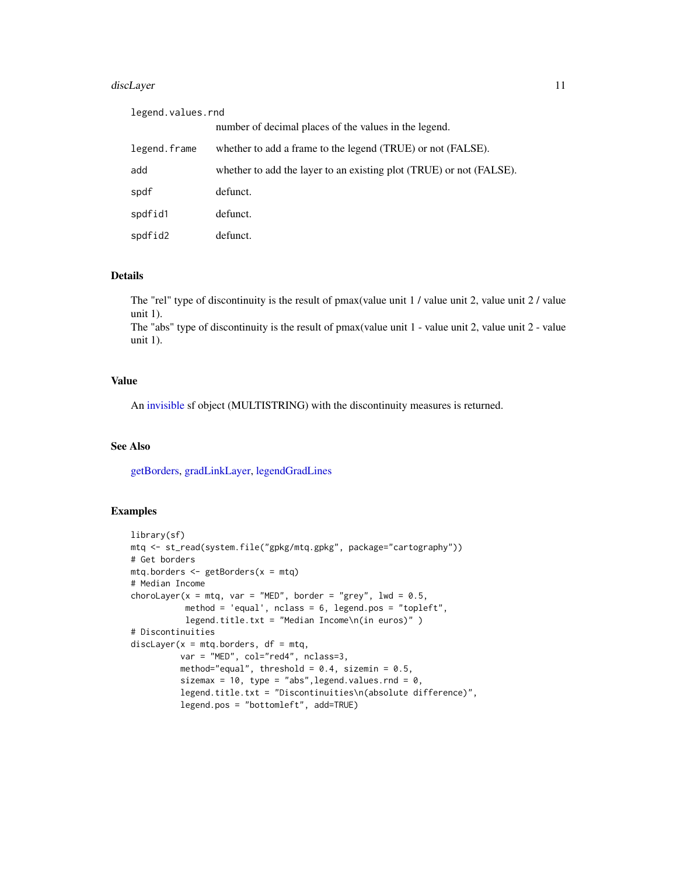#### <span id="page-10-0"></span>discLayer 11

| legend.values.rnd |                                                                     |  |  |  |  |
|-------------------|---------------------------------------------------------------------|--|--|--|--|
|                   | number of decimal places of the values in the legend.               |  |  |  |  |
| legend.frame      | whether to add a frame to the legend (TRUE) or not (FALSE).         |  |  |  |  |
| add               | whether to add the layer to an existing plot (TRUE) or not (FALSE). |  |  |  |  |
| spdf              | defunct.                                                            |  |  |  |  |
| spdfid1           | defunct.                                                            |  |  |  |  |
| spdfid2           | defunct.                                                            |  |  |  |  |

## Details

The "rel" type of discontinuity is the result of pmax(value unit 1 / value unit 2, value unit 2 / value unit 1).

The "abs" type of discontinuity is the result of pmax(value unit 1 - value unit 2, value unit 2 - value unit 1).

#### Value

An [invisible](#page-0-0) sf object (MULTISTRING) with the discontinuity measures is returned.

#### See Also

[getBorders,](#page-14-1) [gradLinkLayer,](#page-24-1) [legendGradLines](#page-34-1)

## Examples

```
library(sf)
mtq <- st_read(system.file("gpkg/mtq.gpkg", package="cartography"))
# Get borders
mtq.borders <- getBorders(x = mtq)
# Median Income
choroLayer(x = mtq, var = "MED", border = "grey", lwd = 0.5,
           method = 'equal', nclass = 6, legend.pos = "topleft",
           legend.title.txt = "Median Income\n(in euros)" )
# Discontinuities
discLayer(x = m t q.borders, df = m t q,
          var = "MED", col="red4", nclass=3,
          method="equal", threshold = 0.4, sizemin = 0.5,
          sizemax = 10, type = "abs", legend.values.rnd = 0,
          legend.title.txt = "Discontinuities\n(absolute difference)",
          legend.pos = "bottomleft", add=TRUE)
```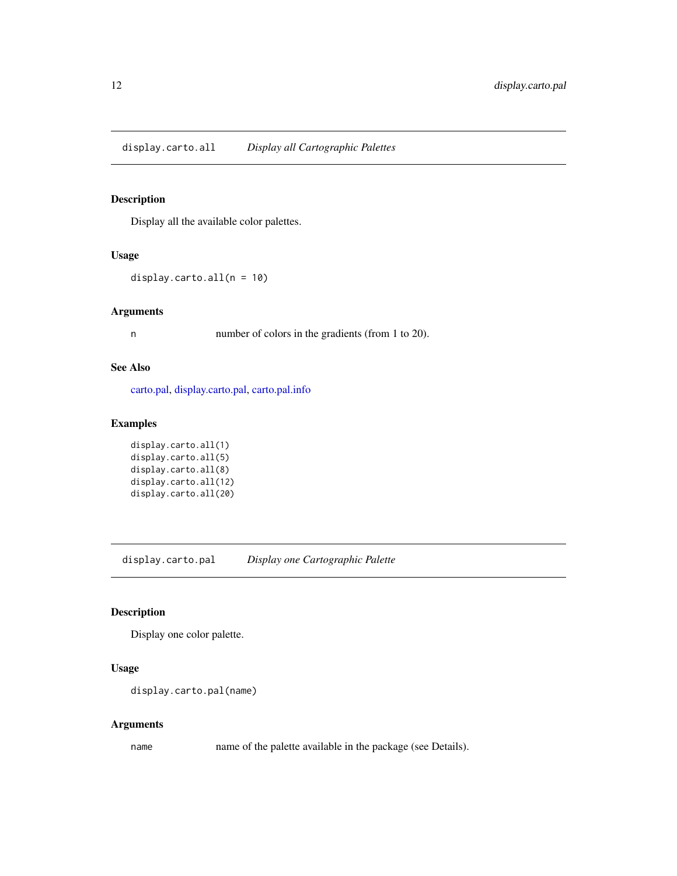<span id="page-11-1"></span><span id="page-11-0"></span>display.carto.all *Display all Cartographic Palettes*

## Description

Display all the available color palettes.

## Usage

display.carto.all(n = 10)

#### Arguments

n number of colors in the gradients (from 1 to 20).

#### See Also

[carto.pal,](#page-3-1) [display.carto.pal,](#page-11-2) [carto.pal.info](#page-4-1)

## Examples

```
display.carto.all(1)
display.carto.all(5)
display.carto.all(8)
display.carto.all(12)
display.carto.all(20)
```
<span id="page-11-2"></span>display.carto.pal *Display one Cartographic Palette*

## **Description**

Display one color palette.

#### Usage

```
display.carto.pal(name)
```
## Arguments

name name of the palette available in the package (see Details).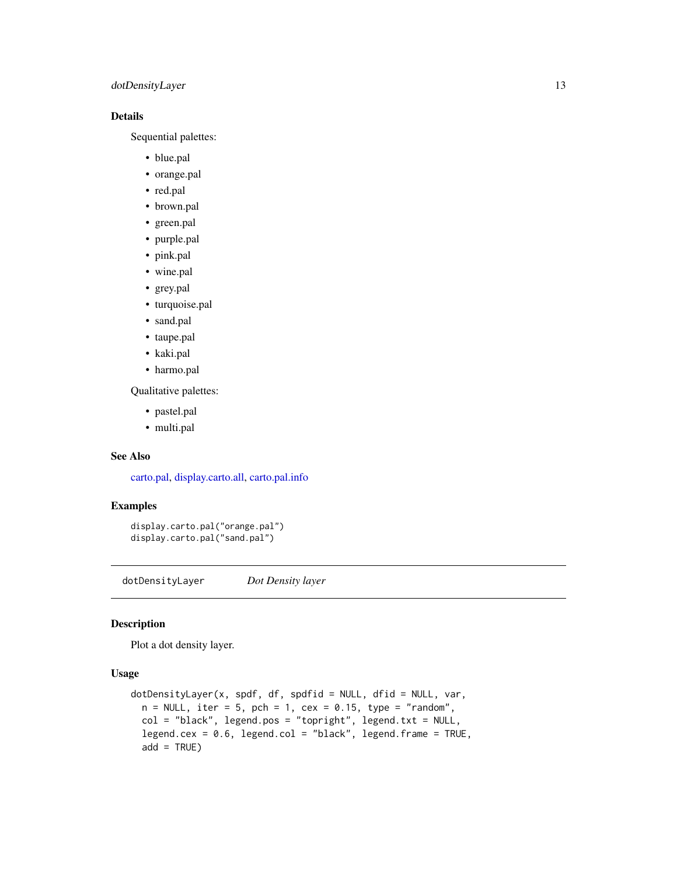## <span id="page-12-0"></span>dotDensityLayer 13

## Details

Sequential palettes:

- blue.pal
- orange.pal
- red.pal
- brown.pal
- green.pal
- purple.pal
- pink.pal
- wine.pal
- grey.pal
- turquoise.pal
- sand.pal
- taupe.pal
- kaki.pal
- harmo.pal

Qualitative palettes:

- pastel.pal
- multi.pal

## See Also

[carto.pal,](#page-3-1) [display.carto.all,](#page-11-1) [carto.pal.info](#page-4-1)

#### Examples

```
display.carto.pal("orange.pal")
display.carto.pal("sand.pal")
```
dotDensityLayer *Dot Density layer*

#### Description

Plot a dot density layer.

```
dotDensityLayer(x, spdf, df, spdfid = NULL, dfid = NULL, var,
 n = NULL, iter = 5, pch = 1, cex = 0.15, type = "random",
 col = "black", legend.pos = "topright", legend.txt = NULL,legend.cex = 0.6, legend.col = "black", legend.frame = TRUE,
 add = TRUE)
```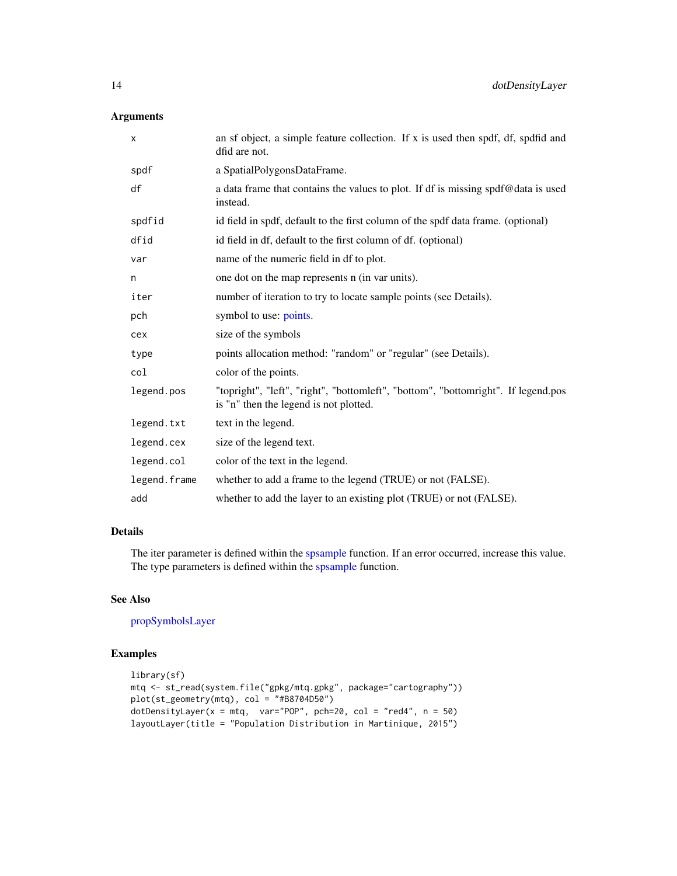## <span id="page-13-0"></span>Arguments

| X            | an sf object, a simple feature collection. If x is used then spdf, df, spdfid and<br>dfid are not.                          |
|--------------|-----------------------------------------------------------------------------------------------------------------------------|
| spdf         | a SpatialPolygonsDataFrame.                                                                                                 |
| df           | a data frame that contains the values to plot. If df is missing spdf@data is used<br>instead.                               |
| spdfid       | id field in spdf, default to the first column of the spdf data frame. (optional)                                            |
| dfid         | id field in df, default to the first column of df. (optional)                                                               |
| var          | name of the numeric field in df to plot.                                                                                    |
| n            | one dot on the map represents n (in var units).                                                                             |
| iter         | number of iteration to try to locate sample points (see Details).                                                           |
| pch          | symbol to use: points.                                                                                                      |
| cex          | size of the symbols                                                                                                         |
| type         | points allocation method: "random" or "regular" (see Details).                                                              |
| col          | color of the points.                                                                                                        |
| legend.pos   | "topright", "left", "right", "bottomleft", "bottom", "bottomright". If legend.pos<br>is "n" then the legend is not plotted. |
| legend.txt   | text in the legend.                                                                                                         |
| legend.cex   | size of the legend text.                                                                                                    |
| legend.col   | color of the text in the legend.                                                                                            |
| legend.frame | whether to add a frame to the legend (TRUE) or not (FALSE).                                                                 |
| add          | whether to add the layer to an existing plot (TRUE) or not (FALSE).                                                         |

#### Details

The iter parameter is defined within the [spsample](#page-0-0) function. If an error occurred, increase this value. The type parameters is defined within the [spsample](#page-0-0) function.

## See Also

[propSymbolsLayer](#page-49-1)

## Examples

```
library(sf)
mtq <- st_read(system.file("gpkg/mtq.gpkg", package="cartography"))
plot(st_geometry(mtq), col = "#B8704D50")
dotDensityLayer(x = mtq, var="POP", pch=20, col = "red4", n = 50)
layoutLayer(title = "Population Distribution in Martinique, 2015")
```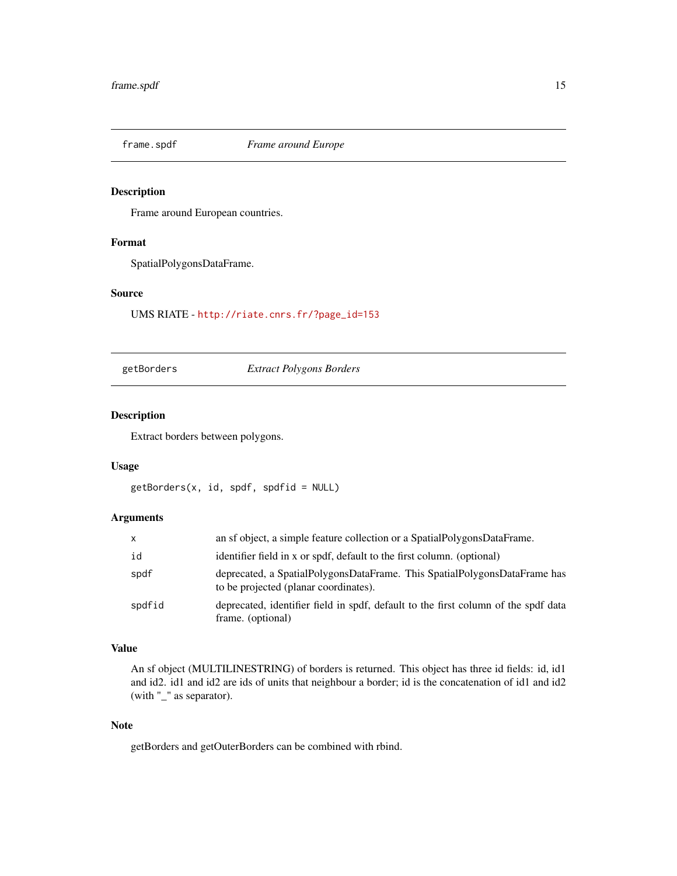<span id="page-14-0"></span>

## **Description**

Frame around European countries.

#### Format

SpatialPolygonsDataFrame.

#### Source

UMS RIATE - [http://riate.cnrs.fr/?page\\_id=153](http://riate.cnrs.fr/?page_id=153)

#### <span id="page-14-1"></span>getBorders *Extract Polygons Borders*

#### Description

Extract borders between polygons.

#### Usage

```
getBorders(x, id, spdf, spdfid = NULL)
```
#### Arguments

| $\mathsf{X}$ | an sf object, a simple feature collection or a SpatialPolygonsDataFrame.                                           |
|--------------|--------------------------------------------------------------------------------------------------------------------|
| id           | identifier field in x or spdf, default to the first column. (optional)                                             |
| spdf         | deprecated, a SpatialPolygonsDataFrame. This SpatialPolygonsDataFrame has<br>to be projected (planar coordinates). |
| spdfid       | deprecated, identifier field in spdf, default to the first column of the spdf data<br>frame. (optional)            |

#### Value

An sf object (MULTILINESTRING) of borders is returned. This object has three id fields: id, id1 and id2. id1 and id2 are ids of units that neighbour a border; id is the concatenation of id1 and id2 (with "\_" as separator).

### Note

getBorders and getOuterBorders can be combined with rbind.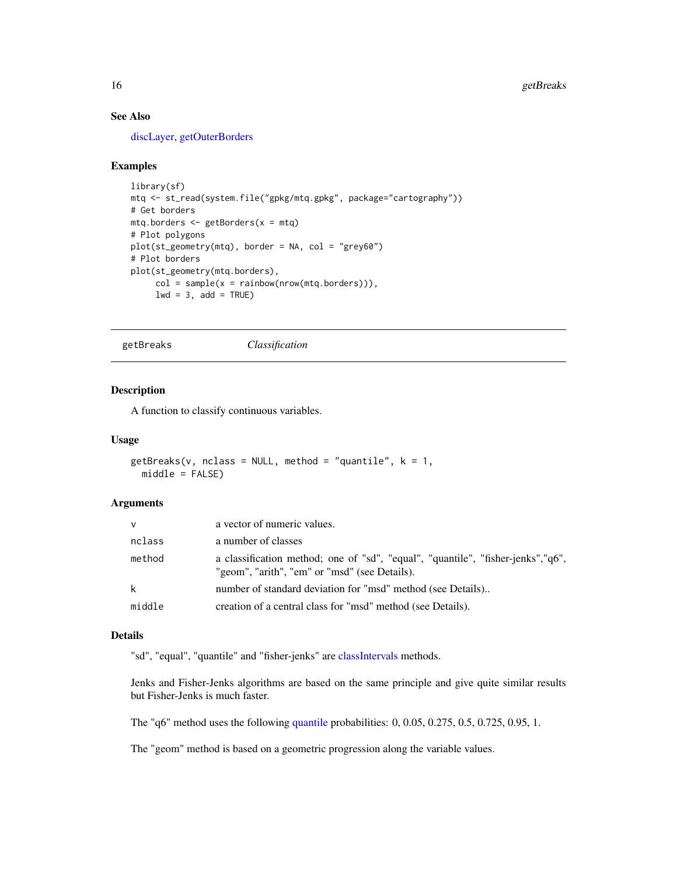## <span id="page-15-0"></span>See Also

[discLayer,](#page-9-1) [getOuterBorders](#page-20-1)

#### Examples

```
library(sf)
mtq <- st_read(system.file("gpkg/mtq.gpkg", package="cartography"))
# Get borders
mtq.borders <- getBorders(x = mtq)
# Plot polygons
plot(st_geometry(mtq), border = NA, col = "grey60")
# Plot borders
plot(st_geometry(mtq.borders),
    col = sample(x = rainbow(nrow(mtq.borders))),lwd = 3, add = TRUE)
```
<span id="page-15-1"></span>getBreaks *Classification*

## Description

A function to classify continuous variables.

#### Usage

```
getBreaks(v, nclass = NULL, method = "quantile", k = 1,middle = FALSE)
```
#### Arguments

| $\vee$ | a vector of numeric values.                                                                                                      |
|--------|----------------------------------------------------------------------------------------------------------------------------------|
| nclass | a number of classes                                                                                                              |
| method | a classification method; one of "sd", "equal", "quantile", "fisher-jenks","q6",<br>"geom", "arith", "em" or "msd" (see Details). |
| k      | number of standard deviation for "msd" method (see Details)                                                                      |
| middle | creation of a central class for "msd" method (see Details).                                                                      |

#### Details

"sd", "equal", "quantile" and "fisher-jenks" are [classIntervals](#page-0-0) methods.

Jenks and Fisher-Jenks algorithms are based on the same principle and give quite similar results but Fisher-Jenks is much faster.

The "q6" method uses the following [quantile](#page-0-0) probabilities: 0, 0.05, 0.275, 0.5, 0.725, 0.95, 1.

The "geom" method is based on a geometric progression along the variable values.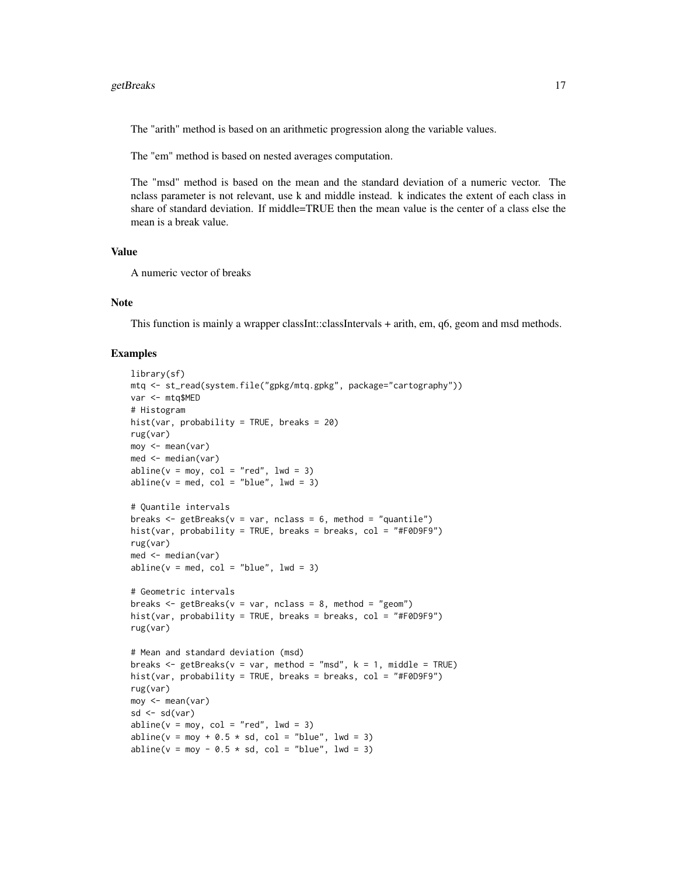#### getBreaks 17

The "arith" method is based on an arithmetic progression along the variable values.

The "em" method is based on nested averages computation.

The "msd" method is based on the mean and the standard deviation of a numeric vector. The nclass parameter is not relevant, use k and middle instead. k indicates the extent of each class in share of standard deviation. If middle=TRUE then the mean value is the center of a class else the mean is a break value.

#### Value

A numeric vector of breaks

#### Note

This function is mainly a wrapper classInt::classIntervals + arith, em, q6, geom and msd methods.

#### Examples

```
library(sf)
mtq <- st_read(system.file("gpkg/mtq.gpkg", package="cartography"))
var <- mtq$MED
# Histogram
hist(var, probability = TRUE, breaks = 20)
rug(var)
moy \leftarrow mean(var)med <- median(var)
abline(v = moy, col = "red", lwd = 3)abline(v = med, col = "blue", lwd = 3)# Quantile intervals
breaks \leq getBreaks(v = var, nclass = 6, method = "quantile")
hist(var, probability = TRUE, breaks = breaks, col = "#F0D9F9")
rug(var)
med <- median(var)
abline(v = med, col = "blue", lwd = 3)# Geometric intervals
breaks \leq getBreaks(v = var, nclass = 8, method = "geom")
hist(var, probability = TRUE, breaks = breaks, col = "#F0D9F9")
rug(var)
# Mean and standard deviation (msd)
breaks \leq getBreaks(v = var, method = "msd", k = 1, middle = TRUE)
hist(var, probability = TRUE, breaks = breaks, col = "#F0D9F9")
rug(var)
moy <- mean(var)
sd \leftarrow sd(var)abline(v = moy, col = "red", lwd = 3)abline(v = moy + 0.5 * sd, col = "blue", lwd = 3)abline(v = moy - 0.5 * sd, col = "blue", lwd = 3)
```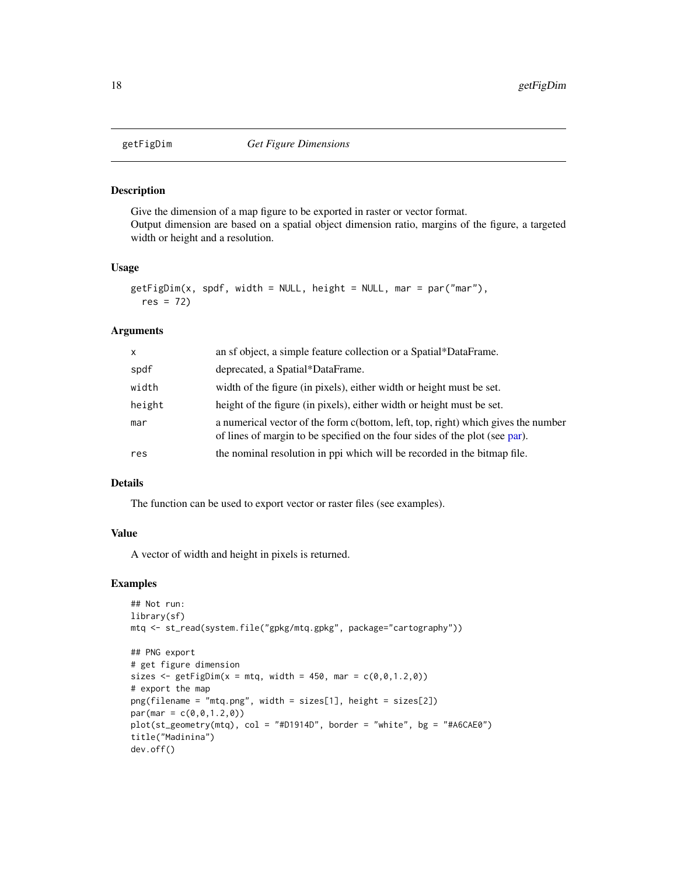<span id="page-17-0"></span>

#### Description

Give the dimension of a map figure to be exported in raster or vector format. Output dimension are based on a spatial object dimension ratio, margins of the figure, a targeted width or height and a resolution.

#### Usage

```
getFigDim(x, spdf, width = NULL, height = NULL, mar = par("mar"),res = 72)
```
#### Arguments

| X      | an sf object, a simple feature collection or a Spatial*DataFrame.                                                                                                |
|--------|------------------------------------------------------------------------------------------------------------------------------------------------------------------|
| spdf   | deprecated, a Spatial*DataFrame.                                                                                                                                 |
| width  | width of the figure (in pixels), either width or height must be set.                                                                                             |
| height | height of the figure (in pixels), either width or height must be set.                                                                                            |
| mar    | a numerical vector of the form c(bottom, left, top, right) which gives the number<br>of lines of margin to be specified on the four sides of the plot (see par). |
| res    | the nominal resolution in ppi which will be recorded in the bitmap file.                                                                                         |

## Details

The function can be used to export vector or raster files (see examples).

#### Value

A vector of width and height in pixels is returned.

## Examples

```
## Not run:
library(sf)
mtq <- st_read(system.file("gpkg/mtq.gpkg", package="cartography"))
## PNG export
# get figure dimension
sizes \leq getFigDim(x = mtq, width = 450, mar = c(0,0,1.2,0))
# export the map
png(filename = "mtq.png", width = sizes[1], height = sizes[2])
par(max = c(0, 0, 1.2, 0))plot(st_geometry(mtq), col = "#D1914D", border = "white", bg = "#A6CAE0")
title("Madinina")
dev.off()
```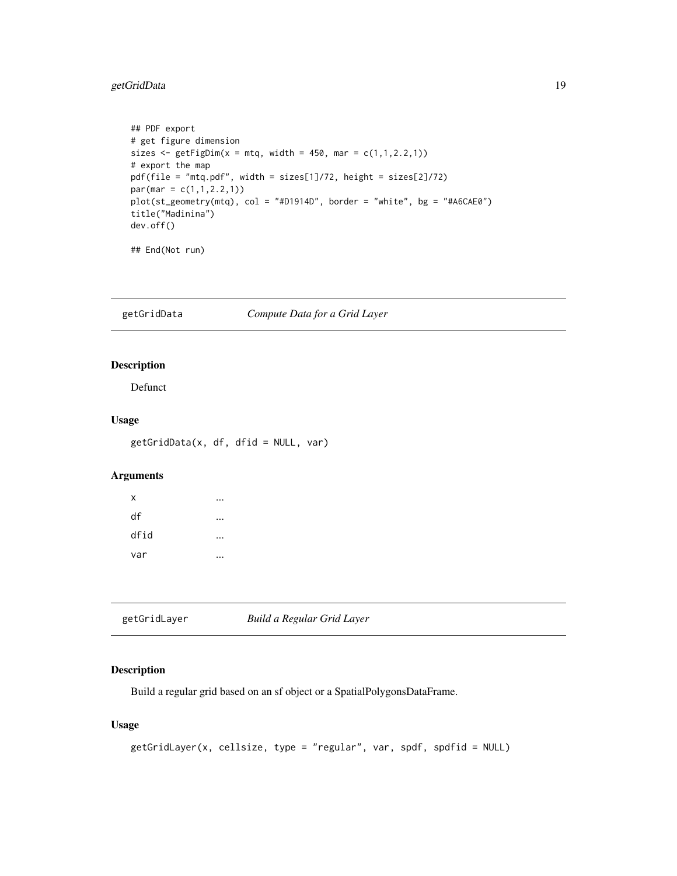## <span id="page-18-0"></span>getGridData 19

```
## PDF export
# get figure dimension
sizes \leq getFigDim(x = mtq, width = 450, mar = c(1,1,2.2,1))
# export the map
pdf(file = "mtq.pdf", width = sizes[1]/72, height = sizes[2]/72)
par(max = c(1, 1, 2.2, 1))plot(st_geometry(mtq), col = "#D1914D", border = "white", bg = "#A6CAE0")
title("Madinina")
dev.off()
## End(Not run)
```
getGridData *Compute Data for a Grid Layer*

## Description

Defunct

## Usage

getGridData(x, df, dfid = NULL, var)

## Arguments

| Χ    |  |
|------|--|
| df   |  |
| dfid |  |
| var  |  |

<span id="page-18-1"></span>getGridLayer *Build a Regular Grid Layer*

#### Description

Build a regular grid based on an sf object or a SpatialPolygonsDataFrame.

```
getGridLayer(x, cellsize, type = "regular", var, spdf, spdfid = NULL)
```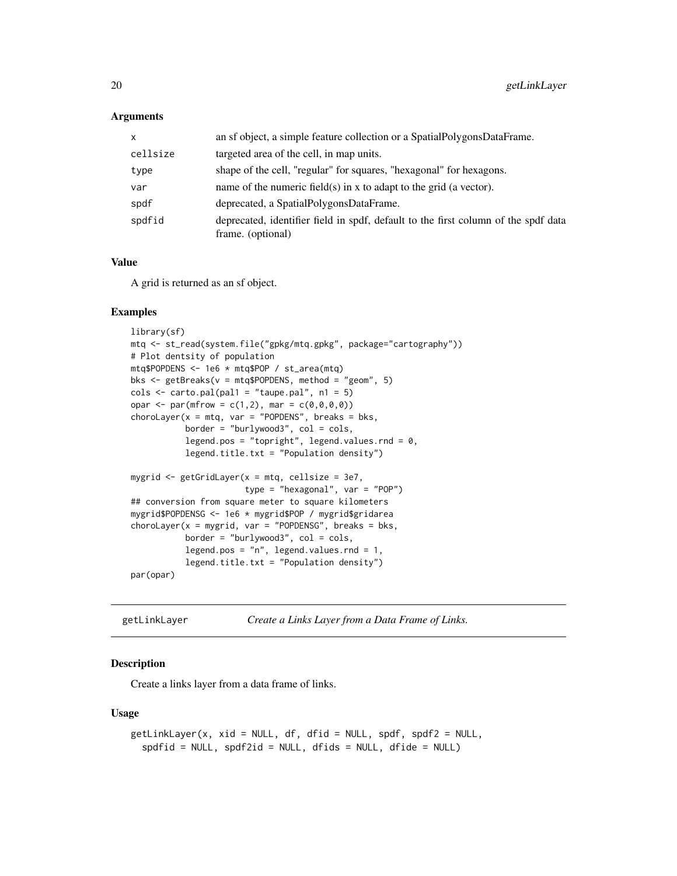#### **Arguments**

| $\mathsf{x}$ | an sf object, a simple feature collection or a SpatialPolygonsDataFrame.                                |
|--------------|---------------------------------------------------------------------------------------------------------|
| cellsize     | targeted area of the cell, in map units.                                                                |
| type         | shape of the cell, "regular" for squares, "hexagonal" for hexagons.                                     |
| var          | name of the numeric field(s) in x to adapt to the grid (a vector).                                      |
| spdf         | deprecated, a SpatialPolygonsDataFrame.                                                                 |
| spdfid       | deprecated, identifier field in spdf, default to the first column of the spdf data<br>frame. (optional) |

#### Value

A grid is returned as an sf object.

#### Examples

```
library(sf)
mtq <- st_read(system.file("gpkg/mtq.gpkg", package="cartography"))
# Plot dentsity of population
mtq$POPDENS <- 1e6 * mtq$POP / st_area(mtq)
bks <- getBreaks(v = mtq$POPDENS, method = "geom", 5)
\text{cols} \leq \text{carto.pal(pal1 = "taupe.pal", n1 = 5})opar <- par(mfrow = c(1,2), mar = c(0,0,0,0))
chorolayer(x = mtq, var = "POPDENS", breaks = bks,border = "burlywood3", col = cols,legend.pos = "topright", legend.values.rnd = 0,
           legend.title.txt = "Population density")
mygrid <- getGridLayer(x = mtq, cellsize = 3e7,
                       type = "hexagonal", var = "POP")
## conversion from square meter to square kilometers
mygrid$POPDENSG <- 1e6 * mygrid$POP / mygrid$gridarea
chorolayer(x = mygrid, var = "POPDENSG", breaks = bks,border = "burlywood3", col = cols,
           legend.pos = "n", legend.values.rnd = 1,
           legend.title.txt = "Population density")
par(opar)
```
<span id="page-19-1"></span>getLinkLayer *Create a Links Layer from a Data Frame of Links.*

## Description

Create a links layer from a data frame of links.

```
getLinkLayer(x, xid = NULL, df, dfid = NULL, spdf, spdf2 = NULL,spdfid = NULL, spdf2id = NULL, dfids = NULL, dfide = NULL)
```
<span id="page-19-0"></span>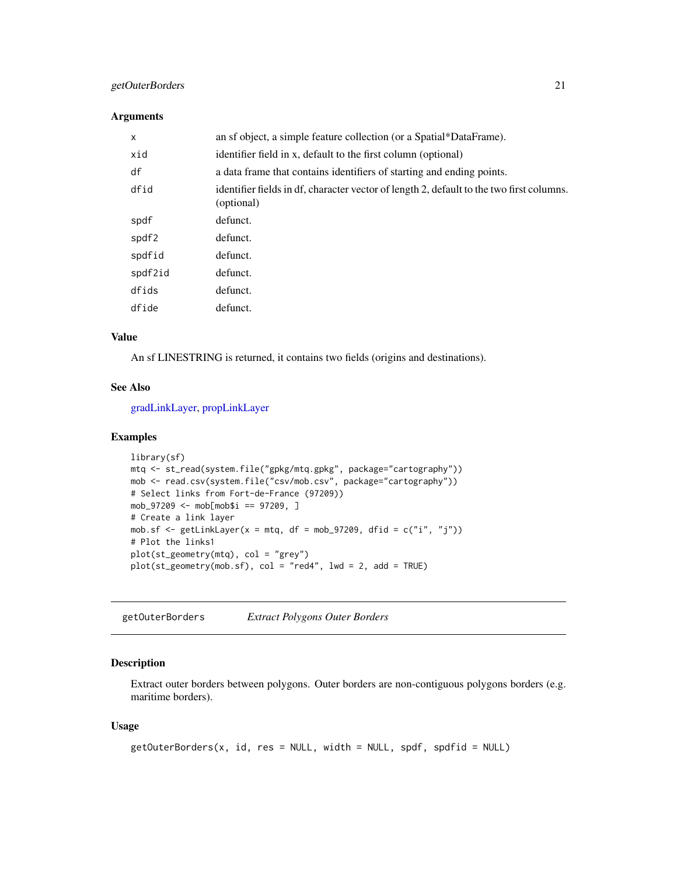## <span id="page-20-0"></span>getOuterBorders 21

#### Arguments

| X       | an sf object, a simple feature collection (or a Spatial*DataFrame).                                    |
|---------|--------------------------------------------------------------------------------------------------------|
| xid     | identifier field in x, default to the first column (optional)                                          |
| df      | a data frame that contains identifiers of starting and ending points.                                  |
| dfid    | identifier fields in df, character vector of length 2, default to the two first columns.<br>(optional) |
| spdf    | defunct.                                                                                               |
| spdf2   | defunct.                                                                                               |
| spdfid  | defunct.                                                                                               |
| spdf2id | defunct.                                                                                               |
| dfids   | defunct.                                                                                               |
| dfide   | defunct.                                                                                               |

## Value

An sf LINESTRING is returned, it contains two fields (origins and destinations).

#### See Also

[gradLinkLayer,](#page-24-1) [propLinkLayer](#page-45-1)

#### Examples

```
library(sf)
mtq <- st_read(system.file("gpkg/mtq.gpkg", package="cartography"))
mob <- read.csv(system.file("csv/mob.csv", package="cartography"))
# Select links from Fort-de-France (97209))
mob_97209 <- mob[mob$i == 97209, ]
# Create a link layer
mob.sf <- getLinkLayer(x = mtq, df = mob_97209, dfid = c("i", "j"))
# Plot the links1
plot(st_geometry(mtq), col = "grey")
plot(st\_geometry(mob.sf), col = "red4", lwd = 2, add = TRUE)
```
<span id="page-20-1"></span>getOuterBorders *Extract Polygons Outer Borders*

#### Description

Extract outer borders between polygons. Outer borders are non-contiguous polygons borders (e.g. maritime borders).

```
getOuterBorders(x, id, res = NULL, width = NULL, spdf, spdfid = NULL)
```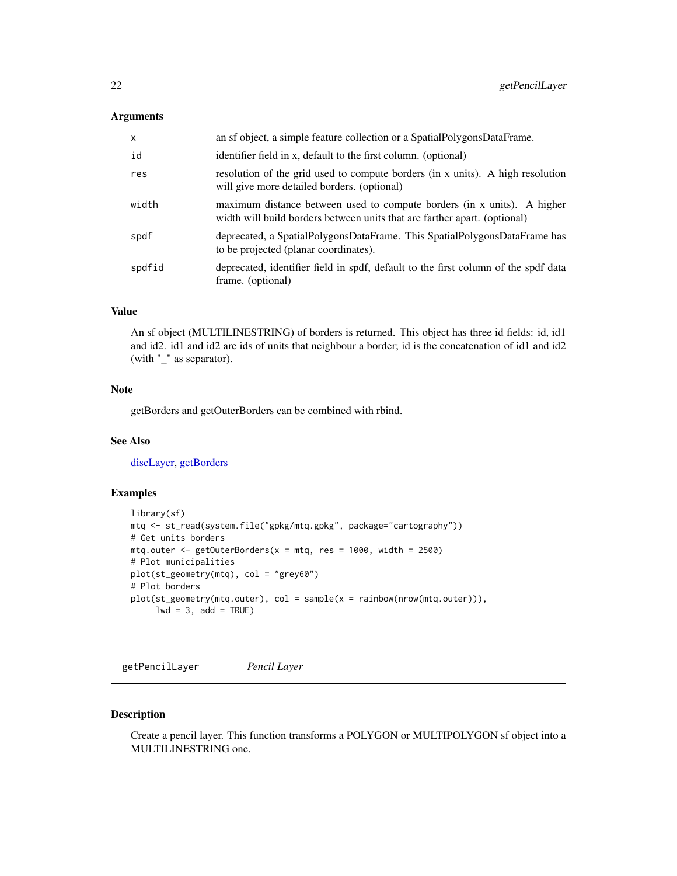#### <span id="page-21-0"></span>Arguments

| $\mathsf{x}$ | an sf object, a simple feature collection or a SpatialPolygonsDataFrame.                                                                             |
|--------------|------------------------------------------------------------------------------------------------------------------------------------------------------|
| id           | identifier field in x, default to the first column. (optional)                                                                                       |
| res          | resolution of the grid used to compute borders (in x units). A high resolution<br>will give more detailed borders. (optional)                        |
| width        | maximum distance between used to compute borders (in x units). A higher<br>width will build borders between units that are farther apart. (optional) |
| spdf         | deprecated, a SpatialPolygonsDataFrame. This SpatialPolygonsDataFrame has<br>to be projected (planar coordinates).                                   |
| spdfid       | deprecated, identifier field in spdf, default to the first column of the spdf data<br>frame. (optional)                                              |

#### Value

An sf object (MULTILINESTRING) of borders is returned. This object has three id fields: id, id1 and id2. id1 and id2 are ids of units that neighbour a border; id is the concatenation of id1 and id2 (with "\_" as separator).

### Note

getBorders and getOuterBorders can be combined with rbind.

#### See Also

[discLayer,](#page-9-1) [getBorders](#page-14-1)

## Examples

```
library(sf)
mtq <- st_read(system.file("gpkg/mtq.gpkg", package="cartography"))
# Get units borders
mtq.outer \leq getOuterBorders(x = mtq, res = 1000, width = 2500)
# Plot municipalities
plot(st_geometry(mtq), col = "grey60")
# Plot borders
plot(st_geometry(mtq.outer), col = sample(x = rainbow(nrow(mtq.outer))),
     lwd = 3, add = TRUE)
```
getPencilLayer *Pencil Layer*

#### Description

Create a pencil layer. This function transforms a POLYGON or MULTIPOLYGON sf object into a MULTILINESTRING one.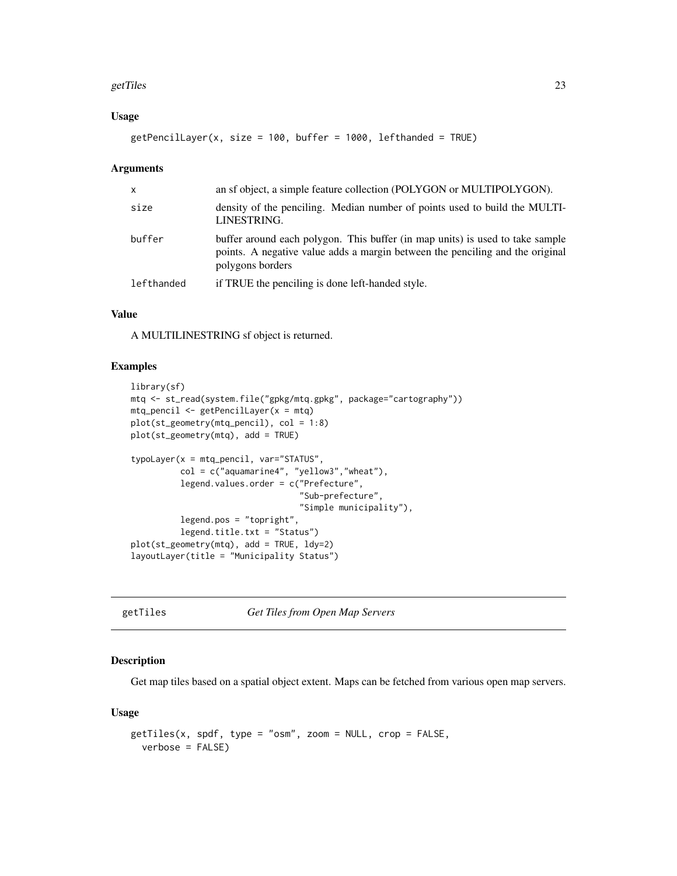#### <span id="page-22-0"></span>getTiles 23

## Usage

 $getPencilLayer(x, size = 100, buffer = 1000, left-handed = TRUE)$ 

#### Arguments

| $\mathsf{x}$ | an sf object, a simple feature collection (POLYGON or MULTIPOLYGON).                                                                                                               |
|--------------|------------------------------------------------------------------------------------------------------------------------------------------------------------------------------------|
| size         | density of the penciling. Median number of points used to build the MULTI-<br>LINESTRING.                                                                                          |
| buffer       | buffer around each polygon. This buffer (in map units) is used to take sample<br>points. A negative value adds a margin between the penciling and the original<br>polygons borders |
| lefthanded   | if TRUE the penciling is done left-handed style.                                                                                                                                   |

## Value

A MULTILINESTRING sf object is returned.

## Examples

```
library(sf)
mtq <- st_read(system.file("gpkg/mtq.gpkg", package="cartography"))
mtq_pencil <- getPencilLayer(x = mtq)
plot(st_geometry(mtq_pencil), col = 1:8)
plot(st_geometry(mtq), add = TRUE)
typoLayer(x = mtq_pencil, var="STATUS",
          col = c("aquamarine4", "yellow3","wheat"),
          legend.values.order = c("Prefecture",
                                  "Sub-prefecture",
                                  "Simple municipality"),
          legend.pos = "topright",
          legend.title.txt = "Status")
plot(st_geometry(mtq), add = TRUE, ldy=2)
layoutLayer(title = "Municipality Status")
```
<span id="page-22-1"></span>getTiles *Get Tiles from Open Map Servers*

## Description

Get map tiles based on a spatial object extent. Maps can be fetched from various open map servers.

```
getTiles(x, spdf, type = "osm", zoom = NULL, crop = FALSE,
 verbose = FALSE)
```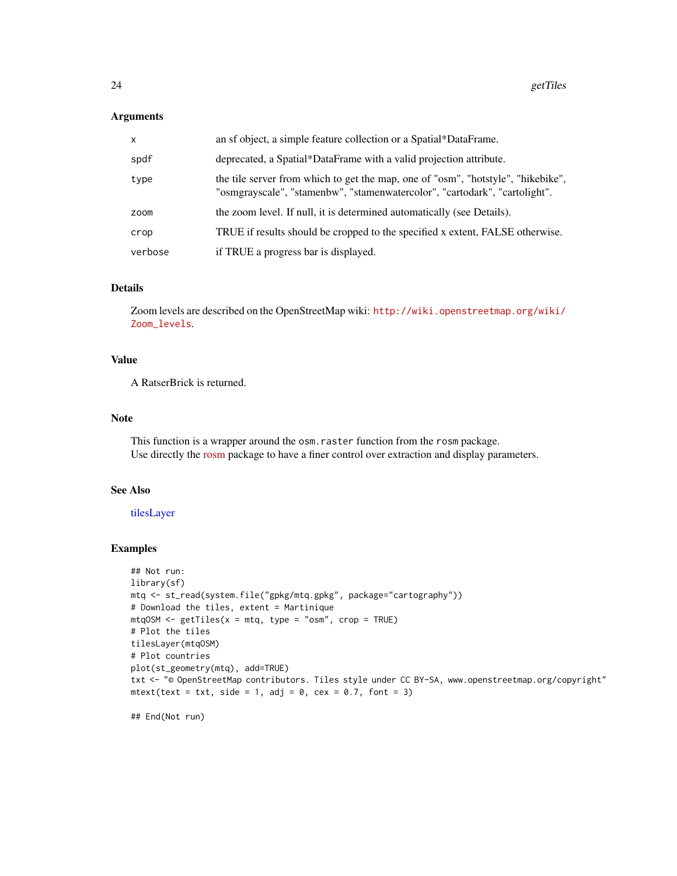#### <span id="page-23-0"></span>Arguments

| X       | an sf object, a simple feature collection or a Spatial*DataFrame.                                                                                              |
|---------|----------------------------------------------------------------------------------------------------------------------------------------------------------------|
| spdf    | deprecated, a Spatial*DataFrame with a valid projection attribute.                                                                                             |
| type    | the tile server from which to get the map, one of "osm", "hotstyle", "hikebike",<br>"osmgrayscale", "stamenbw", "stamenwatercolor", "cartodark", "cartolight". |
| zoom    | the zoom level. If null, it is determined automatically (see Details).                                                                                         |
| crop    | TRUE if results should be cropped to the specified x extent, FALSE otherwise.                                                                                  |
| verbose | if TRUE a progress bar is displayed.                                                                                                                           |

## Details

Zoom levels are described on the OpenStreetMap wiki: [http://wiki.openstreetmap.org/wiki/](http://wiki.openstreetmap.org/wiki/Zoom_levels) [Zoom\\_levels](http://wiki.openstreetmap.org/wiki/Zoom_levels).

## Value

A RatserBrick is returned.

#### Note

This function is a wrapper around the osm.raster function from the rosm package. Use directly the [rosm](https://CRAN.R-project.org/package=rosm) package to have a finer control over extraction and display parameters.

#### See Also

#### [tilesLayer](#page-56-1)

#### Examples

```
## Not run:
library(sf)
mtq <- st_read(system.file("gpkg/mtq.gpkg", package="cartography"))
# Download the tiles, extent = Martinique
mtqOSM <- getTiles(x = mtq, type = "osm", crop = TRUE)
# Plot the tiles
tilesLayer(mtqOSM)
# Plot countries
plot(st_geometry(mtq), add=TRUE)
txt <- "© OpenStreetMap contributors. Tiles style under CC BY-SA, www.openstreetmap.org/copyright"
mtext{text}(\text{text} = \text{txt}, \text{side} = 1, \text{adj} = 0, \text{cex} = 0.7, \text{font} = 3)
```
## End(Not run)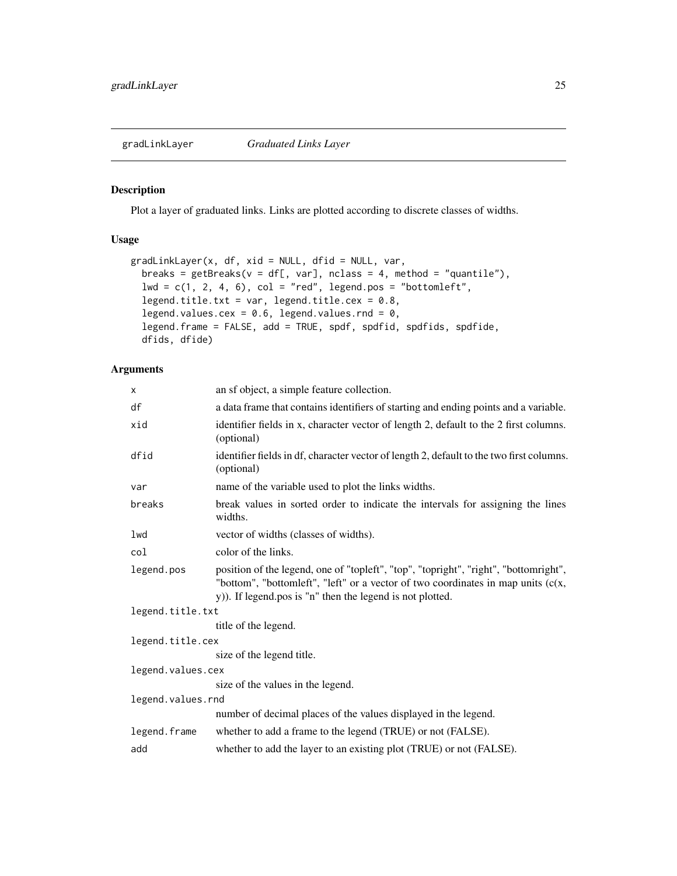<span id="page-24-1"></span><span id="page-24-0"></span>

#### Description

Plot a layer of graduated links. Links are plotted according to discrete classes of widths.

### Usage

```
gradLinkLayer(x, df, xid = NULL, dfid = NULL, var,
 breaks = getBreaks(v = df[, var], nclass = 4, method = "quantile"),lwd = c(1, 2, 4, 6), col = "red", legend.pos = "bottomleft",legend.title.txt = var, legend.title.cex = 0.8,
  legend.values.cex = 0.6, legend.values.rnd = 0,
  legend.frame = FALSE, add = TRUE, spdf, spdfid, spdfids, spdfide,
  dfids, dfide)
```

| X                 | an sf object, a simple feature collection.                                                                                                                                                                                              |
|-------------------|-----------------------------------------------------------------------------------------------------------------------------------------------------------------------------------------------------------------------------------------|
| df                | a data frame that contains identifiers of starting and ending points and a variable.                                                                                                                                                    |
| xid               | identifier fields in x, character vector of length 2, default to the 2 first columns.<br>(optional)                                                                                                                                     |
| dfid              | identifier fields in df, character vector of length 2, default to the two first columns.<br>(optional)                                                                                                                                  |
| var               | name of the variable used to plot the links widths.                                                                                                                                                                                     |
| breaks            | break values in sorted order to indicate the intervals for assigning the lines<br>widths.                                                                                                                                               |
| lwd               | vector of widths (classes of widths).                                                                                                                                                                                                   |
| col               | color of the links.                                                                                                                                                                                                                     |
| legend.pos        | position of the legend, one of "topleft", "top", "topright", "right", "bottomright",<br>"bottom", "bottomleft", "left" or a vector of two coordinates in map units $(c(x,$<br>y)). If legend pos is "n" then the legend is not plotted. |
| legend.title.txt  |                                                                                                                                                                                                                                         |
|                   | title of the legend.                                                                                                                                                                                                                    |
| legend.title.cex  |                                                                                                                                                                                                                                         |
|                   | size of the legend title.                                                                                                                                                                                                               |
| legend.values.cex |                                                                                                                                                                                                                                         |
|                   | size of the values in the legend.                                                                                                                                                                                                       |
| legend.values.rnd |                                                                                                                                                                                                                                         |
|                   | number of decimal places of the values displayed in the legend.                                                                                                                                                                         |
| legend.frame      | whether to add a frame to the legend (TRUE) or not (FALSE).                                                                                                                                                                             |
| add               | whether to add the layer to an existing plot (TRUE) or not (FALSE).                                                                                                                                                                     |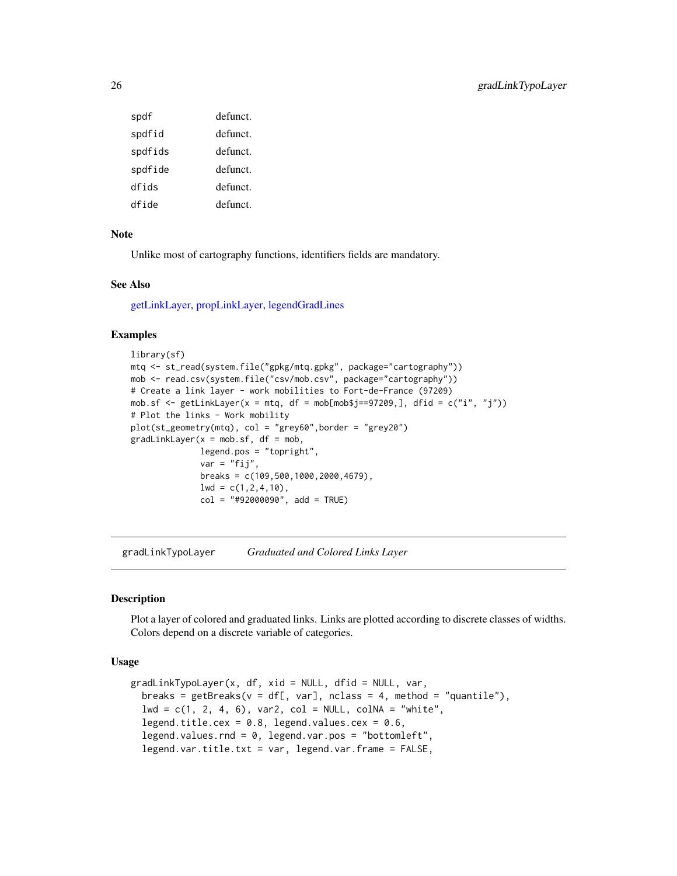<span id="page-25-0"></span>

| spdf    | defunct  |
|---------|----------|
| spdfid  | defunct. |
| spdfids | defunct. |
| spdfide | defunct. |
| dfids   | defunct. |
| dfide   | defunct  |

#### Note

Unlike most of cartography functions, identifiers fields are mandatory.

#### See Also

[getLinkLayer,](#page-19-1) [propLinkLayer,](#page-45-1) [legendGradLines](#page-34-1)

## Examples

```
library(sf)
mtq <- st_read(system.file("gpkg/mtq.gpkg", package="cartography"))
mob <- read.csv(system.file("csv/mob.csv", package="cartography"))
# Create a link layer - work mobilities to Fort-de-France (97209)
mob.sf <- getLinkLayer(x = mtq, df = mob[mob$j==97209,], dfid = c("i", "j"))
# Plot the links - Work mobility
plot(st_geometry(mtq), col = "grey60",border = "grey20")
gradLinkLayer(x = mob.sf, df = mob,legend.pos = "topright",
              var = "fij",breaks = c(109,500,1000,2000,4679),
              lwd = c(1, 2, 4, 10),
              col = "#92000090", add = TRUE)
```
<span id="page-25-1"></span>gradLinkTypoLayer *Graduated and Colored Links Layer*

#### **Description**

Plot a layer of colored and graduated links. Links are plotted according to discrete classes of widths. Colors depend on a discrete variable of categories.

```
gradLinkTypeLayer(x, df, xid = NULL, dfid = NULL, var,breaks = getBreaks(v = df[, var], nclass = 4, method = "quantile"),1wd = c(1, 2, 4, 6), \text{var2, col} = NULL, \text{colNA} = \text{"white",}legend.title.cex = 0.8, legend.values.cex = 0.6,
  legend.values.rnd = 0, legend.var.pos = "bottomleft",
  legend.var.title.txt = var, legend.var.frame = FALSE,
```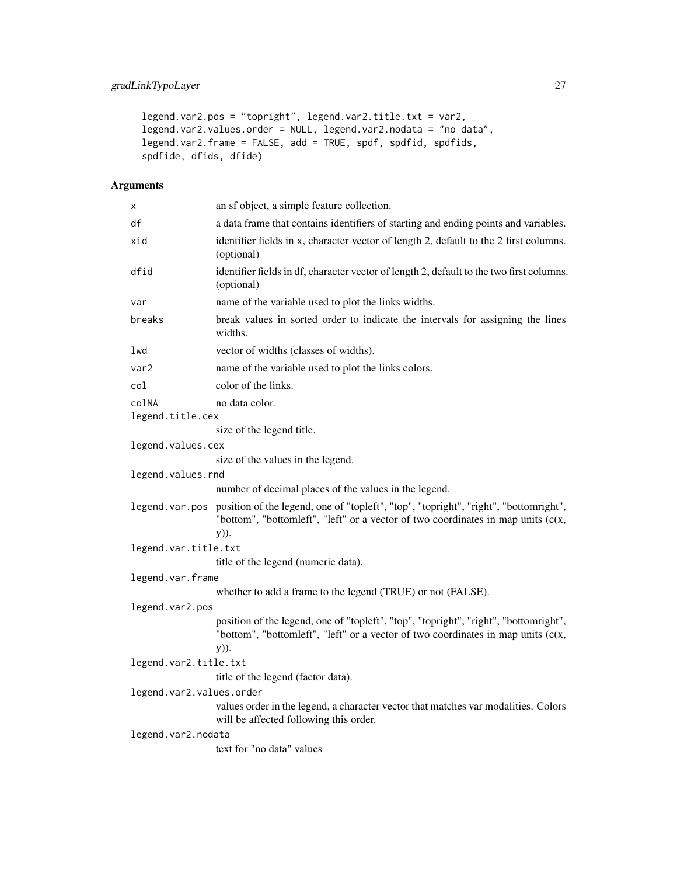## gradLinkTypoLayer 27

```
legend.var2.pos = "topright", legend.var2.title.txt = var2,
legend.var2.values.order = NULL, legend.var2.nodata = "no data",
legend.var2.frame = FALSE, add = TRUE, spdf, spdfid, spdfids,
spdfide, dfids, dfide)
```

| х                        | an sf object, a simple feature collection.                                                                                                                                       |  |
|--------------------------|----------------------------------------------------------------------------------------------------------------------------------------------------------------------------------|--|
| df                       | a data frame that contains identifiers of starting and ending points and variables.                                                                                              |  |
| xid                      | identifier fields in x, character vector of length 2, default to the 2 first columns.<br>(optional)                                                                              |  |
| dfid                     | identifier fields in df, character vector of length 2, default to the two first columns.<br>(optional)                                                                           |  |
| var                      | name of the variable used to plot the links widths.                                                                                                                              |  |
| breaks                   | break values in sorted order to indicate the intervals for assigning the lines<br>widths.                                                                                        |  |
| lwd                      | vector of widths (classes of widths).                                                                                                                                            |  |
| var <sub>2</sub>         | name of the variable used to plot the links colors.                                                                                                                              |  |
| col                      | color of the links.                                                                                                                                                              |  |
| colNA                    | no data color.                                                                                                                                                                   |  |
| legend.title.cex         |                                                                                                                                                                                  |  |
|                          | size of the legend title.                                                                                                                                                        |  |
| legend.values.cex        |                                                                                                                                                                                  |  |
|                          | size of the values in the legend.                                                                                                                                                |  |
| legend.values.rnd        |                                                                                                                                                                                  |  |
|                          | number of decimal places of the values in the legend.                                                                                                                            |  |
| legend.var.pos           | position of the legend, one of "topleft", "top", "topright", "right", "bottomright",<br>"bottom", "bottomleft", "left" or a vector of two coordinates in map units (c(x,<br>y)). |  |
| legend.var.title.txt     |                                                                                                                                                                                  |  |
|                          | title of the legend (numeric data).                                                                                                                                              |  |
| legend.var.frame         |                                                                                                                                                                                  |  |
|                          | whether to add a frame to the legend (TRUE) or not (FALSE).                                                                                                                      |  |
| legend.var2.pos          |                                                                                                                                                                                  |  |
|                          | position of the legend, one of "topleft", "top", "topright", "right", "bottomright",<br>"bottom", "bottomleft", "left" or a vector of two coordinates in map units (c(x,         |  |
|                          | y)).                                                                                                                                                                             |  |
| legend.var2.title.txt    |                                                                                                                                                                                  |  |
|                          | title of the legend (factor data).                                                                                                                                               |  |
| legend.var2.values.order |                                                                                                                                                                                  |  |
|                          | values order in the legend, a character vector that matches var modalities. Colors<br>will be affected following this order.                                                     |  |
| legend.var2.nodata       |                                                                                                                                                                                  |  |
|                          | text for "no data" values                                                                                                                                                        |  |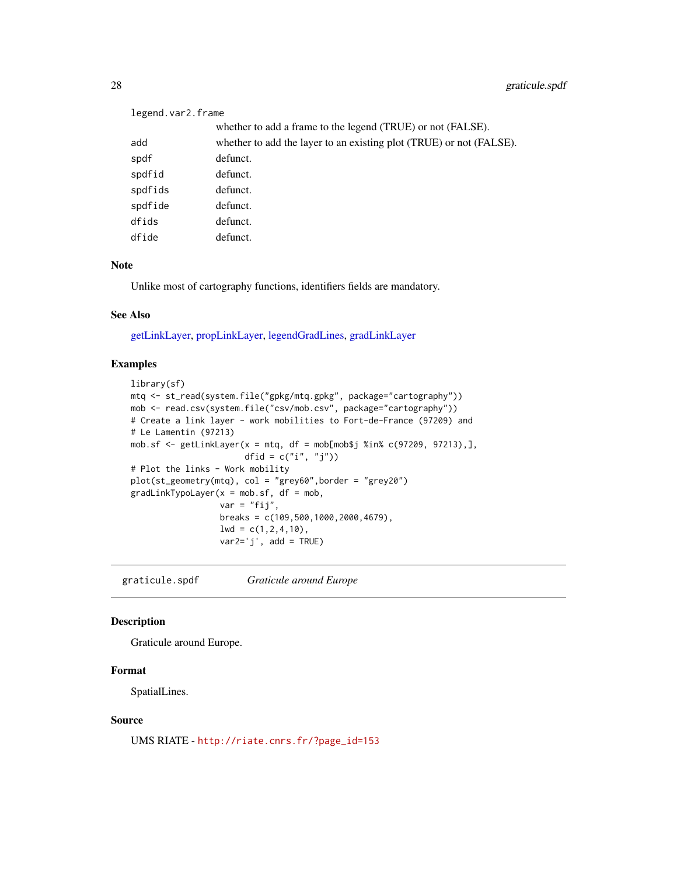## legend.var2.frame

whether to add a frame to the legend (TRUE) or not (FALSE). add whether to add the layer to an existing plot (TRUE) or not (FALSE). spdf defunct. spdfid defunct. spdfids defunct. spdfide defunct. dfids defunct. dfide defunct.

#### Note

Unlike most of cartography functions, identifiers fields are mandatory.

#### See Also

[getLinkLayer,](#page-19-1) [propLinkLayer,](#page-45-1) [legendGradLines,](#page-34-1) [gradLinkLayer](#page-24-1)

#### Examples

```
library(sf)
mtq <- st_read(system.file("gpkg/mtq.gpkg", package="cartography"))
mob <- read.csv(system.file("csv/mob.csv", package="cartography"))
# Create a link layer - work mobilities to Fort-de-France (97209) and
# Le Lamentin (97213)
mob.sf <- getLinkLayer(x = mtq, df = mob[mob$j %in% c(97209, 97213),],
                       dfid = c("i", "j"))
# Plot the links - Work mobility
plot(st_geometry(mtq), col = "grey60",border = "grey20")
gradLinkTypeLayer(x = mob.sf, df = mob,var = "fij",breaks = c(109,500,1000,2000,4679),
                  lwd = c(1, 2, 4, 10),
                  var2='j', add = TRUE)
```
graticule.spdf *Graticule around Europe*

#### Description

Graticule around Europe.

#### Format

SpatialLines.

#### Source

UMS RIATE - [http://riate.cnrs.fr/?page\\_id=153](http://riate.cnrs.fr/?page_id=153)

<span id="page-27-0"></span>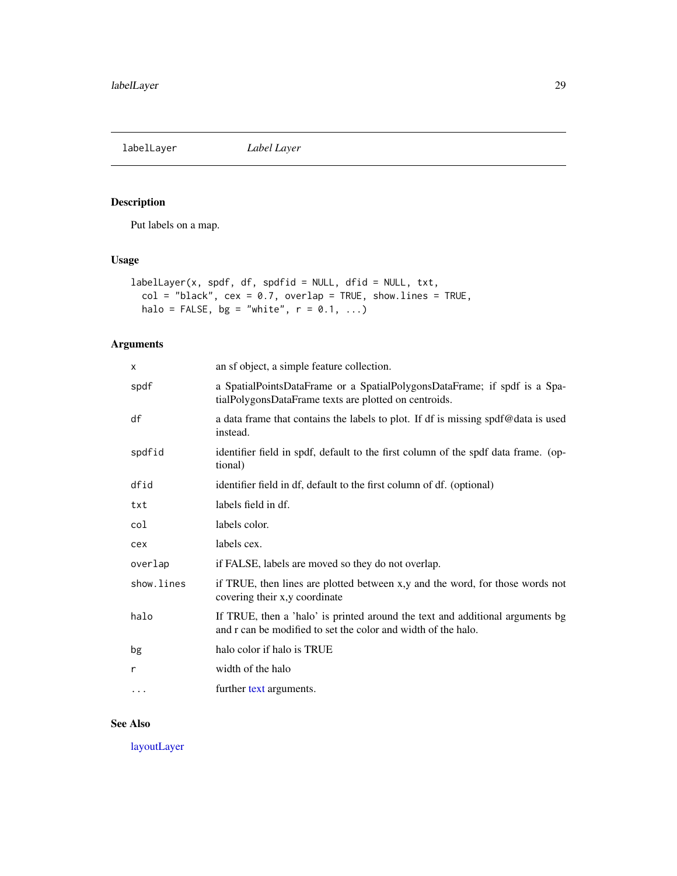<span id="page-28-1"></span><span id="page-28-0"></span>labelLayer *Label Layer*

## Description

Put labels on a map.

## Usage

```
labelLayer(x, spdf, df, spdfid = NULL, dfid = NULL, txt,
 col = "black", cex = 0.7, overlap = TRUE, show.lines = TRUE,halo = FALSE, bg = "white", r = 0.1, ...)
```
## Arguments

| X          | an sf object, a simple feature collection.                                                                                                     |
|------------|------------------------------------------------------------------------------------------------------------------------------------------------|
| spdf       | a SpatialPointsDataFrame or a SpatialPolygonsDataFrame; if spdf is a Spa-<br>tialPolygonsDataFrame texts are plotted on centroids.             |
| df         | a data frame that contains the labels to plot. If df is missing spdf@data is used<br>instead.                                                  |
| spdfid     | identifier field in spdf, default to the first column of the spdf data frame. (op-<br>tional)                                                  |
| dfid       | identifier field in df, default to the first column of df. (optional)                                                                          |
| txt        | labels field in df.                                                                                                                            |
| col        | labels color.                                                                                                                                  |
| cex        | labels cex.                                                                                                                                    |
| overlap    | if FALSE, labels are moved so they do not overlap.                                                                                             |
| show.lines | if TRUE, then lines are plotted between x,y and the word, for those words not<br>covering their x,y coordinate                                 |
| halo       | If TRUE, then a 'halo' is printed around the text and additional arguments bg<br>and r can be modified to set the color and width of the halo. |
| bg         | halo color if halo is TRUE                                                                                                                     |
| r          | width of the halo                                                                                                                              |
| $\cdots$   | further text arguments.                                                                                                                        |
|            |                                                                                                                                                |

## See Also

[layoutLayer](#page-29-1)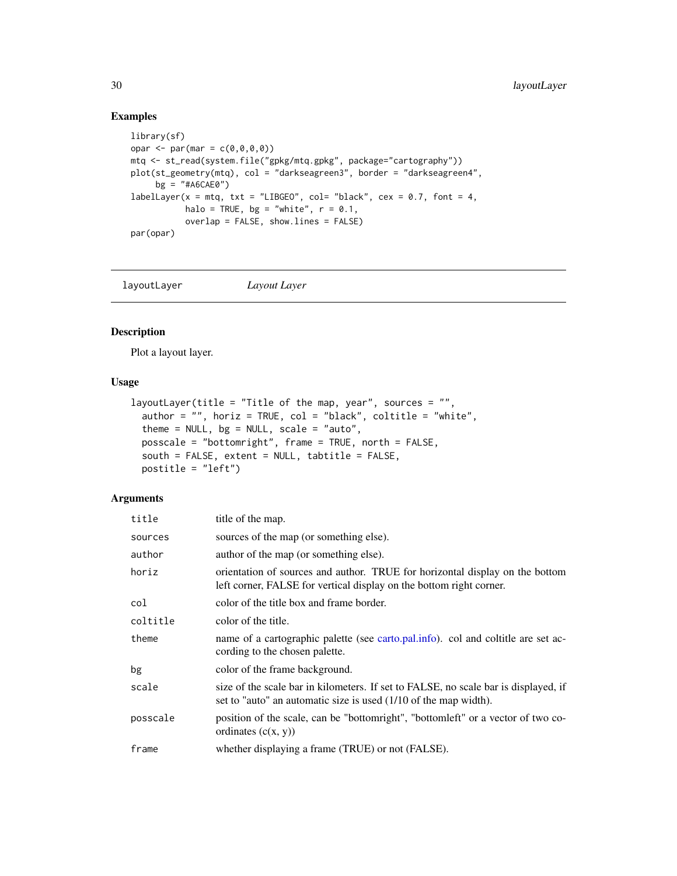```
library(sf)
opar \leq par(mar = c(0,0,0,0))
mtq <- st_read(system.file("gpkg/mtq.gpkg", package="cartography"))
plot(st_geometry(mtq), col = "darkseagreen3", border = "darkseagreen4",
    bg = "#A6CAE0")
labelLayer(x = mtq, txt = "LIBGE0", col = "black", cex = 0.7, font = 4,halo = TRUE, bg = "white", r = 0.1,overlap = FALSE, show.lines = FALSE)
par(opar)
```
<span id="page-29-1"></span>layoutLayer *Layout Layer*

#### Description

Plot a layout layer.

#### Usage

```
layoutLayer(title = "Title of the map, year", sources = "",
  author = "", horiz = TRUE, col = "black", coltitle = "white",
  theme = NULL, bg = NULL, scale = "auto",posscale = "bottomright", frame = TRUE, north = FALSE,
  south = FALSE, extent = NULL, tabtitle = FALSE,
 postitle = "left")
```

| title    | title of the map.                                                                                                                                       |
|----------|---------------------------------------------------------------------------------------------------------------------------------------------------------|
| sources  | sources of the map (or something else).                                                                                                                 |
| author   | author of the map (or something else).                                                                                                                  |
| horiz    | orientation of sources and author. TRUE for horizontal display on the bottom<br>left corner, FALSE for vertical display on the bottom right corner.     |
| col      | color of the title box and frame border.                                                                                                                |
| coltitle | color of the title.                                                                                                                                     |
| theme    | name of a cartographic palette (see carto.pal.info). col and coltitle are set ac-<br>cording to the chosen palette.                                     |
| bg       | color of the frame background.                                                                                                                          |
| scale    | size of the scale bar in kilometers. If set to FALSE, no scale bar is displayed, if<br>set to "auto" an automatic size is used (1/10 of the map width). |
| posscale | position of the scale, can be "bottomright", "bottomleft" or a vector of two co-<br>ordinates $(c(x, y))$                                               |
| frame    | whether displaying a frame (TRUE) or not (FALSE).                                                                                                       |

<span id="page-29-0"></span>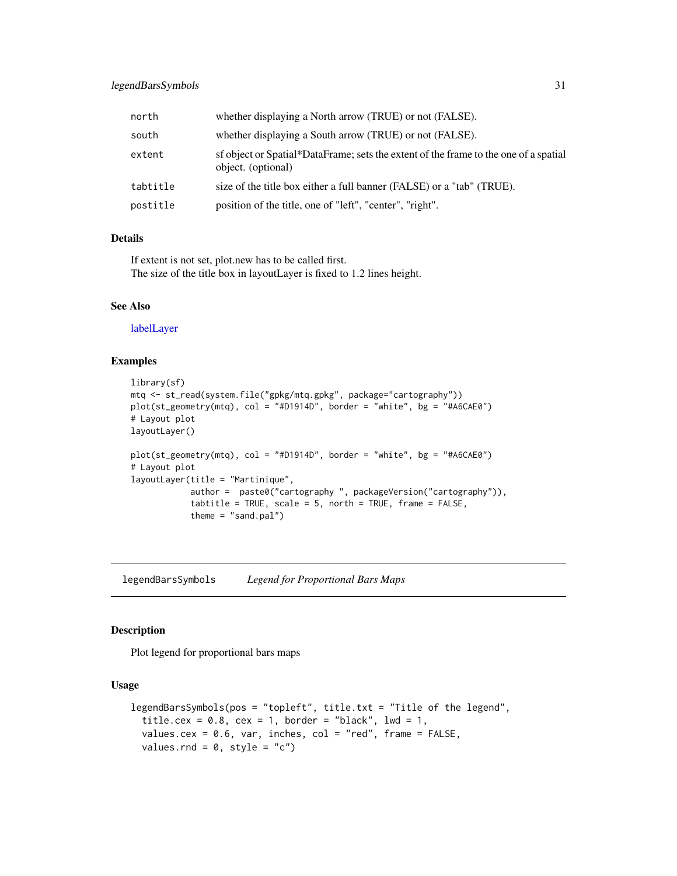## <span id="page-30-0"></span>legendBarsSymbols 31

| north    | whether displaying a North arrow (TRUE) or not (FALSE).                                                    |
|----------|------------------------------------------------------------------------------------------------------------|
| south    | whether displaying a South arrow (TRUE) or not (FALSE).                                                    |
| extent   | sf object or Spatial*DataFrame; sets the extent of the frame to the one of a spatial<br>object. (optional) |
| tabtitle | size of the title box either a full banner (FALSE) or a "tab" (TRUE).                                      |
| postitle | position of the title, one of "left", "center", "right".                                                   |

#### Details

If extent is not set, plot.new has to be called first. The size of the title box in layoutLayer is fixed to 1.2 lines height.

#### See Also

[labelLayer](#page-28-1)

#### Examples

```
library(sf)
mtq <- st_read(system.file("gpkg/mtq.gpkg", package="cartography"))
plot(st_geometry(mtq), col = "#D1914D", border = "white", bg = "#A6CAE0")
# Layout plot
layoutLayer()
plot(st_geometry(mtq), col = "#D1914D", border = "white", bg = "#A6CAE0")
# Layout plot
layoutLayer(title = "Martinique",
            author = paste0("cartography ", packageVersion("cartography")),
            tabtitle = TRUE, scale = 5, north = TRUE, frame = FALSE,
            theme = "sand.pal")
```
<span id="page-30-1"></span>legendBarsSymbols *Legend for Proportional Bars Maps*

#### Description

Plot legend for proportional bars maps

```
legendBarsSymbols(pos = "topleft", title.txt = "Title of the legend",
  title.cex = 0.8, cex = 1, border = "black", lwd = 1,
  values.cex = 0.6, var, inches, col = "red", frame = FALSE,
  values.rnd = 0, style = "c")
```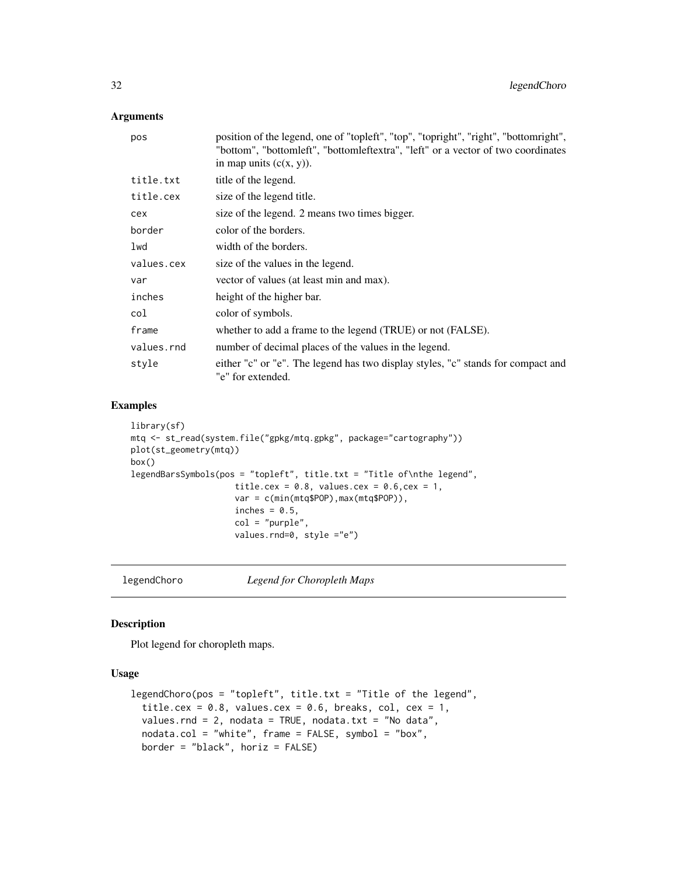## <span id="page-31-0"></span>Arguments

| pos        | position of the legend, one of "topleft", "top", "topright", "right", "bottomright",<br>"bottom", "bottomleft", "bottomleftextra", "left" or a vector of two coordinates<br>in map units $(c(x, y))$ . |
|------------|--------------------------------------------------------------------------------------------------------------------------------------------------------------------------------------------------------|
| title.txt  | title of the legend.                                                                                                                                                                                   |
| title.cex  | size of the legend title.                                                                                                                                                                              |
| cex        | size of the legend. 2 means two times bigger.                                                                                                                                                          |
| border     | color of the borders.                                                                                                                                                                                  |
| lwd        | width of the borders.                                                                                                                                                                                  |
| values.cex | size of the values in the legend.                                                                                                                                                                      |
| var        | vector of values (at least min and max).                                                                                                                                                               |
| inches     | height of the higher bar.                                                                                                                                                                              |
| col        | color of symbols.                                                                                                                                                                                      |
| frame      | whether to add a frame to the legend (TRUE) or not (FALSE).                                                                                                                                            |
| values.rnd | number of decimal places of the values in the legend.                                                                                                                                                  |
| style      | either "c" or "e". The legend has two display styles, "c" stands for compact and<br>"e" for extended.                                                                                                  |

## Examples

```
library(sf)
mtq <- st_read(system.file("gpkg/mtq.gpkg", package="cartography"))
plot(st_geometry(mtq))
box()
legendBarsSymbols(pos = "topleft", title.txt = "Title of\nthe legend",
                     title.cex = 0.8, values.cex = 0.6, cex = 1,
                     var = c(min(mtq$POP),max(mtq$POP)),
                     inches = 0.5,
                     col = "purple",
                     values.rnd=0, style ="e")
```
<span id="page-31-1"></span>

legendChoro *Legend for Choropleth Maps*

## Description

Plot legend for choropleth maps.

```
legendChoro(pos = "topleft", title.txt = "Title of the legend",
  title.cex = 0.8, values.cex = 0.6, breaks, col, cex = 1,
 values.rnd = 2, nodata = TRUE, nodata.txt = "No data",
 nodata.col = "white", frame = FALSE, symbol = "box",
 border = "black", horiz = FALSE)
```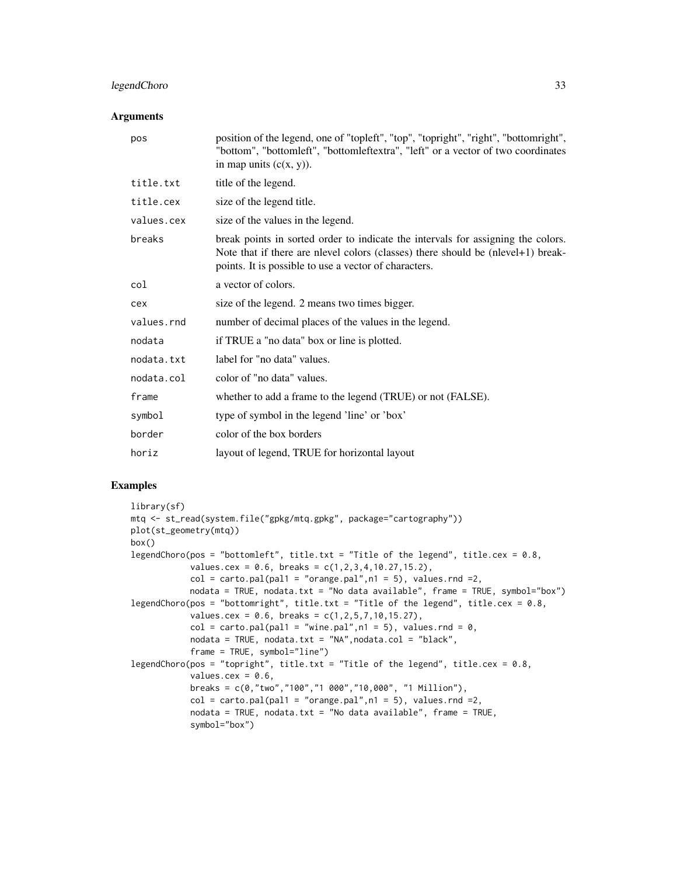## legendChoro 33

#### **Arguments**

| pos        | position of the legend, one of "topleft", "top", "topright", "right", "bottomright",<br>"bottom", "bottomleft", "bottomleftextra", "left" or a vector of two coordinates<br>in map units $(c(x, y))$ .                        |
|------------|-------------------------------------------------------------------------------------------------------------------------------------------------------------------------------------------------------------------------------|
| title.txt  | title of the legend.                                                                                                                                                                                                          |
| title.cex  | size of the legend title.                                                                                                                                                                                                     |
| values.cex | size of the values in the legend.                                                                                                                                                                                             |
| breaks     | break points in sorted order to indicate the intervals for assigning the colors.<br>Note that if there are nlevel colors (classes) there should be (nlevel+1) break-<br>points. It is possible to use a vector of characters. |
| col        | a vector of colors.                                                                                                                                                                                                           |
| cex        | size of the legend. 2 means two times bigger.                                                                                                                                                                                 |
| values.rnd | number of decimal places of the values in the legend.                                                                                                                                                                         |
| nodata     | if TRUE a "no data" box or line is plotted.                                                                                                                                                                                   |
| nodata.txt | label for "no data" values.                                                                                                                                                                                                   |
| nodata.col | color of "no data" values.                                                                                                                                                                                                    |
| frame      | whether to add a frame to the legend (TRUE) or not (FALSE).                                                                                                                                                                   |
| symbol     | type of symbol in the legend 'line' or 'box'                                                                                                                                                                                  |
| border     | color of the box borders                                                                                                                                                                                                      |
| horiz      | layout of legend, TRUE for horizontal layout                                                                                                                                                                                  |
|            |                                                                                                                                                                                                                               |

#### Examples

```
library(sf)
mtq <- st_read(system.file("gpkg/mtq.gpkg", package="cartography"))
plot(st_geometry(mtq))
box()
legendChoro(pos = "bottomleft", title.txt = "Title of the legend", title.cex = 0.8,
            values.cex = 0.6, breaks = c(1, 2, 3, 4, 10.27, 15.2),
            col = carto.pal(pal1 = "orange.pal", n1 = 5), values.rnd =2,
            nodata = TRUE, nodata.txt = "No data available", frame = TRUE, symbol="box")
legendChoro(pos = "bottomright", title.txt = "Title of the legend", title.cex = 0.8,
            values. cex = 0.6, breaks = c(1, 2, 5, 7, 10, 15.27),
            col = carto.pal(pal1 = "wine.pal", n1 = 5), values. rnd = 0,
            nodata = TRUE, nodata.txt = "NA",nodata,col = "black",frame = TRUE, symbol="line")
legendChoro(pos = "topright", title.txt = "Title of the legend", title.cex = 0.8,
            values.cex = 0.6,
            breaks = c(0,"two","100","1 000","10,000", "1 Million"),
            col = carto.pal(pal1 = "orange.pal", n1 = 5), values.rnd =2,nodata = TRUE, nodata.txt = "No data available", frame = TRUE,
            symbol="box")
```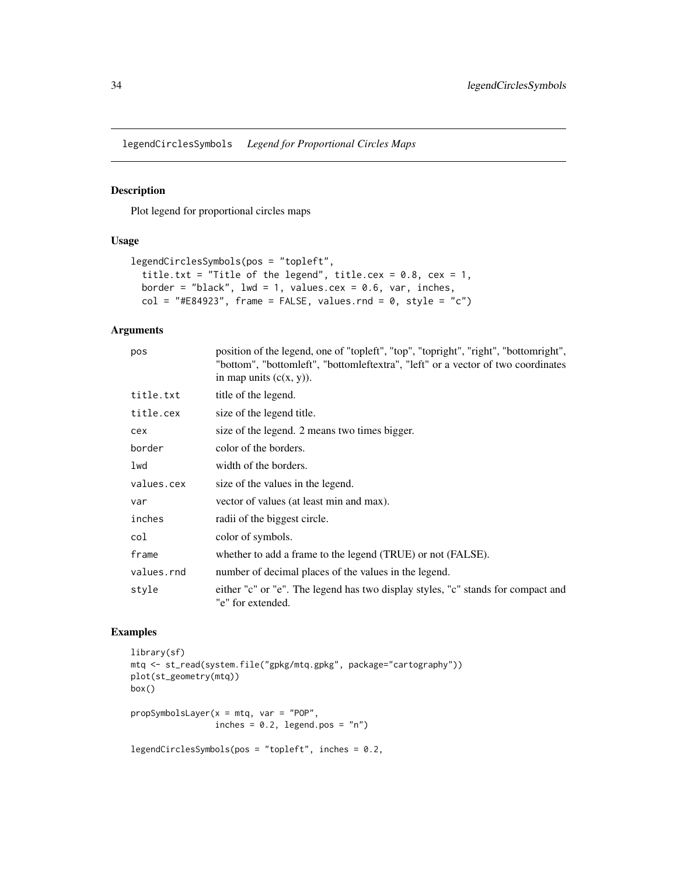<span id="page-33-1"></span><span id="page-33-0"></span>legendCirclesSymbols *Legend for Proportional Circles Maps*

## Description

Plot legend for proportional circles maps

#### Usage

```
legendCirclesSymbols(pos = "topleft",
  title.txt = "Title of the legend", title.cex = 0.8, cex = 1,
 border = "black", lwd = 1, values.cex = 0.6, var, inches,
 col = "#E84923", frame = FALSE, values.rnd = 0, style = "c")
```
## Arguments

| pos        | position of the legend, one of "topleft", "top", "topright", "right", "bottomright",<br>"bottom", "bottomleft", "bottomleftextra", "left" or a vector of two coordinates<br>in map units $(c(x, y))$ . |
|------------|--------------------------------------------------------------------------------------------------------------------------------------------------------------------------------------------------------|
| title.txt  | title of the legend.                                                                                                                                                                                   |
| title.cex  | size of the legend title.                                                                                                                                                                              |
| cex        | size of the legend. 2 means two times bigger.                                                                                                                                                          |
| border     | color of the borders.                                                                                                                                                                                  |
| lwd        | width of the borders.                                                                                                                                                                                  |
| values.cex | size of the values in the legend.                                                                                                                                                                      |
| var        | vector of values (at least min and max).                                                                                                                                                               |
| inches     | radio of the biggest circle.                                                                                                                                                                           |
| col        | color of symbols.                                                                                                                                                                                      |
| frame      | whether to add a frame to the legend (TRUE) or not (FALSE).                                                                                                                                            |
| values.rnd | number of decimal places of the values in the legend.                                                                                                                                                  |
| style      | either "c" or "e". The legend has two display styles, "c" stands for compact and<br>"e" for extended.                                                                                                  |

## Examples

```
library(sf)
mtq <- st_read(system.file("gpkg/mtq.gpkg", package="cartography"))
plot(st_geometry(mtq))
box()
propSymbolsLayer(x = mtq, var = "POP",
                inches = 0.2, legend.pos = "n")legendCirclesSymbols(pos = "topleft", inches = 0.2,
```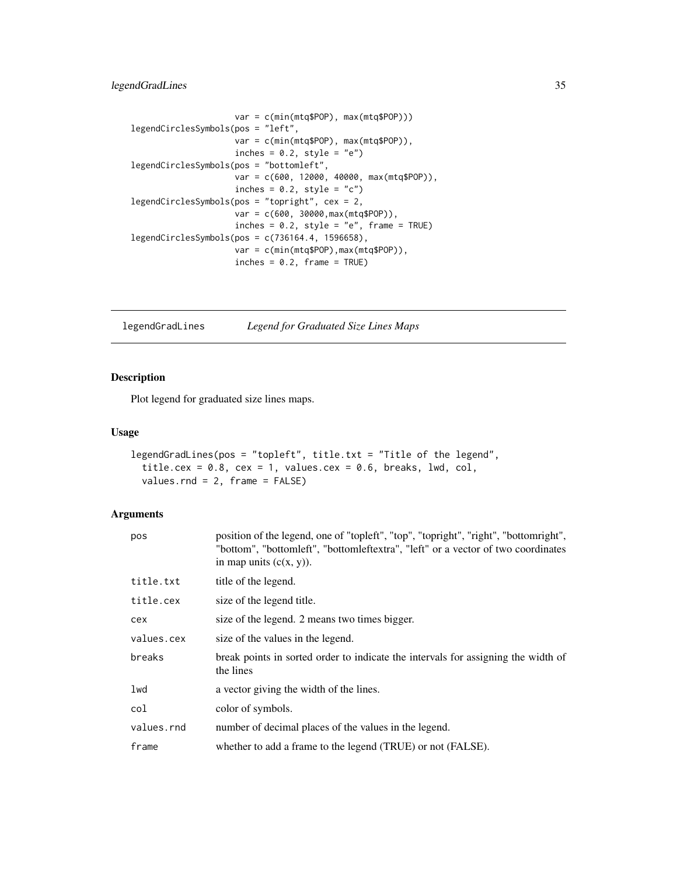## <span id="page-34-0"></span>legendGradLines 35

```
var = c(min(mtq$POP), max(mtq$POP)))
legendCirclesSymbols(pos = "left",
                     var = c(min(mtq$POP), max(mtq$POP)),
                     inches = 0.2, style = "e")
legendCirclesSymbols(pos = "bottomleft",
                     var = c(600, 12000, 40000, max(mtq$POP)),
                     inches = 0.2, style = "c")
legendCirclesSymbols(pos = "topright", cex = 2,
                     var = c(600, 30000,max(mtq$POP)),
                     inches = 0.2, style = "e", frame = TRUE)
legendCirclesSymbols(pos = c(736164.4, 1596658),
                     var = c(min(mtq$POP),max(mtq$POP)),
                     inches = 0.2, frame = TRUE)
```
<span id="page-34-1"></span>legendGradLines *Legend for Graduated Size Lines Maps*

## Description

Plot legend for graduated size lines maps.

#### Usage

```
legendGradLines(pos = "topleft", title.txt = "Title of the legend",
  title.cex = 0.8, cex = 1, values.cex = 0.6, breaks, lwd, col,
 values.rnd = 2, frame = FALSE)
```

| pos        | position of the legend, one of "topleft", "top", "topright", "right", "bottomright",<br>"bottom", "bottomleft", "bottomleftextra", "left" or a vector of two coordinates<br>in map units $(c(x, y))$ . |
|------------|--------------------------------------------------------------------------------------------------------------------------------------------------------------------------------------------------------|
| title.txt  | title of the legend.                                                                                                                                                                                   |
| title.cex  | size of the legend title.                                                                                                                                                                              |
| cex        | size of the legend. 2 means two times bigger.                                                                                                                                                          |
| values.cex | size of the values in the legend.                                                                                                                                                                      |
| breaks     | break points in sorted order to indicate the intervals for assigning the width of<br>the lines                                                                                                         |
| lwd        | a vector giving the width of the lines.                                                                                                                                                                |
| col        | color of symbols.                                                                                                                                                                                      |
| values.rnd | number of decimal places of the values in the legend.                                                                                                                                                  |
| frame      | whether to add a frame to the legend (TRUE) or not (FALSE).                                                                                                                                            |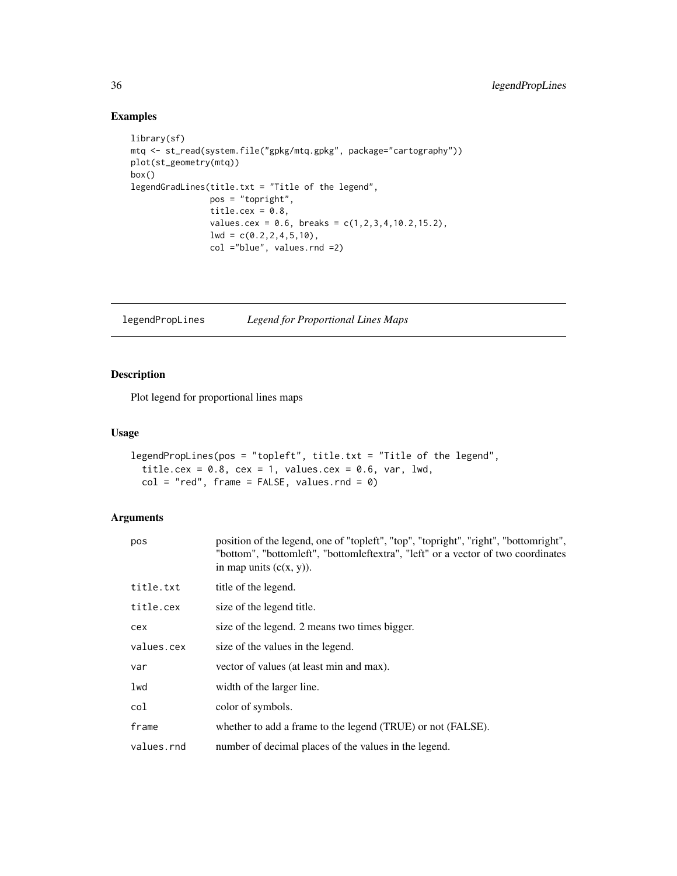```
library(sf)
mtq <- st_read(system.file("gpkg/mtq.gpkg", package="cartography"))
plot(st_geometry(mtq))
box()
legendGradLines(title.txt = "Title of the legend",
               pos = "topright",
                title.cex = 0.8,
                values.cex = 0.6, breaks = c(1,2,3,4,10.2,15.2),
                1wd = c(0.2, 2, 4, 5, 10),
                col ="blue", values.rnd =2)
```
<span id="page-35-1"></span>legendPropLines *Legend for Proportional Lines Maps*

## Description

Plot legend for proportional lines maps

#### Usage

```
legendPropLines(pos = "topleft", title.txt = "Title of the legend",
 title.cex = 0.8, cex = 1, values.cex = 0.6, var, lwd,
 col = "red", frame = FALSE, values.rnd = 0)
```

| pos        | position of the legend, one of "topleft", "top", "topright", "right", "bottomright",<br>"bottom", "bottomleft", "bottomleftextra", "left" or a vector of two coordinates<br>in map units $(c(x, y))$ . |
|------------|--------------------------------------------------------------------------------------------------------------------------------------------------------------------------------------------------------|
| title.txt  | title of the legend.                                                                                                                                                                                   |
| title.cex  | size of the legend title.                                                                                                                                                                              |
| cex        | size of the legend. 2 means two times bigger.                                                                                                                                                          |
| values.cex | size of the values in the legend.                                                                                                                                                                      |
| var        | vector of values (at least min and max).                                                                                                                                                               |
| lwd        | width of the larger line.                                                                                                                                                                              |
| col        | color of symbols.                                                                                                                                                                                      |
| frame      | whether to add a frame to the legend (TRUE) or not (FALSE).                                                                                                                                            |
| values.rnd | number of decimal places of the values in the legend.                                                                                                                                                  |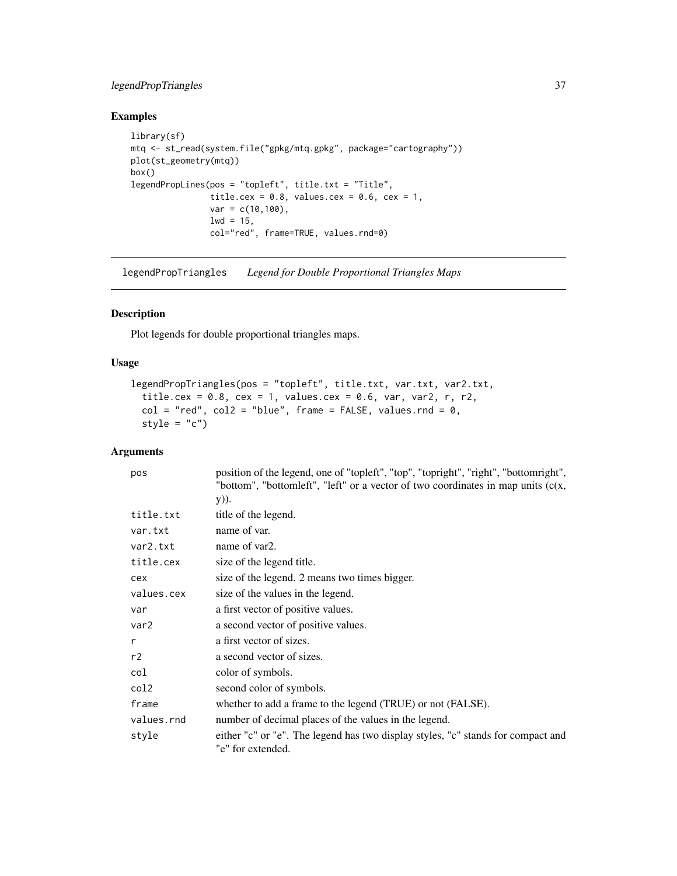## <span id="page-36-0"></span>legendPropTriangles 37

## Examples

```
library(sf)
mtq <- st_read(system.file("gpkg/mtq.gpkg", package="cartography"))
plot(st_geometry(mtq))
box()
legendPropLines(pos = "topleft", title.txt = "Title",
               title.cex = 0.8, values.cex = 0.6, cex = 1,
                var = c(10,100),
               1wd = 15,col="red", frame=TRUE, values.rnd=0)
```
<span id="page-36-1"></span>legendPropTriangles *Legend for Double Proportional Triangles Maps*

## Description

Plot legends for double proportional triangles maps.

## Usage

```
legendPropTriangles(pos = "topleft", title.txt, var.txt, var2.txt,
 title.cex = 0.8, cex = 1, values.cex = 0.6, var, var2, r, r2,
 col = "red", col2 = "blue", frame = FALSE, values.rnd = 0,style = "c")
```

| pos              | position of the legend, one of "topleft", "top", "topright", "right", "bottomright",                  |
|------------------|-------------------------------------------------------------------------------------------------------|
|                  | "bottom", "bottomleft", "left" or a vector of two coordinates in map units $(c(x,$                    |
|                  | y)).                                                                                                  |
| title.txt        | title of the legend.                                                                                  |
| var.txt          | name of var.                                                                                          |
| var2.txt         | name of var2.                                                                                         |
| title.cex        | size of the legend title.                                                                             |
| cex              | size of the legend. 2 means two times bigger.                                                         |
| values.cex       | size of the values in the legend.                                                                     |
| var              | a first vector of positive values.                                                                    |
| var <sub>2</sub> | a second vector of positive values.                                                                   |
| r                | a first vector of sizes.                                                                              |
| r2               | a second vector of sizes.                                                                             |
| col              | color of symbols.                                                                                     |
| col2             | second color of symbols.                                                                              |
| frame            | whether to add a frame to the legend (TRUE) or not (FALSE).                                           |
| values.rnd       | number of decimal places of the values in the legend.                                                 |
| style            | either "c" or "e". The legend has two display styles, "c" stands for compact and<br>"e" for extended. |
|                  |                                                                                                       |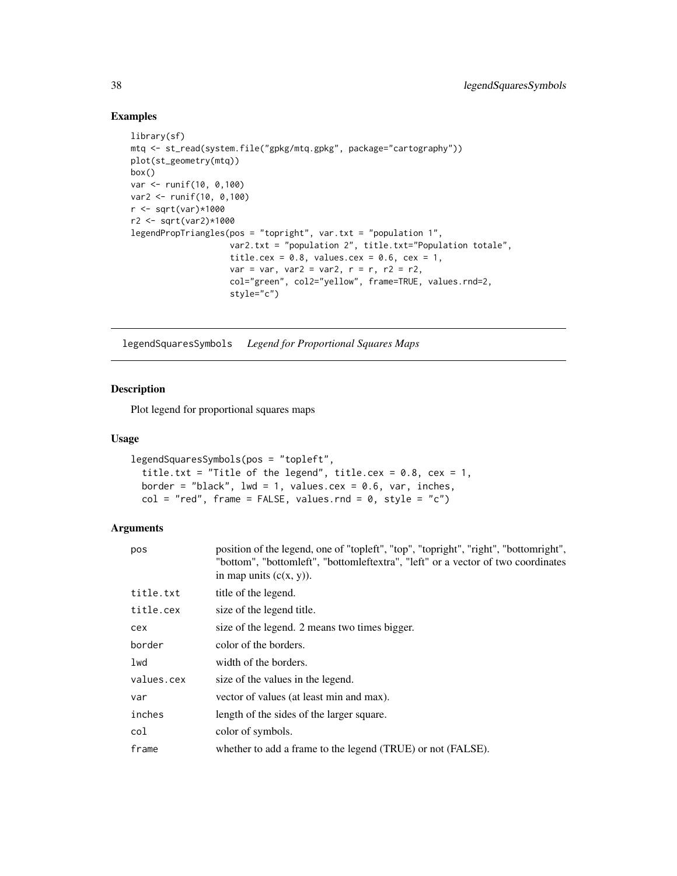```
library(sf)
mtq <- st_read(system.file("gpkg/mtq.gpkg", package="cartography"))
plot(st_geometry(mtq))
box()
var <- runif(10, 0,100)
var2 <- runif(10, 0,100)
r <- sqrt(var)*1000
r2 <- sqrt(var2)*1000
legendPropTriangles(pos = "topright", var.txt = "population 1",
                    var2.txt = "population 2", title.txt="Population totale",
                    title.cex = 0.8, values.cex = 0.6, cex = 1,
                    var = var, var2 = var2, r = r, r2 = r2,
                    col="green", col2="yellow", frame=TRUE, values.rnd=2,
                    style="c")
```
<span id="page-37-1"></span>legendSquaresSymbols *Legend for Proportional Squares Maps*

## Description

Plot legend for proportional squares maps

#### Usage

```
legendSquaresSymbols(pos = "topleft",
 title.txt = "Title of the legend", title.cex = 0.8, cex = 1,
 border = "black", lwd = 1, values.cex = 0.6, var, inches,
  col = "red", frame = FALSE, values.rnd = 0, style = "c")
```

| pos        | position of the legend, one of "topleft", "top", "topright", "right", "bottomright",<br>"bottom", "bottomleft", "bottomleftextra", "left" or a vector of two coordinates<br>in map units $(c(x, y))$ . |
|------------|--------------------------------------------------------------------------------------------------------------------------------------------------------------------------------------------------------|
| title.txt  | title of the legend.                                                                                                                                                                                   |
| title.cex  | size of the legend title.                                                                                                                                                                              |
| cex        | size of the legend. 2 means two times bigger.                                                                                                                                                          |
| border     | color of the borders.                                                                                                                                                                                  |
| lwd        | width of the borders.                                                                                                                                                                                  |
| values.cex | size of the values in the legend.                                                                                                                                                                      |
| var        | vector of values (at least min and max).                                                                                                                                                               |
| inches     | length of the sides of the larger square.                                                                                                                                                              |
| col        | color of symbols.                                                                                                                                                                                      |
| frame      | whether to add a frame to the legend (TRUE) or not (FALSE).                                                                                                                                            |

<span id="page-37-0"></span>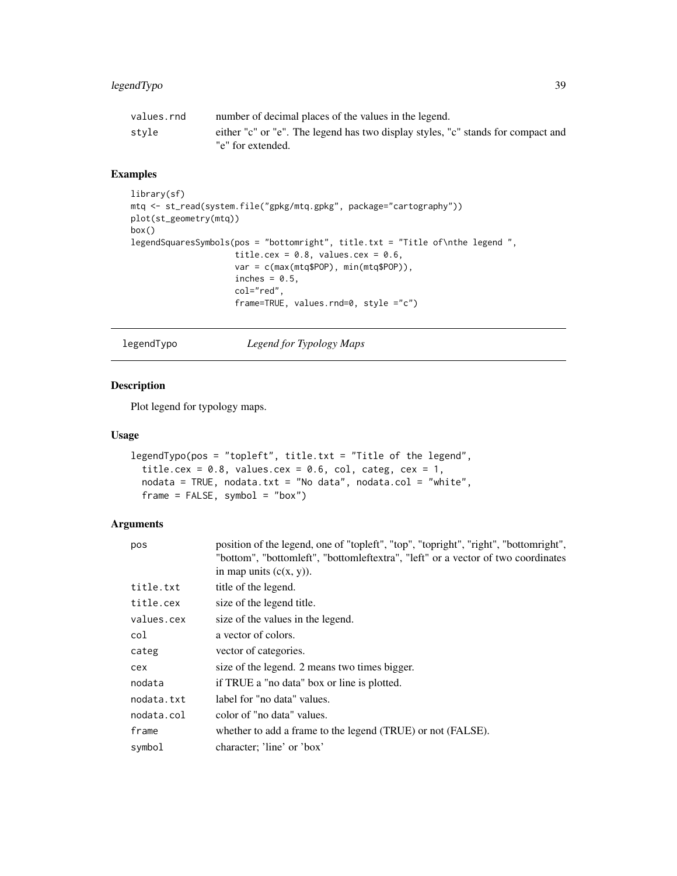<span id="page-38-0"></span>

| values.rnd | number of decimal places of the values in the legend.                                                 |
|------------|-------------------------------------------------------------------------------------------------------|
| stvle      | either "c" or "e". The legend has two display styles, "c" stands for compact and<br>"e" for extended. |

```
library(sf)
mtq <- st_read(system.file("gpkg/mtq.gpkg", package="cartography"))
plot(st_geometry(mtq))
box()
legendSquaresSymbols(pos = "bottomright", title.txt = "Title of\nthe legend ",
                     title.cex = 0.8, values.cex = 0.6,
                     var = c(max(mtq$POP), min(mtq$POP)),
                     inches = 0.5,
                     col="red",
                     frame=TRUE, values.rnd=0, style ="c")
```
<span id="page-38-1"></span>legendTypo *Legend for Typology Maps*

## Description

Plot legend for typology maps.

#### Usage

```
legendTypo(pos = "topleft", title.txt = "Title of the legend",
  title.cex = 0.8, values.cex = 0.6, col, categ, cex = 1,
 nodata = TRUE, nodata.txt = "No data", nodata.co1 = "white",frame = FALSE, symbol = "box")
```

| pos        | position of the legend, one of "topleft", "top", "topright", "right", "bottomright",<br>"bottom", "bottomleft", "bottomleftextra", "left" or a vector of two coordinates |
|------------|--------------------------------------------------------------------------------------------------------------------------------------------------------------------------|
|            | in map units $(c(x, y))$ .                                                                                                                                               |
| title.txt  | title of the legend.                                                                                                                                                     |
| title.cex  | size of the legend title.                                                                                                                                                |
| values.cex | size of the values in the legend.                                                                                                                                        |
| col        | a vector of colors.                                                                                                                                                      |
| categ      | vector of categories.                                                                                                                                                    |
| cex        | size of the legend. 2 means two times bigger.                                                                                                                            |
| nodata     | if TRUE a "no data" box or line is plotted.                                                                                                                              |
| nodata.txt | label for "no data" values.                                                                                                                                              |
| nodata.col | color of "no data" values.                                                                                                                                               |
| frame      | whether to add a frame to the legend (TRUE) or not (FALSE).                                                                                                              |
| symbol     | character; 'line' or 'box'                                                                                                                                               |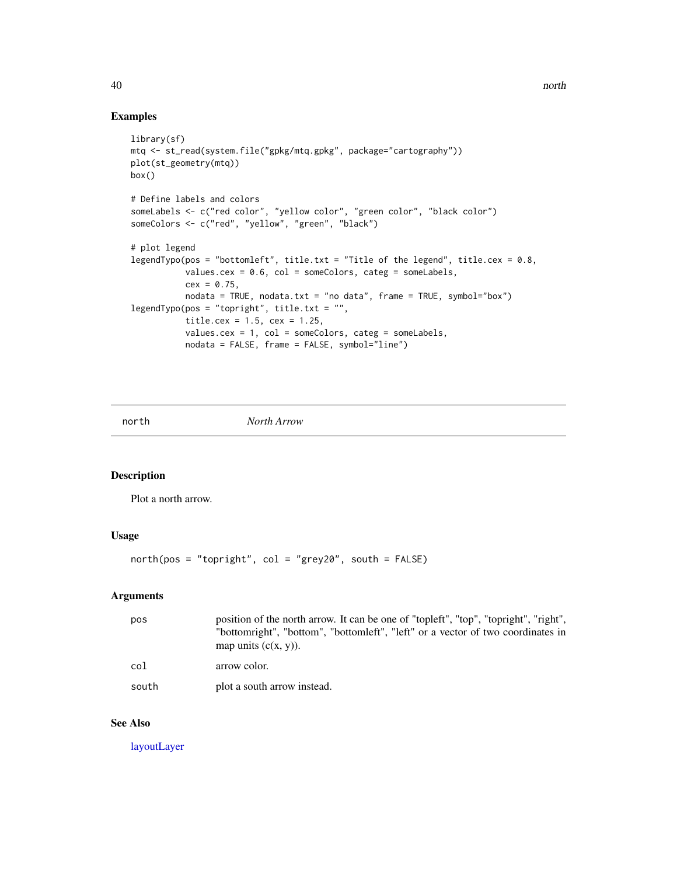```
library(sf)
mtq <- st_read(system.file("gpkg/mtq.gpkg", package="cartography"))
plot(st_geometry(mtq))
box()
# Define labels and colors
someLabels <- c("red color", "yellow color", "green color", "black color")
someColors <- c("red", "yellow", "green", "black")
# plot legend
legendTypo(pos = "bottomleft", title.txt = "Title of the legend", title.cex = 0.8,
           values.cex = 0.6, col = someColors, categ = someLabels,
           cex = 0.75,
          nodata = TRUE, nodata.txt = "no data", frame = TRUE, symbol="box")
legendTypo(pos = "topright", title.txt = "",
           title.cex = 1.5, cex = 1.25,
           values.cex = 1, col = someColors, categ = someLabels,
           nodata = FALSE, frame = FALSE, symbol="line")
```
<span id="page-39-1"></span>north *North Arrow*

#### Description

Plot a north arrow.

## Usage

north(pos = "topright", col = "grey20", south = FALSE)

## Arguments

| pos   | position of the north arrow. It can be one of "topleft", "top", "topright", "right",<br>"bottomright", "bottom", "bottomleft", "left" or a vector of two coordinates in<br>map units $(c(x, y))$ . |
|-------|----------------------------------------------------------------------------------------------------------------------------------------------------------------------------------------------------|
| col   | arrow color.                                                                                                                                                                                       |
| south | plot a south arrow instead.                                                                                                                                                                        |

## See Also

[layoutLayer](#page-29-1)

<span id="page-39-0"></span>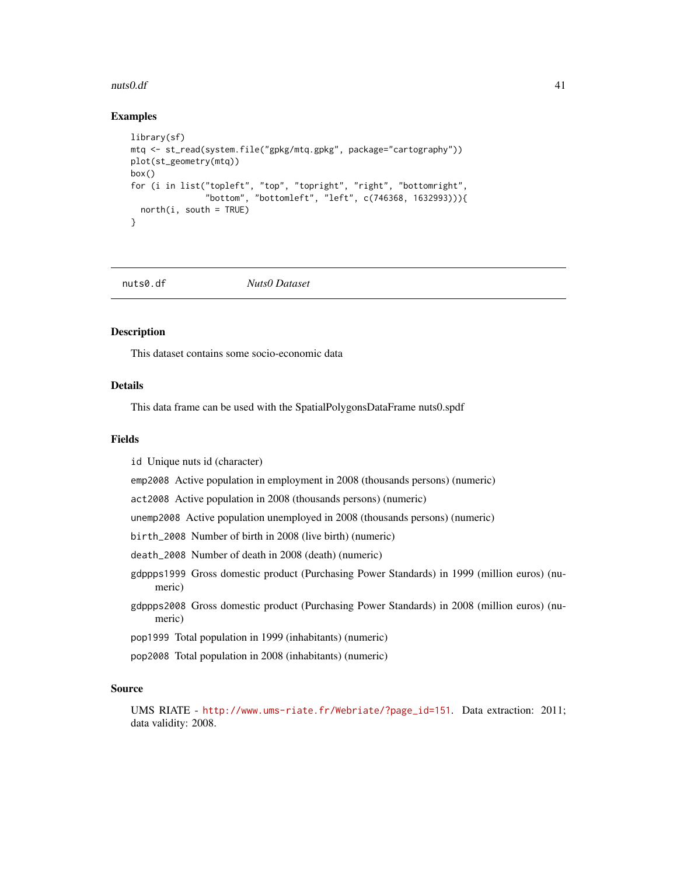#### <span id="page-40-0"></span> $nuts0.$ df  $41$

#### Examples

```
library(sf)
mtq <- st_read(system.file("gpkg/mtq.gpkg", package="cartography"))
plot(st_geometry(mtq))
box()
for (i in list("topleft", "top", "topright", "right", "bottomright",
               "bottom", "bottomleft", "left", c(746368, 1632993))){
  north(i, south = TRUE)}
```

```
nuts0.df Nuts0 Dataset
```
#### Description

This dataset contains some socio-economic data

#### Details

This data frame can be used with the SpatialPolygonsDataFrame nuts0.spdf

#### Fields

id Unique nuts id (character)

emp2008 Active population in employment in 2008 (thousands persons) (numeric)

act2008 Active population in 2008 (thousands persons) (numeric)

unemp2008 Active population unemployed in 2008 (thousands persons) (numeric)

birth\_2008 Number of birth in 2008 (live birth) (numeric)

death\_2008 Number of death in 2008 (death) (numeric)

- gdppps1999 Gross domestic product (Purchasing Power Standards) in 1999 (million euros) (numeric)
- gdppps2008 Gross domestic product (Purchasing Power Standards) in 2008 (million euros) (numeric)
- pop1999 Total population in 1999 (inhabitants) (numeric)
- pop2008 Total population in 2008 (inhabitants) (numeric)

#### Source

UMS RIATE - [http://www.ums-riate.fr/Webriate/?page\\_id=151](http://www.ums-riate.fr/Webriate/?page_id=151). Data extraction: 2011; data validity: 2008.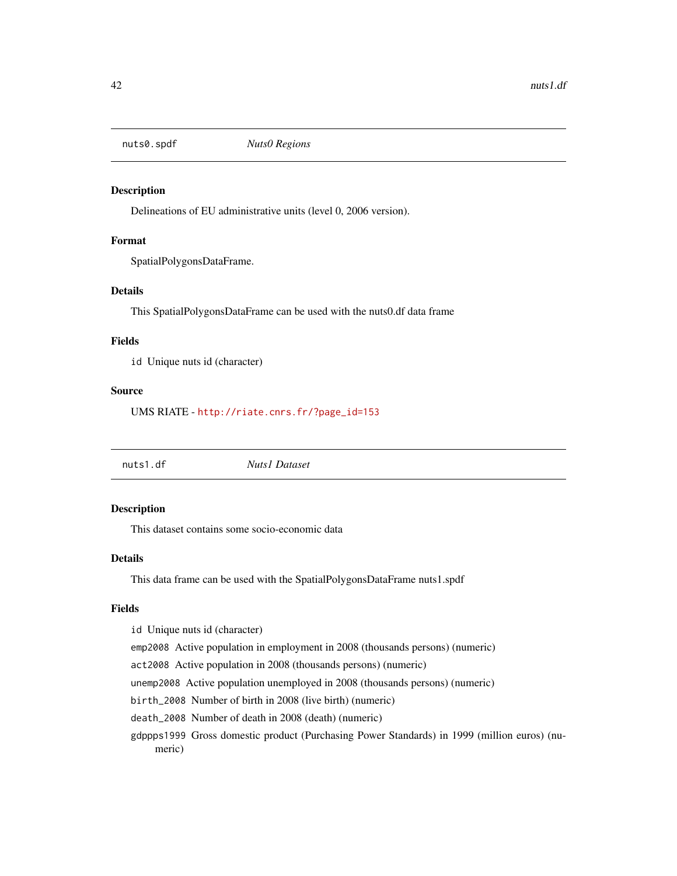<span id="page-41-0"></span>

## Description

Delineations of EU administrative units (level 0, 2006 version).

#### Format

SpatialPolygonsDataFrame.

## Details

This SpatialPolygonsDataFrame can be used with the nuts0.df data frame

#### Fields

id Unique nuts id (character)

#### Source

UMS RIATE - [http://riate.cnrs.fr/?page\\_id=153](http://riate.cnrs.fr/?page_id=153)

nuts1.df *Nuts1 Dataset*

#### Description

This dataset contains some socio-economic data

#### Details

This data frame can be used with the SpatialPolygonsDataFrame nuts1.spdf

## Fields

id Unique nuts id (character)

emp2008 Active population in employment in 2008 (thousands persons) (numeric)

act2008 Active population in 2008 (thousands persons) (numeric)

unemp2008 Active population unemployed in 2008 (thousands persons) (numeric)

birth\_2008 Number of birth in 2008 (live birth) (numeric)

death\_2008 Number of death in 2008 (death) (numeric)

gdppps1999 Gross domestic product (Purchasing Power Standards) in 1999 (million euros) (numeric)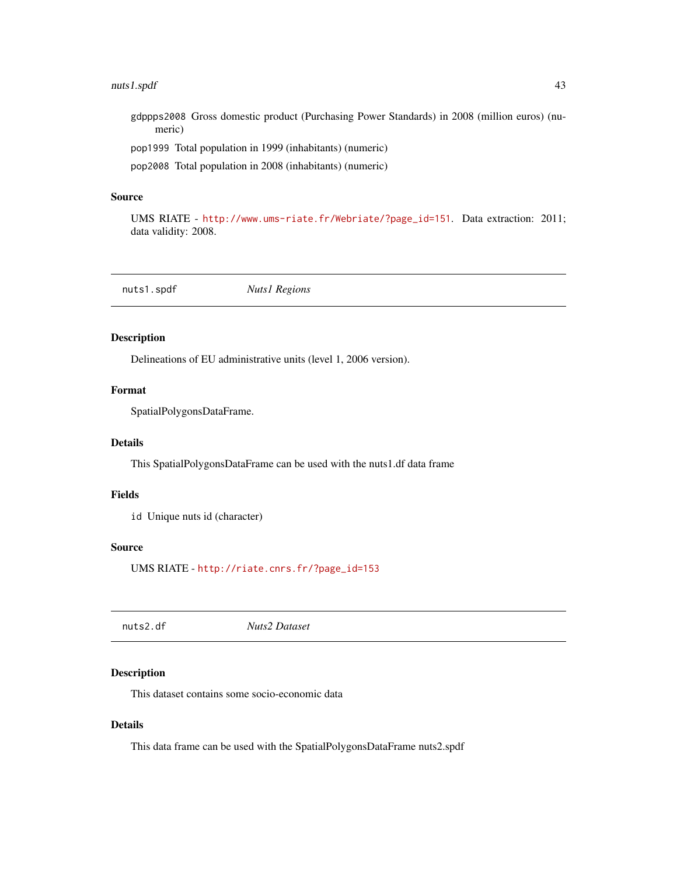## <span id="page-42-0"></span>nuts1.spdf 43

gdppps2008 Gross domestic product (Purchasing Power Standards) in 2008 (million euros) (numeric)

pop1999 Total population in 1999 (inhabitants) (numeric)

pop2008 Total population in 2008 (inhabitants) (numeric)

#### Source

UMS RIATE - [http://www.ums-riate.fr/Webriate/?page\\_id=151](http://www.ums-riate.fr/Webriate/?page_id=151). Data extraction: 2011; data validity: 2008.

nuts1.spdf *Nuts1 Regions*

#### Description

Delineations of EU administrative units (level 1, 2006 version).

## Format

SpatialPolygonsDataFrame.

#### Details

This SpatialPolygonsDataFrame can be used with the nuts1.df data frame

#### Fields

id Unique nuts id (character)

#### Source

UMS RIATE - [http://riate.cnrs.fr/?page\\_id=153](http://riate.cnrs.fr/?page_id=153)

nuts2.df *Nuts2 Dataset*

#### Description

This dataset contains some socio-economic data

### Details

This data frame can be used with the SpatialPolygonsDataFrame nuts2.spdf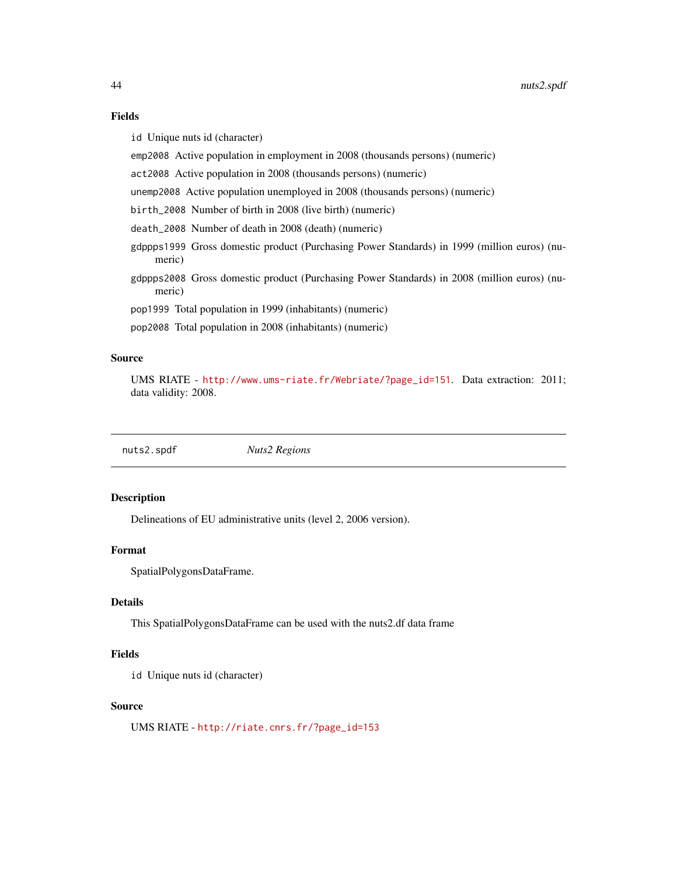## <span id="page-43-0"></span>Fields

id Unique nuts id (character)

emp2008 Active population in employment in 2008 (thousands persons) (numeric)

act2008 Active population in 2008 (thousands persons) (numeric)

unemp2008 Active population unemployed in 2008 (thousands persons) (numeric)

birth\_2008 Number of birth in 2008 (live birth) (numeric)

death\_2008 Number of death in 2008 (death) (numeric)

gdppps1999 Gross domestic product (Purchasing Power Standards) in 1999 (million euros) (numeric)

gdppps2008 Gross domestic product (Purchasing Power Standards) in 2008 (million euros) (numeric)

pop1999 Total population in 1999 (inhabitants) (numeric)

pop2008 Total population in 2008 (inhabitants) (numeric)

## Source

UMS RIATE - [http://www.ums-riate.fr/Webriate/?page\\_id=151](http://www.ums-riate.fr/Webriate/?page_id=151). Data extraction: 2011; data validity: 2008.

nuts2.spdf *Nuts2 Regions*

## Description

Delineations of EU administrative units (level 2, 2006 version).

#### Format

SpatialPolygonsDataFrame.

## Details

This SpatialPolygonsDataFrame can be used with the nuts2.df data frame

#### Fields

id Unique nuts id (character)

#### Source

UMS RIATE - [http://riate.cnrs.fr/?page\\_id=153](http://riate.cnrs.fr/?page_id=153)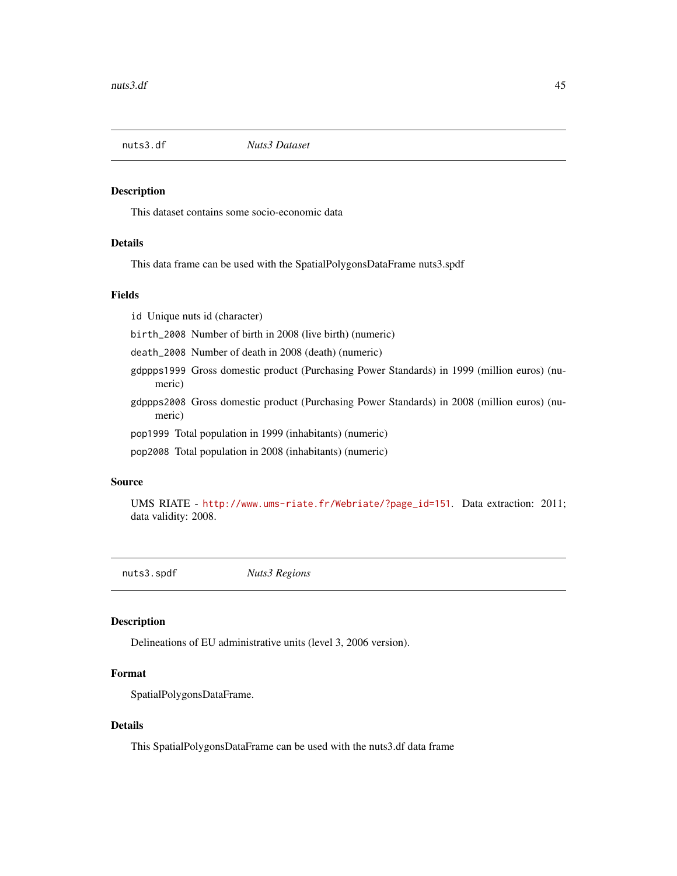<span id="page-44-0"></span>nuts3.df *Nuts3 Dataset*

#### Description

This dataset contains some socio-economic data

#### Details

This data frame can be used with the SpatialPolygonsDataFrame nuts3.spdf

#### Fields

id Unique nuts id (character)

birth\_2008 Number of birth in 2008 (live birth) (numeric)

death\_2008 Number of death in 2008 (death) (numeric)

- gdppps1999 Gross domestic product (Purchasing Power Standards) in 1999 (million euros) (numeric)
- gdppps2008 Gross domestic product (Purchasing Power Standards) in 2008 (million euros) (numeric)

pop1999 Total population in 1999 (inhabitants) (numeric)

pop2008 Total population in 2008 (inhabitants) (numeric)

#### Source

UMS RIATE - [http://www.ums-riate.fr/Webriate/?page\\_id=151](http://www.ums-riate.fr/Webriate/?page_id=151). Data extraction: 2011; data validity: 2008.

nuts3.spdf *Nuts3 Regions*

#### Description

Delineations of EU administrative units (level 3, 2006 version).

#### Format

SpatialPolygonsDataFrame.

### Details

This SpatialPolygonsDataFrame can be used with the nuts3.df data frame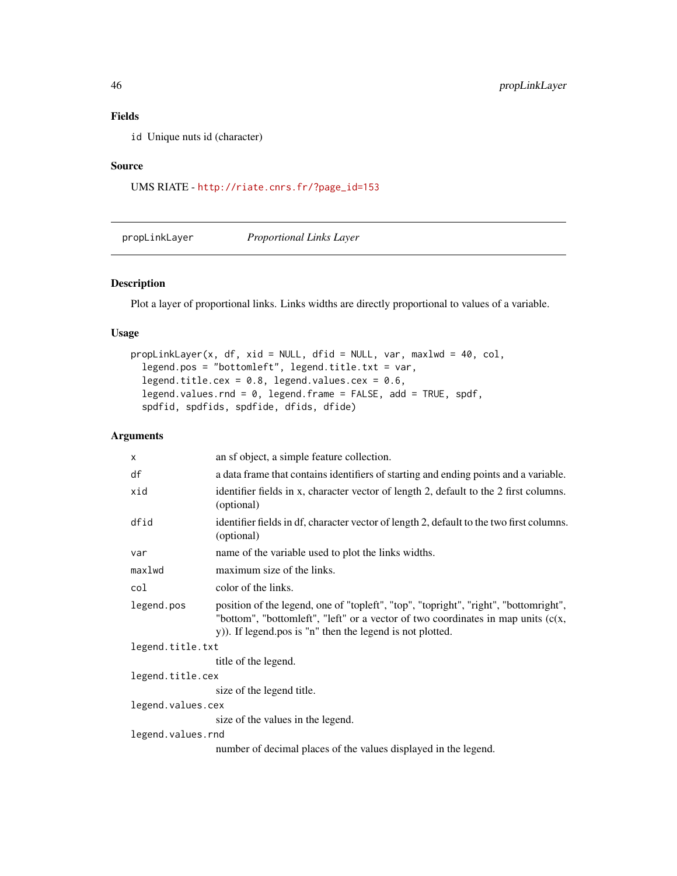## Fields

id Unique nuts id (character)

#### Source

UMS RIATE - [http://riate.cnrs.fr/?page\\_id=153](http://riate.cnrs.fr/?page_id=153)

<span id="page-45-1"></span>propLinkLayer *Proportional Links Layer*

#### Description

Plot a layer of proportional links. Links widths are directly proportional to values of a variable.

#### Usage

```
propLinkLayer(x, df, xid = NULL, dfid = NULL, var, maxlwd = 40, col,legend.pos = "bottomleft", legend.title.txt = var,
  legend.title.cex = 0.8, legend.values.cex = 0.6,
  legend.values.rnd = 0, legend.frame = FALSE, add = TRUE, spdf,
  spdfid, spdfids, spdfide, dfids, dfide)
```

| $\times$          | an sf object, a simple feature collection.                                                                                                                                                                                              |  |
|-------------------|-----------------------------------------------------------------------------------------------------------------------------------------------------------------------------------------------------------------------------------------|--|
| df                | a data frame that contains identifiers of starting and ending points and a variable.                                                                                                                                                    |  |
| xid               | identifier fields in x, character vector of length 2, default to the 2 first columns.<br>(optional)                                                                                                                                     |  |
| dfid              | identifier fields in df, character vector of length 2, default to the two first columns.<br>(optional)                                                                                                                                  |  |
| var               | name of the variable used to plot the links widths.                                                                                                                                                                                     |  |
| maxlwd            | maximum size of the links.                                                                                                                                                                                                              |  |
| col               | color of the links.                                                                                                                                                                                                                     |  |
| legend.pos        | position of the legend, one of "topleft", "top", "topright", "right", "bottomright",<br>"bottom", "bottomleft", "left" or a vector of two coordinates in map units $(c(x,$<br>y)). If legend pos is "n" then the legend is not plotted. |  |
| legend.title.txt  |                                                                                                                                                                                                                                         |  |
|                   | title of the legend.                                                                                                                                                                                                                    |  |
| legend.title.cex  |                                                                                                                                                                                                                                         |  |
|                   | size of the legend title.                                                                                                                                                                                                               |  |
| legend.values.cex |                                                                                                                                                                                                                                         |  |
|                   | size of the values in the legend.                                                                                                                                                                                                       |  |
| legend.values.rnd |                                                                                                                                                                                                                                         |  |
|                   | number of decimal places of the values displayed in the legend.                                                                                                                                                                         |  |

<span id="page-45-0"></span>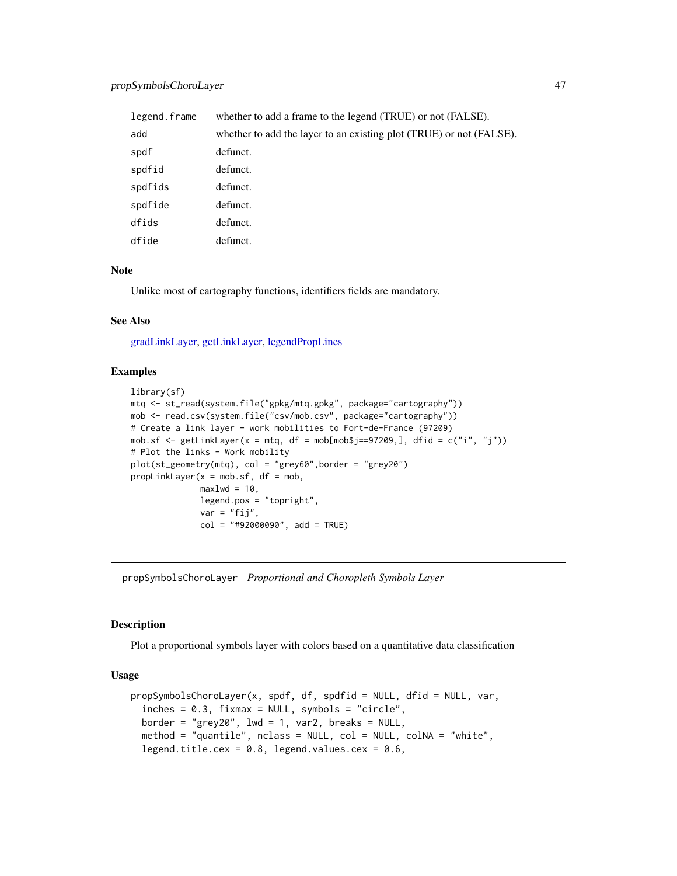## <span id="page-46-0"></span>propSymbolsChoroLayer 47

| legend.frame | whether to add a frame to the legend (TRUE) or not (FALSE).         |
|--------------|---------------------------------------------------------------------|
| add          | whether to add the layer to an existing plot (TRUE) or not (FALSE). |
| spdf         | defunct.                                                            |
| spdfid       | defunct.                                                            |
| spdfids      | defunct.                                                            |
| spdfide      | defunct.                                                            |
| dfids        | defunct.                                                            |
| dfide        | defunct.                                                            |

#### **Note**

Unlike most of cartography functions, identifiers fields are mandatory.

#### See Also

[gradLinkLayer,](#page-24-1) [getLinkLayer,](#page-19-1) [legendPropLines](#page-35-1)

## Examples

```
library(sf)
mtq <- st_read(system.file("gpkg/mtq.gpkg", package="cartography"))
mob <- read.csv(system.file("csv/mob.csv", package="cartography"))
# Create a link layer - work mobilities to Fort-de-France (97209)
mob.sf <- getLinkLayer(x = mtq, df = mob[mob$j==97209,], dfid = c("i", "j"))
# Plot the links - Work mobility
plot(st_geometry(mtq), col = "grey60",border = "grey20")
propLinkLayer(x = \text{mob.sf}, df = \text{mob},
              max1wd = 10,
              legend.pos = "topright",
              var = "fij",col = "#92000090", add = TRUE)
```
<span id="page-46-1"></span>propSymbolsChoroLayer *Proportional and Choropleth Symbols Layer*

#### **Description**

Plot a proportional symbols layer with colors based on a quantitative data classification

```
propSymbolsChoroLayer(x, spdf, df, spdfid = NULL, dfid = NULL, var,
  inches = 0.3, fixmax = NULL, symbols = "circle",border = "grey20", 1wd = 1, var2, breaks = NULL,
  method = "quantile", nclass = NULL, col = NULL, colNA = "white",
  legend.title.cex = 0.8, legend.values.cex = 0.6,
```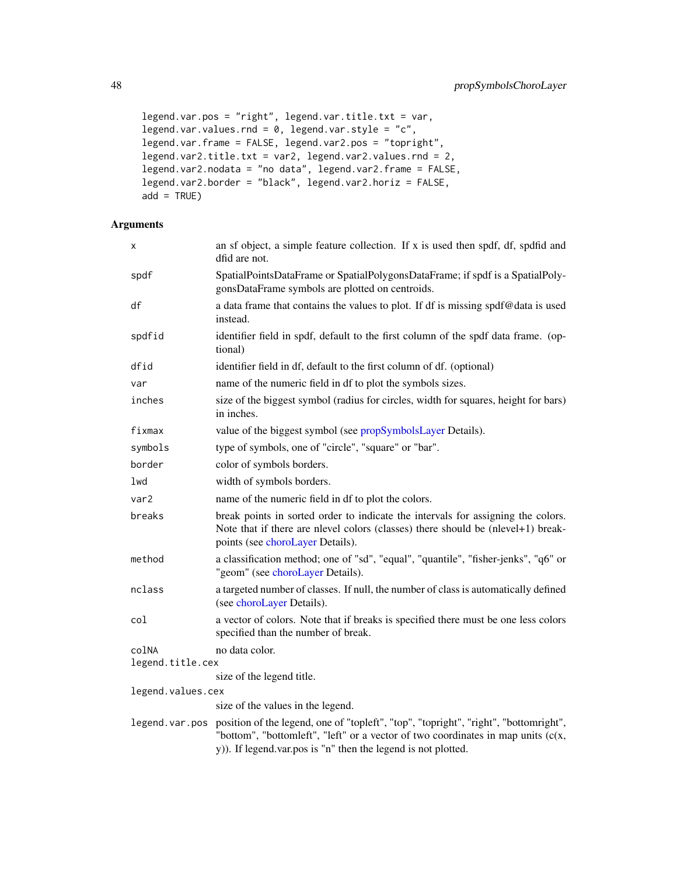```
legend.var.pos = "right", legend.var.title.txt = var,
legend.var.values.rnd = 0, legend.var.style = "c",
legend.var.frame = FALSE, legend.var2.pos = "topright",
legend.var2.title.txt = var2, legend.var2.values.rnd = 2,
legend.var2.nodata = "no data", legend.var2.frame = FALSE,
legend.var2.border = "black", legend.var2.horiz = FALSE,
add = TRUE)
```

| X                         | an sf object, a simple feature collection. If x is used then spdf, df, spdfid and<br>dfid are not.                                                                                                                                          |  |
|---------------------------|---------------------------------------------------------------------------------------------------------------------------------------------------------------------------------------------------------------------------------------------|--|
| spdf                      | SpatialPointsDataFrame or SpatialPolygonsDataFrame; if spdf is a SpatialPoly-<br>gonsDataFrame symbols are plotted on centroids.                                                                                                            |  |
| df                        | a data frame that contains the values to plot. If df is missing spdf@data is used<br>instead.                                                                                                                                               |  |
| spdfid                    | identifier field in spdf, default to the first column of the spdf data frame. (op-<br>tional)                                                                                                                                               |  |
| dfid                      | identifier field in df, default to the first column of df. (optional)                                                                                                                                                                       |  |
| var                       | name of the numeric field in df to plot the symbols sizes.                                                                                                                                                                                  |  |
| inches                    | size of the biggest symbol (radius for circles, width for squares, height for bars)<br>in inches.                                                                                                                                           |  |
| fixmax                    | value of the biggest symbol (see propSymbolsLayer Details).                                                                                                                                                                                 |  |
| symbols                   | type of symbols, one of "circle", "square" or "bar".                                                                                                                                                                                        |  |
| border                    | color of symbols borders.                                                                                                                                                                                                                   |  |
| lwd                       | width of symbols borders.                                                                                                                                                                                                                   |  |
| var <sub>2</sub>          | name of the numeric field in df to plot the colors.                                                                                                                                                                                         |  |
| breaks                    | break points in sorted order to indicate the intervals for assigning the colors.<br>Note that if there are nlevel colors (classes) there should be (nlevel+1) break-<br>points (see choroLayer Details).                                    |  |
| method                    | a classification method; one of "sd", "equal", "quantile", "fisher-jenks", "q6" or<br>"geom" (see choroLayer Details).                                                                                                                      |  |
| nclass                    | a targeted number of classes. If null, the number of class is automatically defined<br>(see choroLayer Details).                                                                                                                            |  |
| col                       | a vector of colors. Note that if breaks is specified there must be one less colors<br>specified than the number of break.                                                                                                                   |  |
| colNA<br>legend.title.cex | no data color.                                                                                                                                                                                                                              |  |
|                           | size of the legend title.                                                                                                                                                                                                                   |  |
| legend.values.cex         |                                                                                                                                                                                                                                             |  |
|                           | size of the values in the legend.                                                                                                                                                                                                           |  |
| legend.var.pos            | position of the legend, one of "topleft", "top", "topright", "right", "bottomright",<br>"bottom", "bottomleft", "left" or a vector of two coordinates in map units $(c(x,$<br>y)). If legend var.pos is "n" then the legend is not plotted. |  |

<span id="page-47-0"></span>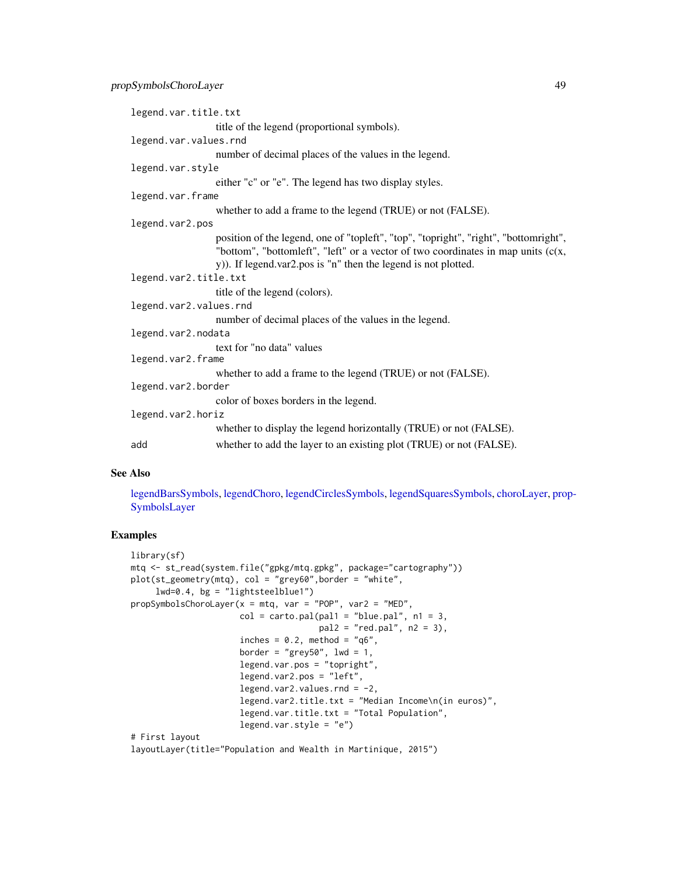```
legend.var.title.txt
                  title of the legend (proportional symbols).
legend.var.values.rnd
                  number of decimal places of the values in the legend.
legend.var.style
                  either "c" or "e". The legend has two display styles.
legend.var.frame
                  whether to add a frame to the legend (TRUE) or not (FALSE).
legend.var2.pos
                  position of the legend, one of "topleft", "top", "topright", "right", "bottomright",
                  "bottom", "bottomleft", "left" or a vector of two coordinates in map units (c(x,
                  y)). If legend.var2.pos is "n" then the legend is not plotted.
legend.var2.title.txt
                  title of the legend (colors).
legend.var2.values.rnd
                  number of decimal places of the values in the legend.
legend.var2.nodata
                  text for "no data" values
legend.var2.frame
                  whether to add a frame to the legend (TRUE) or not (FALSE).
legend.var2.border
                  color of boxes borders in the legend.
legend.var2.horiz
                  whether to display the legend horizontally (TRUE) or not (FALSE).
add whether to add the layer to an existing plot (TRUE) or not (FALSE).
```
#### See Also

[legendBarsSymbols,](#page-30-1) [legendChoro,](#page-31-1) [legendCirclesSymbols,](#page-33-1) [legendSquaresSymbols,](#page-37-1) [choroLayer,](#page-6-1) [pro](#page-49-1)p-[SymbolsLayer](#page-49-1)

## Examples

```
library(sf)
mtq <- st_read(system.file("gpkg/mtq.gpkg", package="cartography"))
plot(st_geometry(mtq), col = "grey60",border = "white",
     lwd=0.4, bg = "lightsteelblue1")
propSymbolsChoroLayer(x = mtq, var = "POP", var2 = "MED",
                      col = carto.pal(pal1 = "blue.pal", n1 = 3,pal2 = "red.pal", n2 = 3),
                      inches = 0.2, method = "q6",
                      border = "grey50", 1wd = 1,
                      legend.var.pos = "topright",
                      legend.var2.pos = "left",
                      legend.var2.values.rnd = -2,
                      legend.var2.title.txt = "Median Income\n(in euros)",
                      legend.var.title.txt = "Total Population",
                      legend.var.style = "e")
# First layout
```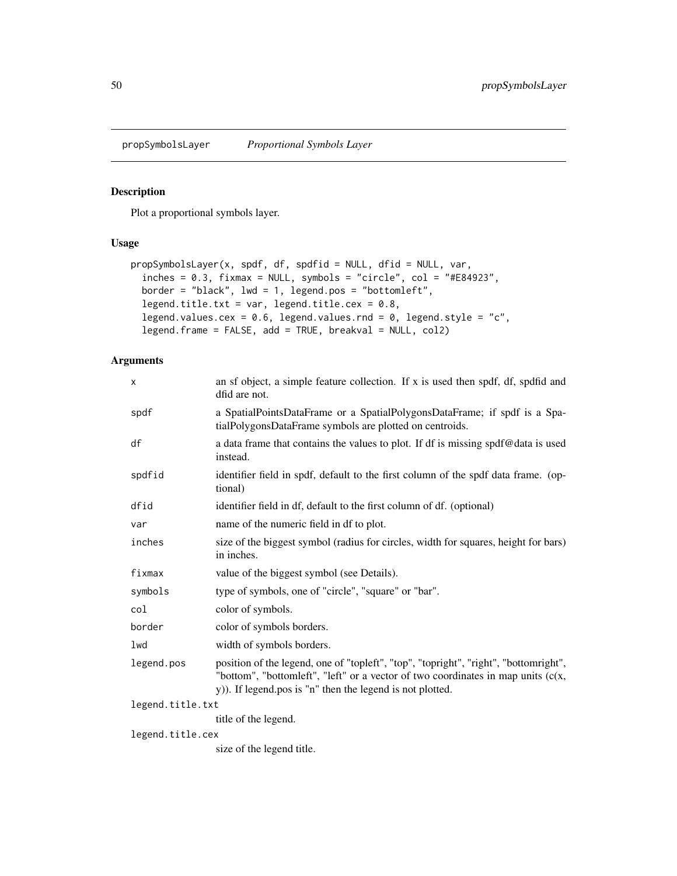<span id="page-49-1"></span><span id="page-49-0"></span>

## Description

Plot a proportional symbols layer.

## Usage

```
propSymbolsLayer(x, spdf, df, spdfid = NULL, dfid = NULL, var,
  inches = 0.3, fixmax = NULL, synbols = "circle", col = "#E84923",border = "black", lwd = 1, legend.pos = "bottomleft",
 legend.title.txt = var, legend.title.cex = 0.8,
  legend.values.cex = 0.6, legend.values.rnd = 0, legend.style = "c",
  legend.frame = FALSE, add = TRUE, breakval = NULL, col2)
```

| X                | an sf object, a simple feature collection. If x is used then spdf, df, spdfid and<br>dfid are not.                                                                                                                                      |
|------------------|-----------------------------------------------------------------------------------------------------------------------------------------------------------------------------------------------------------------------------------------|
| spdf             | a SpatialPointsDataFrame or a SpatialPolygonsDataFrame; if spdf is a Spa-<br>tialPolygonsDataFrame symbols are plotted on centroids.                                                                                                    |
| df               | a data frame that contains the values to plot. If df is missing spdf@data is used<br>instead.                                                                                                                                           |
| spdfid           | identifier field in spdf, default to the first column of the spdf data frame. (op-<br>tional)                                                                                                                                           |
| dfid             | identifier field in df, default to the first column of df. (optional)                                                                                                                                                                   |
| var              | name of the numeric field in df to plot.                                                                                                                                                                                                |
| inches           | size of the biggest symbol (radius for circles, width for squares, height for bars)<br>in inches.                                                                                                                                       |
| fixmax           | value of the biggest symbol (see Details).                                                                                                                                                                                              |
| symbols          | type of symbols, one of "circle", "square" or "bar".                                                                                                                                                                                    |
| col              | color of symbols.                                                                                                                                                                                                                       |
| border           | color of symbols borders.                                                                                                                                                                                                               |
| 1wd              | width of symbols borders.                                                                                                                                                                                                               |
| legend.pos       | position of the legend, one of "topleft", "top", "topright", "right", "bottomright",<br>"bottom", "bottomleft", "left" or a vector of two coordinates in map units $(c(x,$<br>y)). If legend pos is "n" then the legend is not plotted. |
| legend.title.txt |                                                                                                                                                                                                                                         |
|                  | title of the legend.                                                                                                                                                                                                                    |
| legend.title.cex |                                                                                                                                                                                                                                         |
|                  | size of the legend title.                                                                                                                                                                                                               |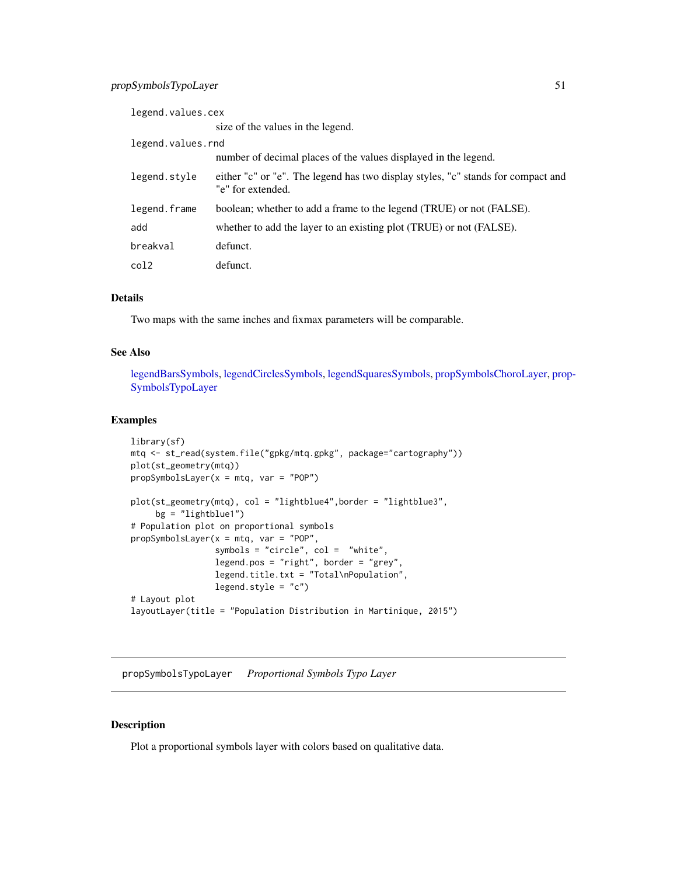<span id="page-50-0"></span>

| legend.values.cex |                                                                                                       |
|-------------------|-------------------------------------------------------------------------------------------------------|
|                   | size of the values in the legend.                                                                     |
| legend.values.rnd |                                                                                                       |
|                   | number of decimal places of the values displayed in the legend.                                       |
| legend.style      | either "c" or "e". The legend has two display styles, "c" stands for compact and<br>"e" for extended. |
| legend.frame      | boolean; whether to add a frame to the legend (TRUE) or not (FALSE).                                  |
| add               | whether to add the layer to an existing plot (TRUE) or not (FALSE).                                   |
| breakval          | defunct.                                                                                              |
| col2              | defunct.                                                                                              |

## Details

Two maps with the same inches and fixmax parameters will be comparable.

#### See Also

[legendBarsSymbols,](#page-30-1) [legendCirclesSymbols,](#page-33-1) [legendSquaresSymbols,](#page-37-1) [propSymbolsChoroLayer,](#page-46-1) [prop](#page-50-1)-[SymbolsTypoLayer](#page-50-1)

## Examples

```
library(sf)
mtq <- st_read(system.file("gpkg/mtq.gpkg", package="cartography"))
plot(st_geometry(mtq))
propSymbolsLayer(x = mtq, var = "POP")
plot(st_geometry(mtq), col = "lightblue4",border = "lightblue3",
     bg = "lightblue1")
# Population plot on proportional symbols
propSymbolsLayer(x = mtq, var = "POP",
                 symbols = "circle", col = "white",
                 legend.pos = "right", border = "grey",
                 legend.title.txt = "Total\nPopulation",
                 legend.style = "c")# Layout plot
layoutLayer(title = "Population Distribution in Martinique, 2015")
```
<span id="page-50-1"></span>propSymbolsTypoLayer *Proportional Symbols Typo Layer*

#### Description

Plot a proportional symbols layer with colors based on qualitative data.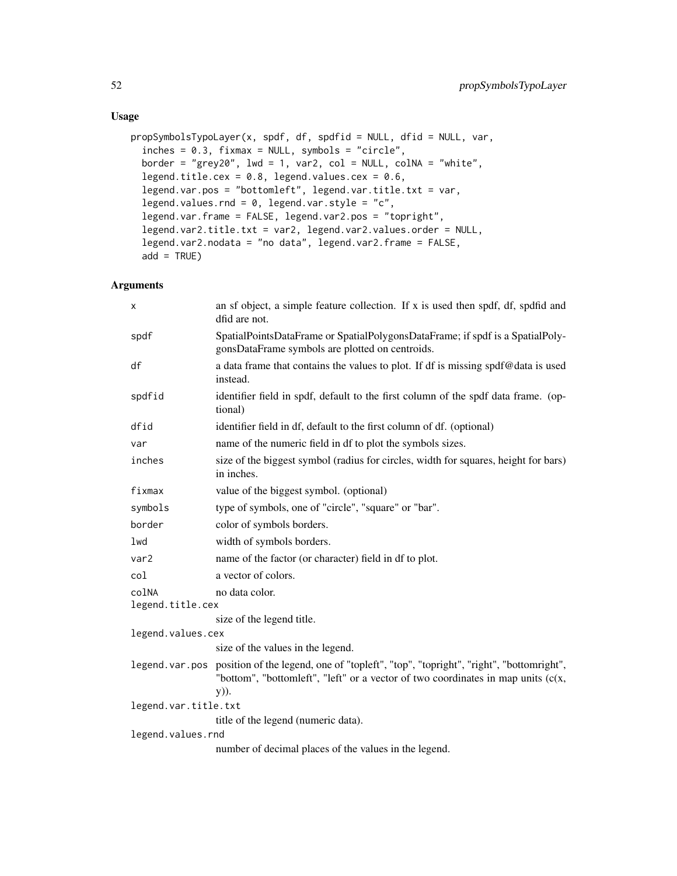## Usage

```
propSymbolsTypoLayer(x, spdf, df, spdfid = NULL, dfid = NULL, var,
  inches = 0.3, fixmax = NULL, symbols = "circle",
  border = "grey20", 1wd = 1, var2, col = NULL, colNA = "white",legend.title.cex = 0.8, legend.values.cex = 0.6,
  legend.var.pos = "bottomleft", legend.var.title.txt = var,
  legend.values.rnd = 0, legend.var.style = "c",
  legend.var.frame = FALSE, legend.var2.pos = "topright",
  legend.var2.title.txt = var2, legend.var2.values.order = NULL,
  legend.var2.nodata = "no data", legend.var2.frame = FALSE,
  add = TRUE)
```

| X                    | an sf object, a simple feature collection. If x is used then spdf, df, spdfid and<br>dfid are not.                                                                                 |  |
|----------------------|------------------------------------------------------------------------------------------------------------------------------------------------------------------------------------|--|
| spdf                 | SpatialPointsDataFrame or SpatialPolygonsDataFrame; if spdf is a SpatialPoly-<br>gonsDataFrame symbols are plotted on centroids.                                                   |  |
| df                   | a data frame that contains the values to plot. If df is missing spdf@data is used<br>instead.                                                                                      |  |
| spdfid               | identifier field in spdf, default to the first column of the spdf data frame. (op-<br>tional)                                                                                      |  |
| dfid                 | identifier field in df, default to the first column of df. (optional)                                                                                                              |  |
| var                  | name of the numeric field in df to plot the symbols sizes.                                                                                                                         |  |
| inches               | size of the biggest symbol (radius for circles, width for squares, height for bars)<br>in inches.                                                                                  |  |
| fixmax               | value of the biggest symbol. (optional)                                                                                                                                            |  |
| symbols              | type of symbols, one of "circle", "square" or "bar".                                                                                                                               |  |
| border               | color of symbols borders.                                                                                                                                                          |  |
| lwd                  | width of symbols borders.                                                                                                                                                          |  |
| var2                 | name of the factor (or character) field in df to plot.                                                                                                                             |  |
| col                  | a vector of colors.                                                                                                                                                                |  |
| colNA                | no data color.                                                                                                                                                                     |  |
| legend.title.cex     |                                                                                                                                                                                    |  |
|                      | size of the legend title.                                                                                                                                                          |  |
| legend.values.cex    |                                                                                                                                                                                    |  |
|                      | size of the values in the legend.                                                                                                                                                  |  |
| legend.var.pos       | position of the legend, one of "topleft", "top", "topright", "right", "bottomright",<br>"bottom", "bottomleft", "left" or a vector of two coordinates in map units $(c(x,$<br>y)). |  |
| legend.var.title.txt |                                                                                                                                                                                    |  |
|                      | title of the legend (numeric data).                                                                                                                                                |  |
| legend.values.rnd    |                                                                                                                                                                                    |  |
|                      | number of decimal places of the values in the legend.                                                                                                                              |  |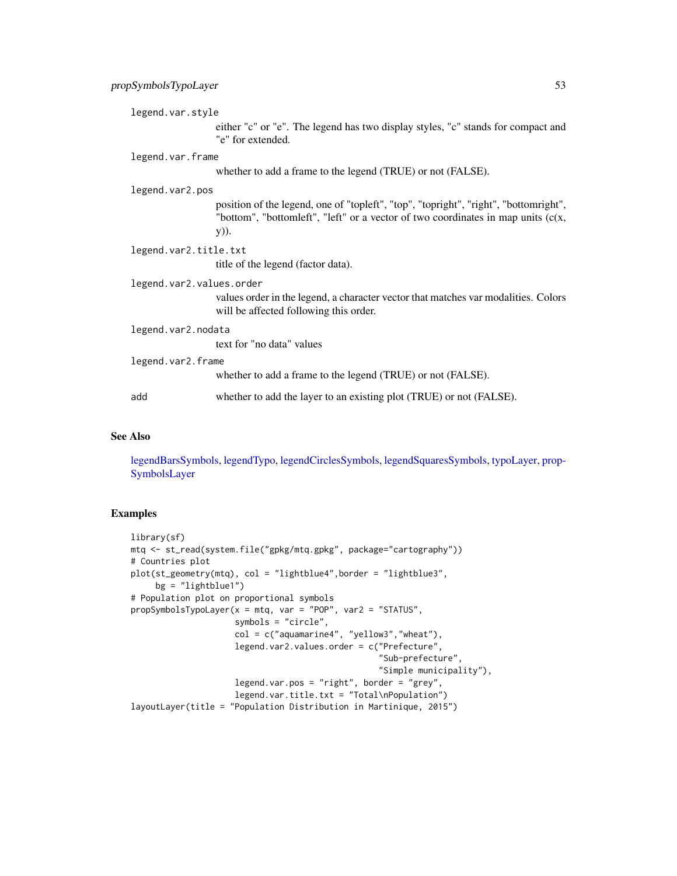<span id="page-52-0"></span>legend.var.style

either "c" or "e". The legend has two display styles, "c" stands for compact and "e" for extended.

#### legend.var.frame

whether to add a frame to the legend (TRUE) or not (FALSE).

#### legend.var2.pos

position of the legend, one of "topleft", "top", "topright", "right", "bottomright", "bottom", "bottomleft", "left" or a vector of two coordinates in map units (c(x, y)).

```
legend.var2.title.txt
```
title of the legend (factor data).

## legend.var2.values.order

values order in the legend, a character vector that matches var modalities. Colors will be affected following this order.

#### legend.var2.nodata

text for "no data" values

legend.var2.frame

whether to add a frame to the legend (TRUE) or not (FALSE).

```
add whether to add the layer to an existing plot (TRUE) or not (FALSE).
```
#### See Also

[legendBarsSymbols,](#page-30-1) [legendTypo,](#page-38-1) [legendCirclesSymbols,](#page-33-1) [legendSquaresSymbols,](#page-37-1) [typoLayer,](#page-58-1) [prop-](#page-49-1)[SymbolsLayer](#page-49-1)

#### Examples

```
library(sf)
mtq <- st_read(system.file("gpkg/mtq.gpkg", package="cartography"))
# Countries plot
plot(st_geometry(mtq), col = "lightblue4",border = "lightblue3",
     bg = "lightblue1"# Population plot on proportional symbols
propSymbolsTypoLayer(x = mtq, var = "POP", var2 = "STATUS",
                     symbols = "circle",
                     col = c("aquamarine4", "yellow3","wheat"),
                     legend.var2.values.order = c("Prefecture",
                                                   "Sub-prefecture",
                                                   "Simple municipality"),
                     legend.var.pos = "right", border = "grey",
                     legend.var.title.txt = "Total\nPopulation")
layoutLayer(title = "Population Distribution in Martinique, 2015")
```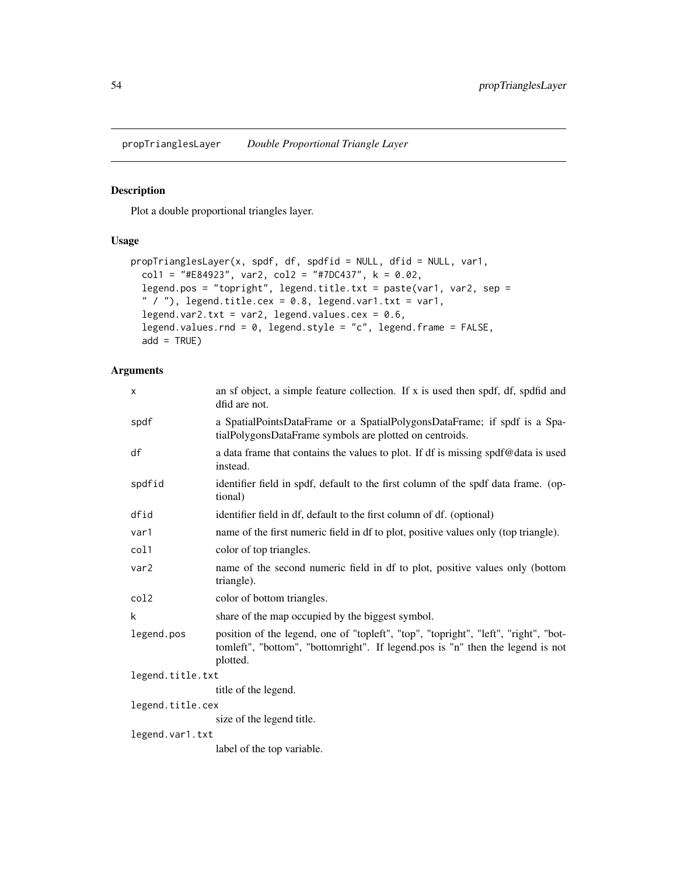<span id="page-53-1"></span><span id="page-53-0"></span>propTrianglesLayer *Double Proportional Triangle Layer*

## Description

Plot a double proportional triangles layer.

#### Usage

```
propTrianglesLayer(x, spdf, df, spdfid = NULL, dfid = NULL, var1,
 coll = "#E84923", var2, col2 = "#7DC437", k = 0.02,
  legend.pos = "topright", legend.title.txt = paste(var1, var2, sep =
  " / "), legend.title.cex = 0.8, legend.var1.txt = var1,
  legend.var2.txt = var2, legend.values.cex = 0.6,
  legend.values.rnd = 0, legend.style = "c", legend.frame = FALSE,
  add = TRUE)
```

| X                | an sf object, a simple feature collection. If x is used then spdf, df, spdfid and<br>dfid are not.                                                                                |
|------------------|-----------------------------------------------------------------------------------------------------------------------------------------------------------------------------------|
| spdf             | a SpatialPointsDataFrame or a SpatialPolygonsDataFrame; if spdf is a Spa-<br>tialPolygonsDataFrame symbols are plotted on centroids.                                              |
| df               | a data frame that contains the values to plot. If df is missing spdf@data is used<br>instead.                                                                                     |
| spdfid           | identifier field in spdf, default to the first column of the spdf data frame. (op-<br>tional)                                                                                     |
| dfid             | identifier field in df, default to the first column of df. (optional)                                                                                                             |
| var1             | name of the first numeric field in df to plot, positive values only (top triangle).                                                                                               |
| col1             | color of top triangles.                                                                                                                                                           |
| var2             | name of the second numeric field in df to plot, positive values only (bottom<br>triangle).                                                                                        |
| col <sub>2</sub> | color of bottom triangles.                                                                                                                                                        |
| k                | share of the map occupied by the biggest symbol.                                                                                                                                  |
| legend.pos       | position of the legend, one of "topleft", "top", "topright", "left", "right", "bot-<br>tomleft", "bottom", "bottomright". If legend.pos is "n" then the legend is not<br>plotted. |
| legend.title.txt |                                                                                                                                                                                   |
|                  | title of the legend.                                                                                                                                                              |
| legend.title.cex |                                                                                                                                                                                   |
|                  | size of the legend title.                                                                                                                                                         |
| legend.var1.txt  |                                                                                                                                                                                   |
|                  | label of the top variable.                                                                                                                                                        |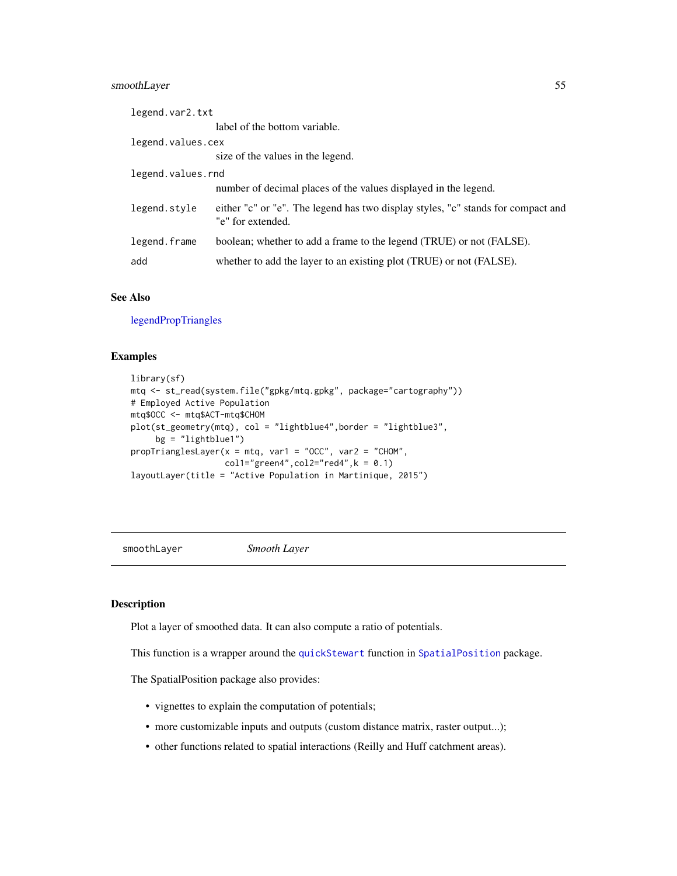### <span id="page-54-0"></span>smoothLayer 55

| legend.var2.txt   |                                                                                                       |
|-------------------|-------------------------------------------------------------------------------------------------------|
|                   | label of the bottom variable.                                                                         |
| legend.values.cex |                                                                                                       |
|                   | size of the values in the legend.                                                                     |
| legend.values.rnd |                                                                                                       |
|                   | number of decimal places of the values displayed in the legend.                                       |
| legend.style      | either "c" or "e". The legend has two display styles, "c" stands for compact and<br>"e" for extended. |
| legend.frame      | boolean; whether to add a frame to the legend (TRUE) or not (FALSE).                                  |
| add               | whether to add the layer to an existing plot (TRUE) or not (FALSE).                                   |

## See Also

[legendPropTriangles](#page-36-1)

#### Examples

```
library(sf)
mtq <- st_read(system.file("gpkg/mtq.gpkg", package="cartography"))
# Employed Active Population
mtq$OCC <- mtq$ACT-mtq$CHOM
plot(st_geometry(mtq), col = "lightblue4",border = "lightblue3",
     bg = "lightblue1")propTrianglesLayer(x = mta, var1 = "OCC", var2 = "CHOM",coll='green 4", col2='red 4", k = 0.1)layoutLayer(title = "Active Population in Martinique, 2015")
```
smoothLayer *Smooth Layer*

#### Description

Plot a layer of smoothed data. It can also compute a ratio of potentials.

This function is a wrapper around the [quickStewart](#page-0-0) function in [SpatialPosition](#page-0-0) package.

The SpatialPosition package also provides:

- vignettes to explain the computation of potentials;
- more customizable inputs and outputs (custom distance matrix, raster output...);
- other functions related to spatial interactions (Reilly and Huff catchment areas).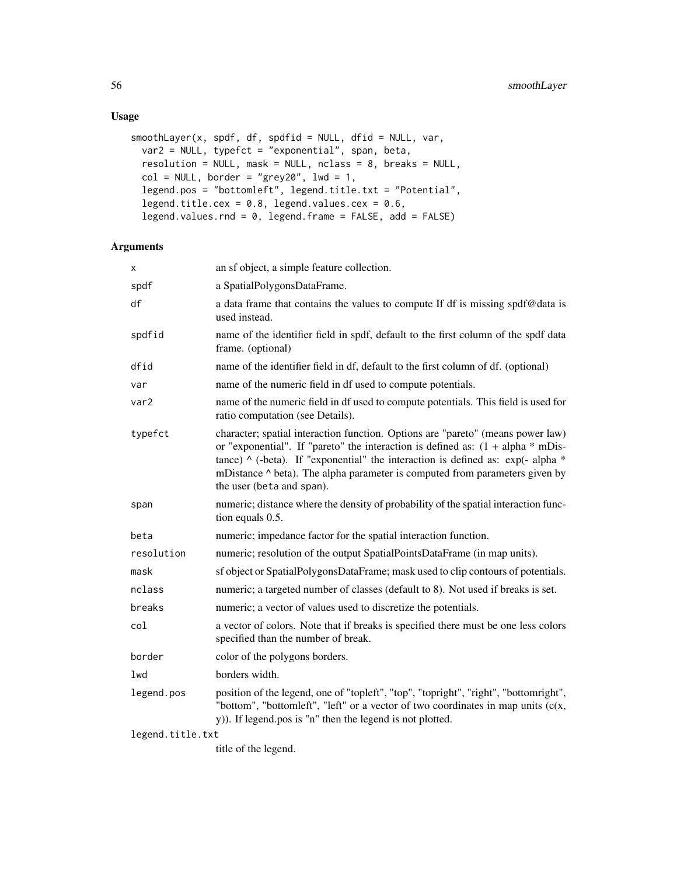## Usage

```
smoothLayer(x, spdf, df, spdfid = NULL, dfid = NULL, var,
 var2 = NULL, typefct = "exponential", span, beta,
 resolution = NULL, mask = NULL, nclass = 8, breaks = NULL,
 col = NULL, border = "grey20", 1wd = 1,
 legend.pos = "bottomleft", legend.title.txt = "Potential",
 legend.title.cex = 0.8, legend.values.cex = 0.6,
 legend.values.rnd = \theta, legend.frame = FALSE, add = FALSE)
```
## Arguments

| x                | an sf object, a simple feature collection.                                                                                                                                                                                                                                                                                                                                   |
|------------------|------------------------------------------------------------------------------------------------------------------------------------------------------------------------------------------------------------------------------------------------------------------------------------------------------------------------------------------------------------------------------|
| spdf             | a SpatialPolygonsDataFrame.                                                                                                                                                                                                                                                                                                                                                  |
| df               | a data frame that contains the values to compute If df is missing spdf@data is<br>used instead.                                                                                                                                                                                                                                                                              |
| spdfid           | name of the identifier field in spdf, default to the first column of the spdf data<br>frame. (optional)                                                                                                                                                                                                                                                                      |
| dfid             | name of the identifier field in df, default to the first column of df. (optional)                                                                                                                                                                                                                                                                                            |
| var              | name of the numeric field in df used to compute potentials.                                                                                                                                                                                                                                                                                                                  |
| var2             | name of the numeric field in df used to compute potentials. This field is used for<br>ratio computation (see Details).                                                                                                                                                                                                                                                       |
| typefct          | character; spatial interaction function. Options are "pareto" (means power law)<br>or "exponential". If "pareto" the interaction is defined as: $(1 + alpha * mDis-$<br>tance) $\wedge$ (-beta). If "exponential" the interaction is defined as: exp(- alpha $*$<br>mDistance ^ beta). The alpha parameter is computed from parameters given by<br>the user (beta and span). |
| span             | numeric; distance where the density of probability of the spatial interaction func-<br>tion equals 0.5.                                                                                                                                                                                                                                                                      |
| beta             | numeric; impedance factor for the spatial interaction function.                                                                                                                                                                                                                                                                                                              |
| resolution       | numeric; resolution of the output SpatialPointsDataFrame (in map units).                                                                                                                                                                                                                                                                                                     |
| mask             | sf object or SpatialPolygonsDataFrame; mask used to clip contours of potentials.                                                                                                                                                                                                                                                                                             |
| nclass           | numeric; a targeted number of classes (default to 8). Not used if breaks is set.                                                                                                                                                                                                                                                                                             |
| breaks           | numeric; a vector of values used to discretize the potentials.                                                                                                                                                                                                                                                                                                               |
| col              | a vector of colors. Note that if breaks is specified there must be one less colors<br>specified than the number of break.                                                                                                                                                                                                                                                    |
| border           | color of the polygons borders.                                                                                                                                                                                                                                                                                                                                               |
| lwd              | borders width.                                                                                                                                                                                                                                                                                                                                                               |
| legend.pos       | position of the legend, one of "topleft", "top", "topright", "right", "bottomright",<br>"bottom", "bottomleft", "left" or a vector of two coordinates in map units $(c(x,$<br>y)). If legend.pos is "n" then the legend is not plotted.                                                                                                                                      |
| legend.title.txt |                                                                                                                                                                                                                                                                                                                                                                              |

title of the legend.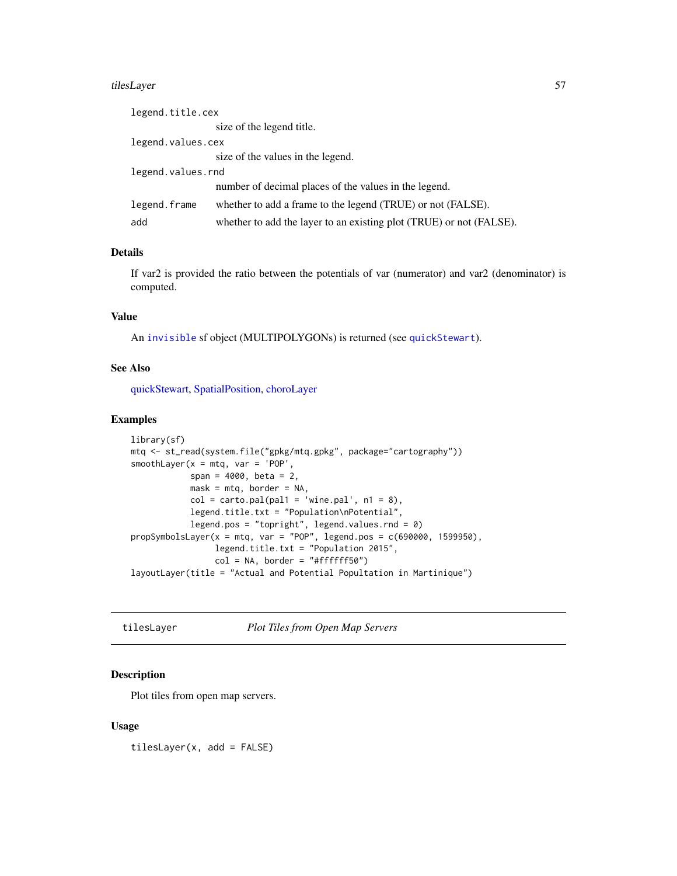#### <span id="page-56-0"></span>tilesLayer 57

| legend.title.cex  |                                                                     |
|-------------------|---------------------------------------------------------------------|
|                   | size of the legend title.                                           |
| legend.values.cex |                                                                     |
|                   | size of the values in the legend.                                   |
| legend.values.rnd |                                                                     |
|                   | number of decimal places of the values in the legend.               |
| legend.frame      | whether to add a frame to the legend (TRUE) or not (FALSE).         |
| add               | whether to add the layer to an existing plot (TRUE) or not (FALSE). |

## Details

If var2 is provided the ratio between the potentials of var (numerator) and var2 (denominator) is computed.

## Value

An [invisible](#page-0-0) sf object (MULTIPOLYGONs) is returned (see [quickStewart](#page-0-0)).

#### See Also

[quickStewart,](#page-0-0) [SpatialPosition,](#page-0-0) [choroLayer](#page-6-1)

## Examples

```
library(sf)
mtq <- st_read(system.file("gpkg/mtq.gpkg", package="cartography"))
smoothLayer(x = m t q, var = 'POP',span = 4000, beta = 2,
            mask = m t q, border = NA,
            col = carto.pal(pal1 = 'wine.pal', n1 = 8),legend.title.txt = "Population\nPotential",
            legend.pos = "topright", legend.values.rnd = \theta)
propSymbolsLayer(x = mtq, var = "POP", legend.pos = c(690000, 1599950),legend.title.txt = "Population 2015",
                 col = NA, border = "#ffffff50")
layoutLayer(title = "Actual and Potential Popultation in Martinique")
```
<span id="page-56-1"></span>tilesLayer *Plot Tiles from Open Map Servers*

## Description

Plot tiles from open map servers.

#### Usage

tilesLayer(x, add = FALSE)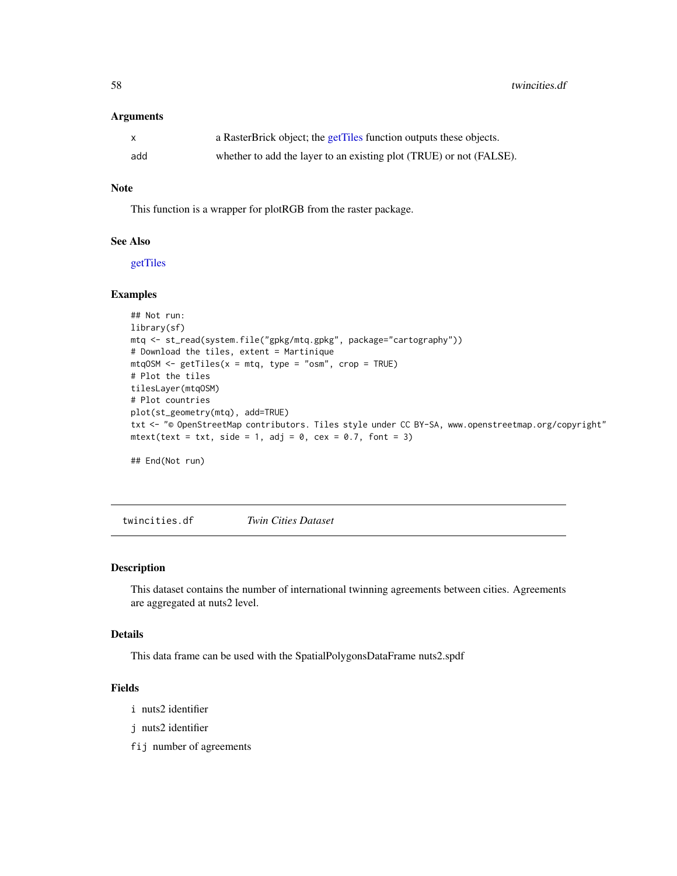<span id="page-57-0"></span>58 twincities.df

#### **Arguments**

| X   | a RasterBrick object; the getTiles function outputs these objects.  |
|-----|---------------------------------------------------------------------|
| add | whether to add the layer to an existing plot (TRUE) or not (FALSE). |

## Note

This function is a wrapper for plotRGB from the raster package.

## See Also

[getTiles](#page-22-1)

#### Examples

```
## Not run:
library(sf)
mtq <- st_read(system.file("gpkg/mtq.gpkg", package="cartography"))
# Download the tiles, extent = Martinique
mtqOSM \leq7 getTiles(x = mtq, type = "osm", crop = TRUE)
# Plot the tiles
tilesLayer(mtqOSM)
# Plot countries
plot(st_geometry(mtq), add=TRUE)
txt <- "© OpenStreetMap contributors. Tiles style under CC BY-SA, www.openstreetmap.org/copyright"
mtext{text}(\text{text} = \text{txt}, \text{side} = 1, \text{adj} = 0, \text{cex} = 0.7, \text{font} = 3)## End(Not run)
```
twincities.df *Twin Cities Dataset*

#### Description

This dataset contains the number of international twinning agreements between cities. Agreements are aggregated at nuts2 level.

#### Details

This data frame can be used with the SpatialPolygonsDataFrame nuts2.spdf

## Fields

i nuts2 identifier

j nuts2 identifier

fij number of agreements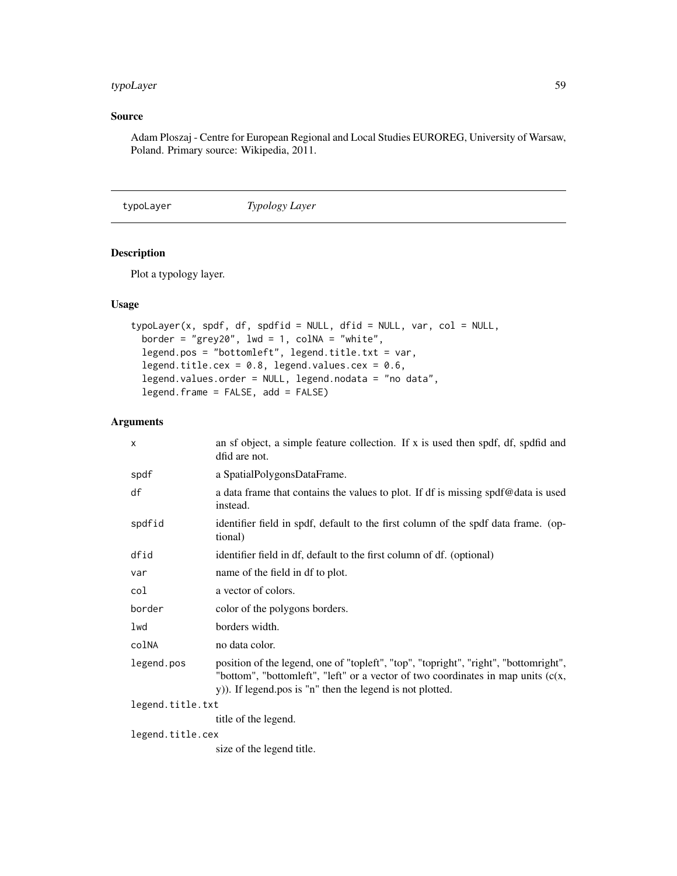## <span id="page-58-0"></span>typoLayer 59

## Source

Adam Ploszaj - Centre for European Regional and Local Studies EUROREG, University of Warsaw, Poland. Primary source: Wikipedia, 2011.

<span id="page-58-1"></span>typoLayer *Typology Layer*

## Description

Plot a typology layer.

## Usage

```
typoLayer(x, spdf, df, spdfid = NULL, dfid = NULL, var, col = NULL,border = "grey20", lwd = 1, \text{colNA} = "white",
  legend.pos = "bottomleft", legend.title.txt = var,
  legend.title.cex = 0.8, legend.values.cex = 0.6,
  legend.values.order = NULL, legend.nodata = "no data",
  legend.frame = FALSE, add = FALSE)
```

| $\mathsf{x}$     | an sf object, a simple feature collection. If x is used then spdf, df, spdfid and<br>dfid are not.                                                                                                                                      |  |
|------------------|-----------------------------------------------------------------------------------------------------------------------------------------------------------------------------------------------------------------------------------------|--|
| spdf             | a SpatialPolygonsDataFrame.                                                                                                                                                                                                             |  |
| df               | a data frame that contains the values to plot. If df is missing spdf@data is used<br>instead.                                                                                                                                           |  |
| spdfid           | identifier field in spdf, default to the first column of the spdf data frame. (op-<br>tional)                                                                                                                                           |  |
| dfid             | identifier field in df, default to the first column of df. (optional)                                                                                                                                                                   |  |
| var              | name of the field in df to plot.                                                                                                                                                                                                        |  |
| col              | a vector of colors.                                                                                                                                                                                                                     |  |
| border           | color of the polygons borders.                                                                                                                                                                                                          |  |
| lwd              | borders width.                                                                                                                                                                                                                          |  |
| colNA            | no data color.                                                                                                                                                                                                                          |  |
| legend.pos       | position of the legend, one of "topleft", "top", "topright", "right", "bottomright",<br>"bottom", "bottomleft", "left" or a vector of two coordinates in map units $(c(x,$<br>y)). If legend.pos is "n" then the legend is not plotted. |  |
| legend.title.txt |                                                                                                                                                                                                                                         |  |
|                  | title of the legend.                                                                                                                                                                                                                    |  |
| legend.title.cex |                                                                                                                                                                                                                                         |  |
|                  | size of the legend title.                                                                                                                                                                                                               |  |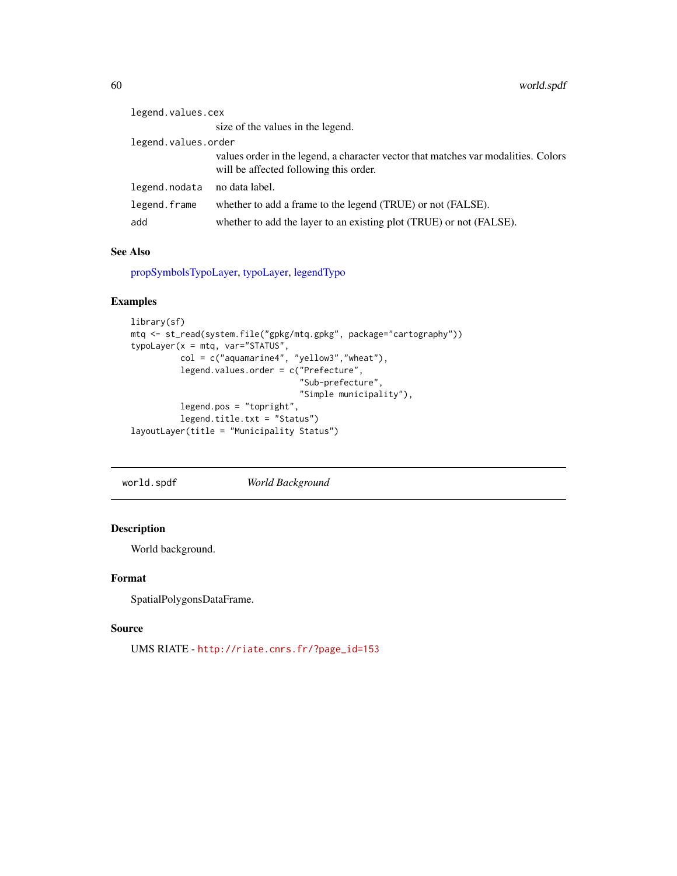| legend.values.cex   |                                                                                                                              |
|---------------------|------------------------------------------------------------------------------------------------------------------------------|
|                     | size of the values in the legend.                                                                                            |
| legend.values.order |                                                                                                                              |
|                     | values order in the legend, a character vector that matches var modalities. Colors<br>will be affected following this order. |
| legend.nodata       | no data label.                                                                                                               |
| legend.frame        | whether to add a frame to the legend (TRUE) or not (FALSE).                                                                  |
| add                 | whether to add the layer to an existing plot (TRUE) or not (FALSE).                                                          |

## See Also

[propSymbolsTypoLayer,](#page-50-1) [typoLayer,](#page-58-1) [legendTypo](#page-38-1)

## Examples

```
library(sf)
mtq <- st_read(system.file("gpkg/mtq.gpkg", package="cartography"))
typoLayer(x = mtq, var="STATUS",
          col = c("aquamarine4", "yellow3","wheat"),
          legend.values.order = c("Prefecture",
                                  "Sub-prefecture",
                                  "Simple municipality"),
          legend.pos = "topright",
          legend.title.txt = "Status")
layoutLayer(title = "Municipality Status")
```
world.spdf *World Background*

## Description

World background.

## Format

SpatialPolygonsDataFrame.

## Source

UMS RIATE - [http://riate.cnrs.fr/?page\\_id=153](http://riate.cnrs.fr/?page_id=153)

<span id="page-59-0"></span>